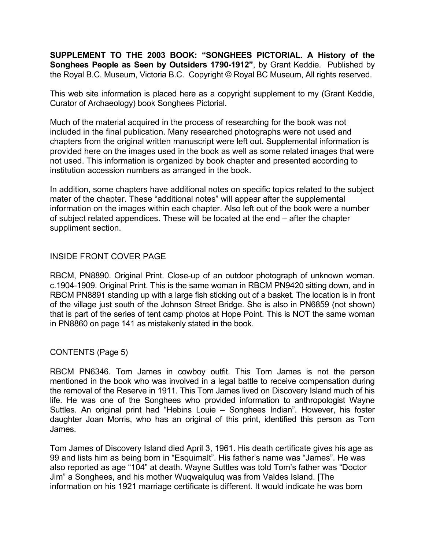**SUPPLEMENT TO THE 2003 BOOK: "SONGHEES PICTORIAL. A History of the Songhees People as Seen by Outsiders 1790-1912"**, by Grant Keddie. Published by the Royal B.C. Museum, Victoria B.C. Copyright © Royal BC Museum, All rights reserved.

This web site information is placed here as a copyright supplement to my (Grant Keddie, Curator of Archaeology) book Songhees Pictorial.

Much of the material acquired in the process of researching for the book was not included in the final publication. Many researched photographs were not used and chapters from the original written manuscript were left out. Supplemental information is provided here on the images used in the book as well as some related images that were not used. This information is organized by book chapter and presented according to institution accession numbers as arranged in the book.

In addition, some chapters have additional notes on specific topics related to the subject mater of the chapter. These "additional notes" will appear after the supplemental information on the images within each chapter. Also left out of the book were a number of subject related appendices. These will be located at the end – after the chapter suppliment section.

### INSIDE FRONT COVER PAGE

RBCM, PN8890. Original Print. Close-up of an outdoor photograph of unknown woman. c.1904-1909. Original Print. This is the same woman in RBCM PN9420 sitting down, and in RBCM PN8891 standing up with a large fish sticking out of a basket. The location is in front of the village just south of the Johnson Street Bridge. She is also in PN6859 (not shown) that is part of the series of tent camp photos at Hope Point. This is NOT the same woman in PN8860 on page 141 as mistakenly stated in the book.

# CONTENTS (Page 5)

RBCM PN6346. Tom James in cowboy outfit. This Tom James is not the person mentioned in the book who was involved in a legal battle to receive compensation during the removal of the Reserve in 1911. This Tom James lived on Discovery Island much of his life. He was one of the Songhees who provided information to anthropologist Wayne Suttles. An original print had "Hebins Louie – Songhees Indian". However, his foster daughter Joan Morris, who has an original of this print, identified this person as Tom James.

Tom James of Discovery Island died April 3, 1961. His death certificate gives his age as 99 and lists him as being born in "Esquimalt". His father's name was "James". He was also reported as age "104" at death. Wayne Suttles was told Tom's father was "Doctor Jim" a Songhees, and his mother Wuqwalquluq was from Valdes Island. [The information on his 1921 marriage certificate is different. It would indicate he was born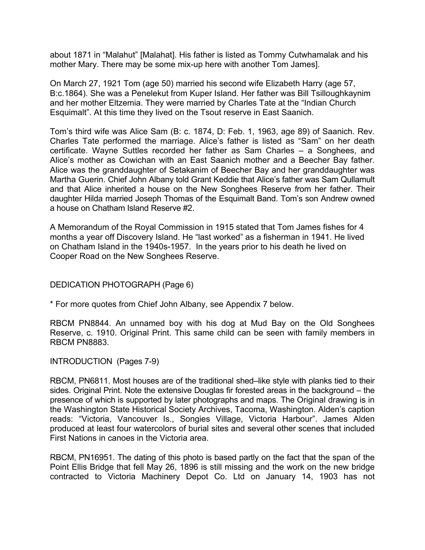about 1871 in "Malahut" [Malahat]. His father is listed as Tommy Cutwhamalak and his mother Mary. There may be some mix-up here with another Tom James].

On March 27, 1921 Tom (age 50) married his second wife Elizabeth Harry (age 57, B:c.1864). She was a Penelekut from Kuper Island. Her father was Bill Tsilloughkaynim and her mother Eltzemia. They were married by Charles Tate at the "Indian Church Esquimalt". At this time they lived on the Tsout reserve in East Saanich.

Tom's third wife was Alice Sam (B: c. 1874, D: Feb. 1, 1963, age 89) of Saanich. Rev. Charles Tate performed the marriage. Alice's father is listed as "Sam" on her death certificate. Wayne Suttles recorded her father as Sam Charles – a Songhees, and Alice's mother as Cowichan with an East Saanich mother and a Beecher Bay father. Alice was the granddaughter of Setakanim of Beecher Bay and her granddaughter was Martha Guerin. Chief John Albany told Grant Keddie that Alice's father was Sam Qullamult and that Alice inherited a house on the New Songhees Reserve from her father. Their daughter Hilda married Joseph Thomas of the Esquimalt Band. Tom's son Andrew owned a house on Chatham Island Reserve #2.

A Memorandum of the Royal Commission in 1915 stated that Tom James fishes for 4 months a year off Discovery Island. He "last worked" as a fisherman in 1941. He lived on Chatham Island in the 1940s-1957. In the years prior to his death he lived on Cooper Road on the New Songhees Reserve.

DEDICATION PHOTOGRAPH (Page 6)

\* For more quotes from Chief John Albany, see Appendix 7 below.

RBCM PN8844. An unnamed boy with his dog at Mud Bay on the Old Songhees Reserve, c. 1910. Original Print. This same child can be seen with family members in RBCM PN8883.

INTRODUCTION (Pages 7-9)

RBCM, PN6811. Most houses are of the traditional shed–like style with planks tied to their sides. Original Print. Note the extensive Douglas fir forested areas in the background – the presence of which is supported by later photographs and maps. The Original drawing is in the Washington State Historical Society Archives, Tacoma, Washington. Alden's caption reads: "Victoria, Vancouver Is., Songies Village, Victoria Harbour". James Alden produced at least four watercolors of burial sites and several other scenes that included First Nations in canoes in the Victoria area.

RBCM, PN16951. The dating of this photo is based partly on the fact that the span of the Point Ellis Bridge that fell May 26, 1896 is still missing and the work on the new bridge contracted to Victoria Machinery Depot Co. Ltd on January 14, 1903 has not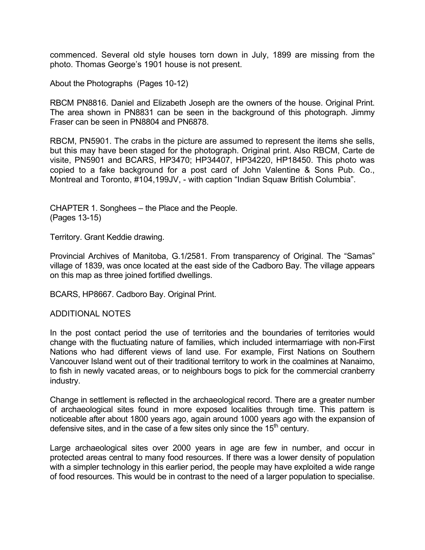commenced. Several old style houses torn down in July, 1899 are missing from the photo. Thomas George's 1901 house is not present.

About the Photographs (Pages 10-12)

RBCM PN8816. Daniel and Elizabeth Joseph are the owners of the house. Original Print. The area shown in PN8831 can be seen in the background of this photograph. Jimmy Fraser can be seen in PN8804 and PN6878.

RBCM, PN5901. The crabs in the picture are assumed to represent the items she sells, but this may have been staged for the photograph. Original print. Also RBCM, Carte de visite, PN5901 and BCARS, HP3470; HP34407, HP34220, HP18450. This photo was copied to a fake background for a post card of John Valentine & Sons Pub. Co., Montreal and Toronto, #104,199JV, - with caption "Indian Squaw British Columbia".

CHAPTER 1. Songhees – the Place and the People. (Pages 13-15)

Territory. Grant Keddie drawing.

Provincial Archives of Manitoba, G.1/2581. From transparency of Original. The "Samas" village of 1839, was once located at the east side of the Cadboro Bay. The village appears on this map as three joined fortified dwellings.

BCARS, HP8667. Cadboro Bay. Original Print.

#### ADDITIONAL NOTES

In the post contact period the use of territories and the boundaries of territories would change with the fluctuating nature of families, which included intermarriage with non-First Nations who had different views of land use. For example, First Nations on Southern Vancouver Island went out of their traditional territory to work in the coalmines at Nanaimo, to fish in newly vacated areas, or to neighbours bogs to pick for the commercial cranberry industry.

Change in settlement is reflected in the archaeological record. There are a greater number of archaeological sites found in more exposed localities through time. This pattern is noticeable after about 1800 years ago, again around 1000 years ago with the expansion of defensive sites, and in the case of a few sites only since the  $15<sup>th</sup>$  century.

Large archaeological sites over 2000 years in age are few in number, and occur in protected areas central to many food resources. If there was a lower density of population with a simpler technology in this earlier period, the people may have exploited a wide range of food resources. This would be in contrast to the need of a larger population to specialise.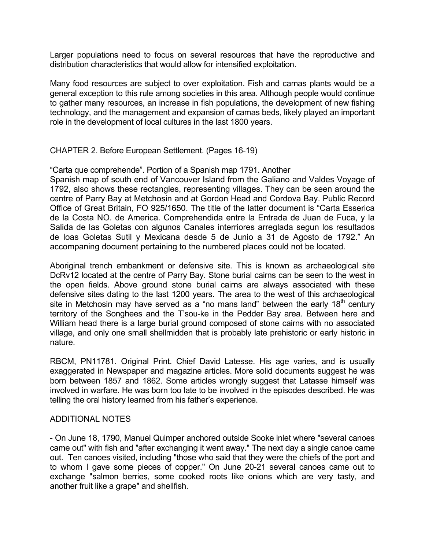Larger populations need to focus on several resources that have the reproductive and distribution characteristics that would allow for intensified exploitation.

Many food resources are subject to over exploitation. Fish and camas plants would be a general exception to this rule among societies in this area. Although people would continue to gather many resources, an increase in fish populations, the development of new fishing technology, and the management and expansion of camas beds, likely played an important role in the development of local cultures in the last 1800 years.

### CHAPTER 2. Before European Settlement. (Pages 16-19)

"Carta que comprehende". Portion of a Spanish map 1791. Another Spanish map of south end of Vancouver Island from the Galiano and Valdes Voyage of 1792, also shows these rectangles, representing villages. They can be seen around the centre of Parry Bay at Metchosin and at Gordon Head and Cordova Bay. Public Record Office of Great Britain, FO 925/1650. The title of the latter document is "Carta Esserica de la Costa NO. de America. Comprehendida entre la Entrada de Juan de Fuca, y la Salida de las Goletas con algunos Canales interriores arreglada segun los resultados de loas Goletas Sutil y Mexicana desde 5 de Junio a 31 de Agosto de 1792." An accompaning document pertaining to the numbered places could not be located.

Aboriginal trench embankment or defensive site. This is known as archaeological site DcRv12 located at the centre of Parry Bay. Stone burial cairns can be seen to the west in the open fields. Above ground stone burial cairns are always associated with these defensive sites dating to the last 1200 years. The area to the west of this archaeological site in Metchosin may have served as a "no mans land" between the early  $18<sup>th</sup>$  century territory of the Songhees and the T'sou-ke in the Pedder Bay area. Between here and William head there is a large burial ground composed of stone cairns with no associated village, and only one small shellmidden that is probably late prehistoric or early historic in nature.

RBCM, PN11781. Original Print. Chief David Latesse. His age varies, and is usually exaggerated in Newspaper and magazine articles. More solid documents suggest he was born between 1857 and 1862. Some articles wrongly suggest that Latasse himself was involved in warfare. He was born too late to be involved in the episodes described. He was telling the oral history learned from his father's experience.

### ADDITIONAL NOTES

- On June 18, 1790, Manuel Quimper anchored outside Sooke inlet where "several canoes came out" with fish and "after exchanging it went away." The next day a single canoe came out. Ten canoes visited, including "those who said that they were the chiefs of the port and to whom I gave some pieces of copper." On June 20-21 several canoes came out to exchange "salmon berries, some cooked roots like onions which are very tasty, and another fruit like a grape" and shellfish.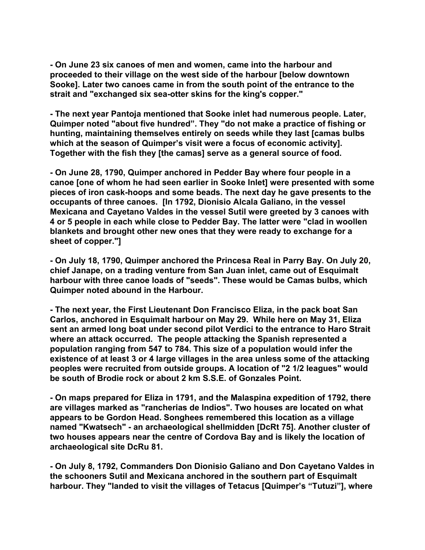**- On June 23 six canoes of men and women, came into the harbour and proceeded to their village on the west side of the harbour [below downtown Sooke]. Later two canoes came in from the south point of the entrance to the strait and "exchanged six sea-otter skins for the king's copper."** 

**- The next year Pantoja mentioned that Sooke inlet had numerous people. Later, Quimper noted "about five hundred". They "do not make a practice of fishing or hunting, maintaining themselves entirely on seeds while they last [camas bulbs which at the season of Quimper's visit were a focus of economic activity]. Together with the fish they [the camas] serve as a general source of food.** 

**- On June 28, 1790, Quimper anchored in Pedder Bay where four people in a canoe [one of whom he had seen earlier in Sooke Inlet] were presented with some pieces of iron cask-hoops and some beads. The next day he gave presents to the occupants of three canoes. [In 1792, Dionisio Alcala Galiano, in the vessel Mexicana and Cayetano Valdes in the vessel Sutil were greeted by 3 canoes with 4 or 5 people in each while close to Pedder Bay. The latter were "clad in woollen blankets and brought other new ones that they were ready to exchange for a sheet of copper."]** 

**- On July 18, 1790, Quimper anchored the Princesa Real in Parry Bay. On July 20, chief Janape, on a trading venture from San Juan inlet, came out of Esquimalt harbour with three canoe loads of "seeds". These would be Camas bulbs, which Quimper noted abound in the Harbour.** 

**- The next year, the First Lieutenant Don Francisco Eliza, in the pack boat San Carlos, anchored in Esquimalt harbour on May 29. While here on May 31, Eliza sent an armed long boat under second pilot Verdici to the entrance to Haro Strait where an attack occurred. The people attacking the Spanish represented a population ranging from 547 to 784. This size of a population would infer the existence of at least 3 or 4 large villages in the area unless some of the attacking peoples were recruited from outside groups. A location of "2 1/2 leagues" would be south of Brodie rock or about 2 km S.S.E. of Gonzales Point.** 

**- On maps prepared for Eliza in 1791, and the Malaspina expedition of 1792, there are villages marked as "rancherias de Indios". Two houses are located on what appears to be Gordon Head. Songhees remembered this location as a village named "Kwatsech" - an archaeological shellmidden [DcRt 75]. Another cluster of two houses appears near the centre of Cordova Bay and is likely the location of archaeological site DcRu 81.** 

**- On July 8, 1792, Commanders Don Dionisio Galiano and Don Cayetano Valdes in the schooners Sutil and Mexicana anchored in the southern part of Esquimalt harbour. They "landed to visit the villages of Tetacus [Quimper's "Tutuzi"], where**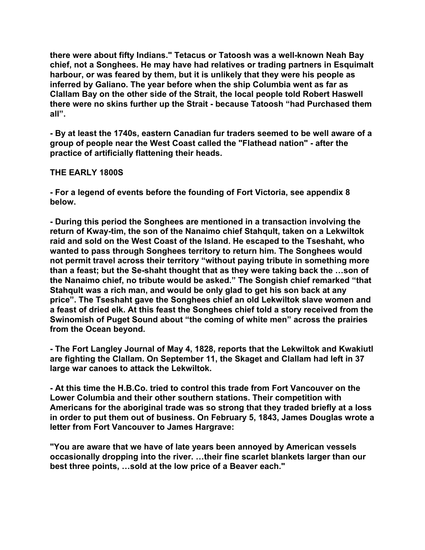**there were about fifty Indians." Tetacus or Tatoosh was a well-known Neah Bay chief, not a Songhees. He may have had relatives or trading partners in Esquimalt harbour, or was feared by them, but it is unlikely that they were his people as inferred by Galiano. The year before when the ship Columbia went as far as Clallam Bay on the other side of the Strait, the local people told Robert Haswell there were no skins further up the Strait - because Tatoosh "had Purchased them all".** 

**- By at least the 1740s, eastern Canadian fur traders seemed to be well aware of a group of people near the West Coast called the "Flathead nation" - after the practice of artificially flattening their heads.** 

### **THE EARLY 1800S**

**- For a legend of events before the founding of Fort Victoria, see appendix 8 below.** 

**- During this period the Songhees are mentioned in a transaction involving the return of Kway-tim, the son of the Nanaimo chief Stahqult, taken on a Lekwiltok raid and sold on the West Coast of the Island. He escaped to the Tseshaht, who wanted to pass through Songhees territory to return him. The Songhees would not permit travel across their territory "without paying tribute in something more than a feast; but the Se-shaht thought that as they were taking back the …son of the Nanaimo chief, no tribute would be asked." The Songish chief remarked "that Stahqult was a rich man, and would be only glad to get his son back at any price". The Tseshaht gave the Songhees chief an old Lekwiltok slave women and a feast of dried elk. At this feast the Songhees chief told a story received from the Swinomish of Puget Sound about "the coming of white men" across the prairies from the Ocean beyond.** 

**- The Fort Langley Journal of May 4, 1828, reports that the Lekwiltok and Kwakiutl are fighting the Clallam. On September 11, the Skaget and Clallam had left in 37 large war canoes to attack the Lekwiltok.** 

**- At this time the H.B.Co. tried to control this trade from Fort Vancouver on the Lower Columbia and their other southern stations. Their competition with Americans for the aboriginal trade was so strong that they traded briefly at a loss in order to put them out of business. On February 5, 1843, James Douglas wrote a letter from Fort Vancouver to James Hargrave:** 

**"You are aware that we have of late years been annoyed by American vessels occasionally dropping into the river. …their fine scarlet blankets larger than our best three points, …sold at the low price of a Beaver each."**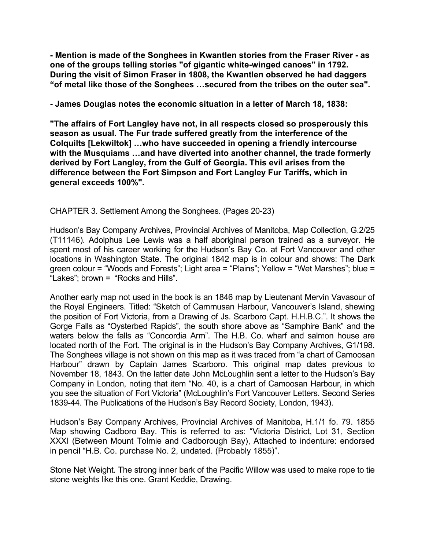**- Mention is made of the Songhees in Kwantlen stories from the Fraser River - as one of the groups telling stories "of gigantic white-winged canoes" in 1792. During the visit of Simon Fraser in 1808, the Kwantlen observed he had daggers "of metal like those of the Songhees …secured from the tribes on the outer sea".** 

**- James Douglas notes the economic situation in a letter of March 18, 1838:** 

**"The affairs of Fort Langley have not, in all respects closed so prosperously this season as usual. The Fur trade suffered greatly from the interference of the Colquilts [Lekwiltok] …who have succeeded in opening a friendly intercourse with the Musquiams …and have diverted into another channel, the trade formerly derived by Fort Langley, from the Gulf of Georgia. This evil arises from the difference between the Fort Simpson and Fort Langley Fur Tariffs, which in general exceeds 100%".** 

CHAPTER 3. Settlement Among the Songhees. (Pages 20-23)

Hudson's Bay Company Archives, Provincial Archives of Manitoba, Map Collection, G.2/25 (T11146). Adolphus Lee Lewis was a half aboriginal person trained as a surveyor. He spent most of his career working for the Hudson's Bay Co. at Fort Vancouver and other locations in Washington State. The original 1842 map is in colour and shows: The Dark green colour = "Woods and Forests"; Light area = "Plains"; Yellow = "Wet Marshes"; blue = "Lakes"; brown = "Rocks and Hills".

Another early map not used in the book is an 1846 map by Lieutenant Mervin Vavasour of the Royal Engineers. Titled: "Sketch of Cammusan Harbour, Vancouver's Island, shewing the position of Fort Victoria, from a Drawing of Js. Scarboro Capt. H.H.B.C.". It shows the Gorge Falls as "Oysterbed Rapids", the south shore above as "Samphire Bank" and the waters below the falls as "Concordia Arm". The H.B. Co. wharf and salmon house are located north of the Fort. The original is in the Hudson's Bay Company Archives, G1/198. The Songhees village is not shown on this map as it was traced from "a chart of Camoosan Harbour" drawn by Captain James Scarboro. This original map dates previous to November 18, 1843. On the latter date John McLoughlin sent a letter to the Hudson's Bay Company in London, noting that item "No. 40, is a chart of Camoosan Harbour, in which you see the situation of Fort Victoria" (McLoughlin's Fort Vancouver Letters. Second Series 1839-44. The Publications of the Hudson's Bay Record Society, London, 1943).

Hudson's Bay Company Archives, Provincial Archives of Manitoba, H.1/1 fo. 79. 1855 Map showing Cadboro Bay. This is referred to as: "Victoria District, Lot 31, Section XXXI (Between Mount Tolmie and Cadborough Bay), Attached to indenture: endorsed in pencil "H.B. Co. purchase No. 2, undated. (Probably 1855)".

Stone Net Weight. The strong inner bark of the Pacific Willow was used to make rope to tie stone weights like this one. Grant Keddie, Drawing.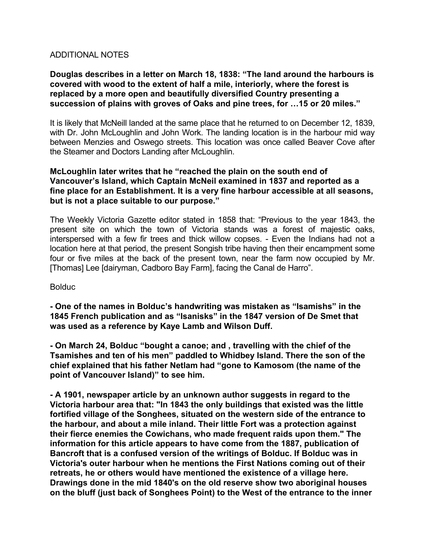## ADDITIONAL NOTES

# **Douglas describes in a letter on March 18, 1838: "The land around the harbours is covered with wood to the extent of half a mile, interiorly, where the forest is replaced by a more open and beautifully diversified Country presenting a succession of plains with groves of Oaks and pine trees, for …15 or 20 miles."**

It is likely that McNeill landed at the same place that he returned to on December 12, 1839, with Dr. John McLoughlin and John Work. The landing location is in the harbour mid way between Menzies and Oswego streets. This location was once called Beaver Cove after the Steamer and Doctors Landing after McLoughlin.

### **McLoughlin later writes that he "reached the plain on the south end of Vancouver's Island, which Captain McNeil examined in 1837 and reported as a fine place for an Establishment. It is a very fine harbour accessible at all seasons, but is not a place suitable to our purpose."**

The Weekly Victoria Gazette editor stated in 1858 that: "Previous to the year 1843, the present site on which the town of Victoria stands was a forest of majestic oaks, interspersed with a few fir trees and thick willow copses. - Even the Indians had not a location here at that period, the present Songish tribe having then their encampment some four or five miles at the back of the present town, near the farm now occupied by Mr. [Thomas] Lee [dairyman, Cadboro Bay Farm], facing the Canal de Harro".

**Bolduc** 

**- One of the names in Bolduc's handwriting was mistaken as "Isamishs" in the 1845 French publication and as "Isanisks" in the 1847 version of De Smet that was used as a reference by Kaye Lamb and Wilson Duff.** 

**- On March 24, Bolduc "bought a canoe; and , travelling with the chief of the Tsamishes and ten of his men" paddled to Whidbey Island. There the son of the chief explained that his father Netlam had "gone to Kamosom (the name of the point of Vancouver Island)" to see him.** 

**- A 1901, newspaper article by an unknown author suggests in regard to the Victoria harbour area that: "In 1843 the only buildings that existed was the little fortified village of the Songhees, situated on the western side of the entrance to the harbour, and about a mile inland. Their little Fort was a protection against their fierce enemies the Cowichans, who made frequent raids upon them." The information for this article appears to have come from the 1887, publication of Bancroft that is a confused version of the writings of Bolduc. If Bolduc was in Victoria's outer harbour when he mentions the First Nations coming out of their retreats, he or others would have mentioned the existence of a village here. Drawings done in the mid 1840's on the old reserve show two aboriginal houses on the bluff (just back of Songhees Point) to the West of the entrance to the inner**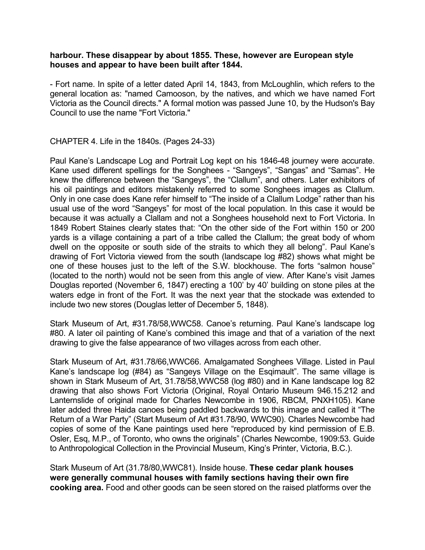### **harbour. These disappear by about 1855. These, however are European style houses and appear to have been built after 1844.**

- Fort name. In spite of a letter dated April 14, 1843, from McLoughlin, which refers to the general location as: "named Camooson, by the natives, and which we have named Fort Victoria as the Council directs." A formal motion was passed June 10, by the Hudson's Bay Council to use the name "Fort Victoria."

### CHAPTER 4. Life in the 1840s. (Pages 24-33)

Paul Kane's Landscape Log and Portrait Log kept on his 1846-48 journey were accurate. Kane used different spellings for the Songhees - "Sangeys", "Sangas" and "Samas". He knew the difference between the "Sangeys", the "Clallum", and others. Later exhibitors of his oil paintings and editors mistakenly referred to some Songhees images as Clallum. Only in one case does Kane refer himself to "The inside of a Clallum Lodge" rather than his usual use of the word "Sangeys" for most of the local population. In this case it would be because it was actually a Clallam and not a Songhees household next to Fort Victoria. In 1849 Robert Staines clearly states that: "On the other side of the Fort within 150 or 200 yards is a village containing a part of a tribe called the Clallum; the great body of whom dwell on the opposite or south side of the straits to which they all belong". Paul Kane's drawing of Fort Victoria viewed from the south (landscape log #82) shows what might be one of these houses just to the left of the S.W. blockhouse. The forts "salmon house" (located to the north) would not be seen from this angle of view. After Kane's visit James Douglas reported (November 6, 1847) erecting a 100' by 40' building on stone piles at the waters edge in front of the Fort. It was the next year that the stockade was extended to include two new stores (Douglas letter of December 5, 1848).

Stark Museum of Art, #31.78/58,WWC58. Canoe's returning. Paul Kane's landscape log #80. A later oil painting of Kane's combined this image and that of a variation of the next drawing to give the false appearance of two villages across from each other.

Stark Museum of Art, #31.78/66,WWC66. Amalgamated Songhees Village. Listed in Paul Kane's landscape log (#84) as "Sangeys Village on the Esgimault". The same village is shown in Stark Museum of Art, 31.78/58,WWC58 (log #80) and in Kane landscape log 82 drawing that also shows Fort Victoria (Original, Royal Ontario Museum 946.15.212 and Lanternslide of original made for Charles Newcombe in 1906, RBCM, PNXH105). Kane later added three Haida canoes being paddled backwards to this image and called it "The Return of a War Party" (Start Museum of Art #31.78/90, WWC90). Charles Newcombe had copies of some of the Kane paintings used here "reproduced by kind permission of E.B. Osler, Esq, M.P., of Toronto, who owns the originals" (Charles Newcombe, 1909:53. Guide to Anthropological Collection in the Provincial Museum, King's Printer, Victoria, B.C.).

Stark Museum of Art (31.78/80,WWC81). Inside house. **These cedar plank houses were generally communal houses with family sections having their own fire cooking area.** Food and other goods can be seen stored on the raised platforms over the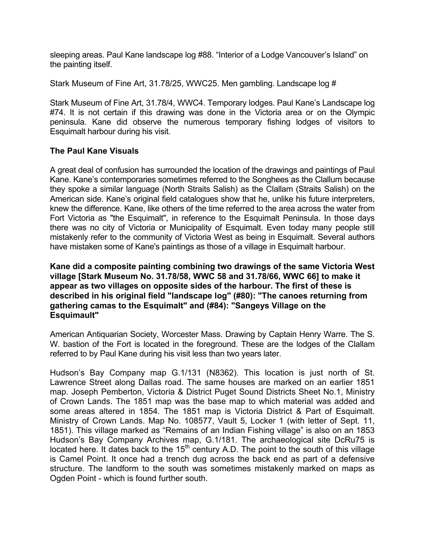sleeping areas. Paul Kane landscape log #88. "Interior of a Lodge Vancouver's Island" on the painting itself.

Stark Museum of Fine Art, 31.78/25, WWC25. Men gambling. Landscape log #

Stark Museum of Fine Art, 31.78/4, WWC4. Temporary lodges. Paul Kane's Landscape log #74. It is not certain if this drawing was done in the Victoria area or on the Olympic peninsula. Kane did observe the numerous temporary fishing lodges of visitors to Esquimalt harbour during his visit.

### **The Paul Kane Visuals**

A great deal of confusion has surrounded the location of the drawings and paintings of Paul Kane. Kane's contemporaries sometimes referred to the Songhees as the Clallum because they spoke a similar language (North Straits Salish) as the Clallam (Straits Salish) on the American side. Kane's original field catalogues show that he, unlike his future interpreters, knew the difference. Kane, like others of the time referred to the area across the water from Fort Victoria as "the Esquimalt", in reference to the Esquimalt Peninsula. In those days there was no city of Victoria or Municipality of Esquimalt. Even today many people still mistakenly refer to the community of Victoria West as being in Esquimalt. Several authors have mistaken some of Kane's paintings as those of a village in Esquimalt harbour.

**Kane did a composite painting combining two drawings of the same Victoria West village [Stark Museum No. 31.78/58, WWC 58 and 31.78/66, WWC 66] to make it appear as two villages on opposite sides of the harbour. The first of these is described in his original field "landscape log" (#80): "The canoes returning from gathering camas to the Esquimalt" and (#84): "Sangeys Village on the Esquimault"** 

American Antiquarian Society, Worcester Mass. Drawing by Captain Henry Warre. The S. W. bastion of the Fort is located in the foreground. These are the lodges of the Clallam referred to by Paul Kane during his visit less than two years later.

Hudson's Bay Company map G.1/131 (N8362). This location is just north of St. Lawrence Street along Dallas road. The same houses are marked on an earlier 1851 map. Joseph Pemberton, Victoria & District Puget Sound Districts Sheet No.1, Ministry of Crown Lands. The 1851 map was the base map to which material was added and some areas altered in 1854. The 1851 map is Victoria District & Part of Esquimalt. Ministry of Crown Lands. Map No. 108577, Vault 5, Locker 1 (with letter of Sept. 11, 1851). This village marked as "Remains of an Indian Fishing village" is also on an 1853 Hudson's Bay Company Archives map, G.1/181. The archaeological site DcRu75 is located here. It dates back to the  $15<sup>th</sup>$  century A.D. The point to the south of this village is Camel Point. It once had a trench dug across the back end as part of a defensive structure. The landform to the south was sometimes mistakenly marked on maps as Ogden Point - which is found further south.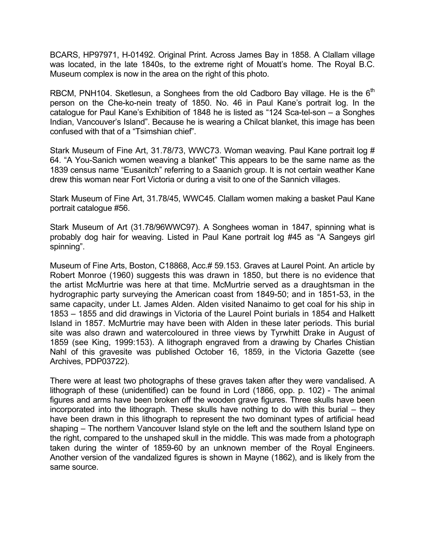BCARS, HP97971, H-01492. Original Print. Across James Bay in 1858. A Clallam village was located, in the late 1840s, to the extreme right of Mouatt's home. The Royal B.C. Museum complex is now in the area on the right of this photo.

RBCM, PNH104. Sketlesun, a Songhees from the old Cadboro Bay village. He is the  $6<sup>th</sup>$ person on the Che-ko-nein treaty of 1850. No. 46 in Paul Kane's portrait log. In the catalogue for Paul Kane's Exhibition of 1848 he is listed as "124 Sca-tel-son – a Songhes Indian, Vancouver's Island". Because he is wearing a Chilcat blanket, this image has been confused with that of a "Tsimshian chief".

Stark Museum of Fine Art, 31.78/73, WWC73. Woman weaving. Paul Kane portrait log # 64. "A You-Sanich women weaving a blanket" This appears to be the same name as the 1839 census name "Eusanitch" referring to a Saanich group. It is not certain weather Kane drew this woman near Fort Victoria or during a visit to one of the Sannich villages.

Stark Museum of Fine Art, 31.78/45, WWC45. Clallam women making a basket Paul Kane portrait catalogue #56.

Stark Museum of Art (31.78/96WWC97). A Songhees woman in 1847, spinning what is probably dog hair for weaving. Listed in Paul Kane portrait log #45 as "A Sangeys girl spinning".

Museum of Fine Arts, Boston, C18868, Acc.# 59.153. Graves at Laurel Point. An article by Robert Monroe (1960) suggests this was drawn in 1850, but there is no evidence that the artist McMurtrie was here at that time. McMurtrie served as a draughtsman in the hydrographic party surveying the American coast from 1849-50; and in 1851-53, in the same capacity, under Lt. James Alden. Alden visited Nanaimo to get coal for his ship in 1853 – 1855 and did drawings in Victoria of the Laurel Point burials in 1854 and Halkett Island in 1857. McMurtrie may have been with Alden in these later periods. This burial site was also drawn and watercoloured in three views by Tyrwhitt Drake in August of 1859 (see King, 1999:153). A lithograph engraved from a drawing by Charles Chistian Nahl of this gravesite was published October 16, 1859, in the Victoria Gazette (see Archives, PDP03722).

There were at least two photographs of these graves taken after they were vandalised. A lithograph of these (unidentified) can be found in Lord (1866, opp. p. 102) - The animal figures and arms have been broken off the wooden grave figures. Three skulls have been incorporated into the lithograph. These skulls have nothing to do with this burial – they have been drawn in this lithograph to represent the two dominant types of artificial head shaping – The northern Vancouver Island style on the left and the southern Island type on the right, compared to the unshaped skull in the middle. This was made from a photograph taken during the winter of 1859-60 by an unknown member of the Royal Engineers. Another version of the vandalized figures is shown in Mayne (1862), and is likely from the same source.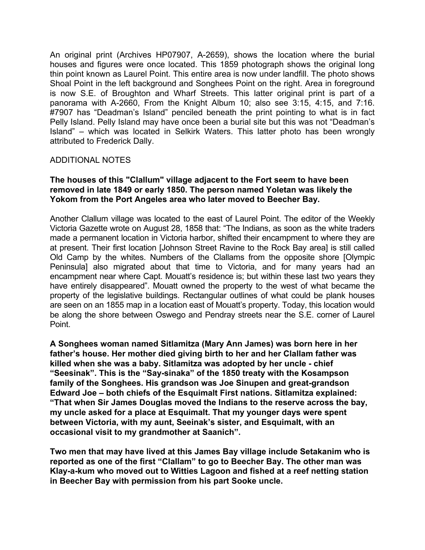An original print (Archives HP07907, A-2659), shows the location where the burial houses and figures were once located. This 1859 photograph shows the original long thin point known as Laurel Point. This entire area is now under landfill. The photo shows Shoal Point in the left background and Songhees Point on the right. Area in foreground is now S.E. of Broughton and Wharf Streets. This latter original print is part of a panorama with A-2660, From the Knight Album 10; also see 3:15, 4:15, and 7:16. #7907 has "Deadman's Island" penciled beneath the print pointing to what is in fact Pelly Island. Pelly Island may have once been a burial site but this was not "Deadman's Island" – which was located in Selkirk Waters. This latter photo has been wrongly attributed to Frederick Dally.

### ADDITIONAL NOTES

### **The houses of this "Clallum" village adjacent to the Fort seem to have been removed in late 1849 or early 1850. The person named Yoletan was likely the Yokom from the Port Angeles area who later moved to Beecher Bay.**

Another Clallum village was located to the east of Laurel Point. The editor of the Weekly Victoria Gazette wrote on August 28, 1858 that: "The Indians, as soon as the white traders made a permanent location in Victoria harbor, shifted their encampment to where they are at present. Their first location [Johnson Street Ravine to the Rock Bay area] is still called Old Camp by the whites. Numbers of the Clallams from the opposite shore [Olympic Peninsula] also migrated about that time to Victoria, and for many years had an encampment near where Capt. Mouatt's residence is; but within these last two years they have entirely disappeared". Mouatt owned the property to the west of what became the property of the legislative buildings. Rectangular outlines of what could be plank houses are seen on an 1855 map in a location east of Mouatt's property. Today, this location would be along the shore between Oswego and Pendray streets near the S.E. corner of Laurel Point.

**A Songhees woman named Sitlamitza (Mary Ann James) was born here in her father's house. Her mother died giving birth to her and her Clallam father was killed when she was a baby. Sitlamitza was adopted by her uncle - chief "Seesinak". This is the "Say-sinaka" of the 1850 treaty with the Kosampson family of the Songhees. His grandson was Joe Sinupen and great-grandson Edward Joe – both chiefs of the Esquimalt First nations. Sitlamitza explained: "That when Sir James Douglas moved the Indians to the reserve across the bay, my uncle asked for a place at Esquimalt. That my younger days were spent between Victoria, with my aunt, Seeinak's sister, and Esquimalt, with an occasional visit to my grandmother at Saanich".** 

**Two men that may have lived at this James Bay village include Setakanim who is reported as one of the first "Clallam" to go to Beecher Bay. The other man was Klay-a-kum who moved out to Witties Lagoon and fished at a reef netting station in Beecher Bay with permission from his part Sooke uncle.**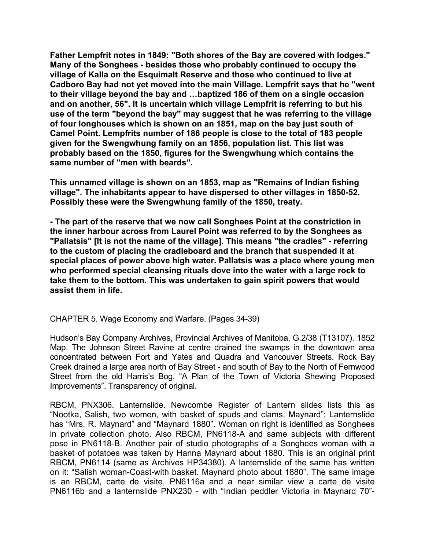**Father Lempfrit notes in 1849: "Both shores of the Bay are covered with lodges." Many of the Songhees - besides those who probably continued to occupy the village of Kalla on the Esquimalt Reserve and those who continued to live at Cadboro Bay had not yet moved into the main Village. Lempfrit says that he "went to their village beyond the bay and …baptized 186 of them on a single occasion and on another, 56". It is uncertain which village Lempfrit is referring to but his use of the term "beyond the bay" may suggest that he was referring to the village of four longhouses which is shown on an 1851, map on the bay just south of Camel Point. Lempfrits number of 186 people is close to the total of 183 people given for the Swengwhung family on an 1856, population list. This list was probably based on the 1850, figures for the Swengwhung which contains the same number of "men with beards".** 

**This unnamed village is shown on an 1853, map as "Remains of Indian fishing village". The inhabitants appear to have dispersed to other villages in 1850-52. Possibly these were the Swengwhung family of the 1850, treaty.** 

**- The part of the reserve that we now call Songhees Point at the constriction in the inner harbour across from Laurel Point was referred to by the Songhees as "Pallatsis" [It is not the name of the village]. This means "the cradles" - referring to the custom of placing the cradleboard and the branch that suspended it at special places of power above high water. Pallatsis was a place where young men who performed special cleansing rituals dove into the water with a large rock to take them to the bottom. This was undertaken to gain spirit powers that would assist them in life.** 

CHAPTER 5. Wage Economy and Warfare. (Pages 34-39)

Hudson's Bay Company Archives, Provincial Archives of Manitoba, G.2/38 (T13107). 1852 Map. The Johnson Street Ravine at centre drained the swamps in the downtown area concentrated between Fort and Yates and Quadra and Vancouver Streets. Rock Bay Creek drained a large area north of Bay Street - and south of Bay to the North of Fernwood Street from the old Harris's Bog. "A Plan of the Town of Victoria Shewing Proposed Improvements". Transparency of original.

RBCM, PNX306. Lanternslide. Newcombe Register of Lantern slides lists this as "Nootka, Salish, two women, with basket of spuds and clams, Maynard"; Lanternslide has "Mrs. R. Maynard" and "Maynard 1880". Woman on right is identified as Songhees in private collection photo. Also RBCM, PN6118-A and same subjects with different pose in PN6118-B. Another pair of studio photographs of a Songhees woman with a basket of potatoes was taken by Hanna Maynard about 1880. This is an original print RBCM, PN6114 (same as Archives HP34380). A lanternslide of the same has written on it: "Salish woman-Coast-with basket. Maynard photo about 1880". The same image is an RBCM, carte de visite, PN6116a and a near similar view a carte de visite PN6116b and a lanternslide PNX230 - with "Indian peddler Victoria in Maynard 70"-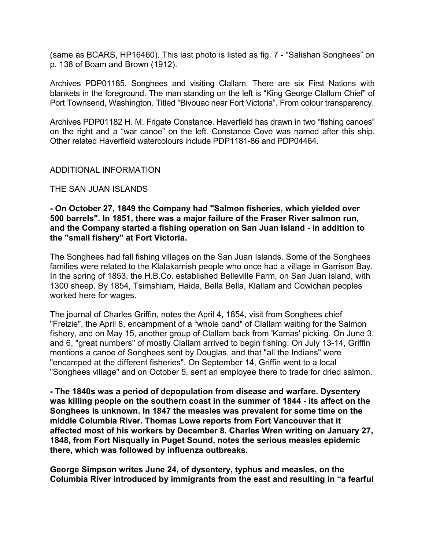(same as BCARS, HP16460). This last photo is listed as fig. 7 - "Salishan Songhees" on p. 138 of Boam and Brown (1912).

Archives PDP01185. Songhees and visiting Clallam. There are six First Nations with blankets in the foreground. The man standing on the left is "King George Clallum Chief" of Port Townsend, Washington. Titled "Bivouac near Fort Victoria". From colour transparency.

Archives PDP01182 H. M. Frigate Constance. Haverfield has drawn in two "fishing canoes" on the right and a "war canoe" on the left. Constance Cove was named after this ship. Other related Haverfield watercolours include PDP1181-86 and PDP04464.

### ADDITIONAL INFORMATION

### THE SAN JUAN ISLANDS

### **- On October 27, 1849 the Company had "Salmon fisheries, which yielded over 500 barrels". In 1851, there was a major failure of the Fraser River salmon run, and the Company started a fishing operation on San Juan Island - in addition to the "small fishery" at Fort Victoria.**

The Songhees had fall fishing villages on the San Juan Islands. Some of the Songhees families were related to the Klalakamish people who once had a village in Garrison Bay. In the spring of 1853, the H.B.Co. established Belleville Farm, on San Juan Island, with 1300 sheep. By 1854, Tsimshiam, Haida, Bella Bella, Klallam and Cowichan peoples worked here for wages.

The journal of Charles Griffin, notes the April 4, 1854, visit from Songhees chief "Freizie", the April 8, encampment of a "whole band" of Clallam waiting for the Salmon fishery, and on May 15, another group of Clallam back from 'Kamas' picking. On June 3, and 6, "great numbers" of mostly Clallam arrived to begin fishing. On July 13-14, Griffin mentions a canoe of Songhees sent by Douglas, and that "all the Indians" were "encamped at the different fisheries". On September 14, Griffin went to a local "Songhees village" and on October 5, sent an employee there to trade for dried salmon.

**- The 1840s was a period of depopulation from disease and warfare. Dysentery was killing people on the southern coast in the summer of 1844 - its affect on the Songhees is unknown. In 1847 the measles was prevalent for some time on the middle Columbia River. Thomas Lowe reports from Fort Vancouver that it affected most of his workers by December 8. Charles Wren writing on January 27, 1848, from Fort Nisqually in Puget Sound, notes the serious measles epidemic there, which was followed by influenza outbreaks.** 

**George Simpson writes June 24, of dysentery, typhus and measles, on the Columbia River introduced by immigrants from the east and resulting in "a fearful**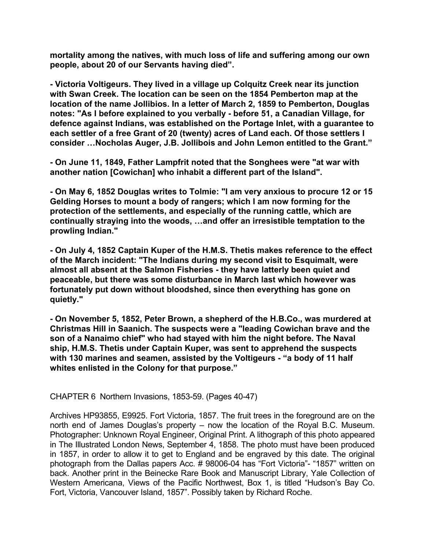**mortality among the natives, with much loss of life and suffering among our own people, about 20 of our Servants having died".** 

**- Victoria Voltigeurs. They lived in a village up Colquitz Creek near its junction with Swan Creek. The location can be seen on the 1854 Pemberton map at the location of the name Jollibios. In a letter of March 2, 1859 to Pemberton, Douglas notes: "As I before explained to you verbally - before 51, a Canadian Village, for defence against Indians, was established on the Portage Inlet, with a guarantee to each settler of a free Grant of 20 (twenty) acres of Land each. Of those settlers I consider …Nocholas Auger, J.B. Jollibois and John Lemon entitled to the Grant."** 

**- On June 11, 1849, Father Lampfrit noted that the Songhees were "at war with another nation [Cowichan] who inhabit a different part of the Island".** 

**- On May 6, 1852 Douglas writes to Tolmie: "I am very anxious to procure 12 or 15 Gelding Horses to mount a body of rangers; which I am now forming for the protection of the settlements, and especially of the running cattle, which are continually straying into the woods, …and offer an irresistible temptation to the prowling Indian."** 

**- On July 4, 1852 Captain Kuper of the H.M.S. Thetis makes reference to the effect of the March incident: "The Indians during my second visit to Esquimalt, were almost all absent at the Salmon Fisheries - they have latterly been quiet and peaceable, but there was some disturbance in March last which however was fortunately put down without bloodshed, since then everything has gone on quietly."** 

**- On November 5, 1852, Peter Brown, a shepherd of the H.B.Co., was murdered at Christmas Hill in Saanich. The suspects were a "leading Cowichan brave and the son of a Nanaimo chief" who had stayed with him the night before. The Naval ship, H.M.S. Thetis under Captain Kuper, was sent to apprehend the suspects with 130 marines and seamen, assisted by the Voltigeurs - "a body of 11 half whites enlisted in the Colony for that purpose."** 

CHAPTER 6 Northern Invasions, 1853-59. (Pages 40-47)

Archives HP93855, E9925. Fort Victoria, 1857. The fruit trees in the foreground are on the north end of James Douglas's property – now the location of the Royal B.C. Museum. Photographer: Unknown Royal Engineer, Original Print. A lithograph of this photo appeared in The Illustrated London News, September 4, 1858. The photo must have been produced in 1857, in order to allow it to get to England and be engraved by this date. The original photograph from the Dallas papers Acc. # 98006-04 has "Fort Victoria"- "1857" written on back. Another print in the Beinecke Rare Book and Manuscript Library, Yale Collection of Western Americana, Views of the Pacific Northwest, Box 1, is titled "Hudson's Bay Co. Fort, Victoria, Vancouver Island, 1857". Possibly taken by Richard Roche.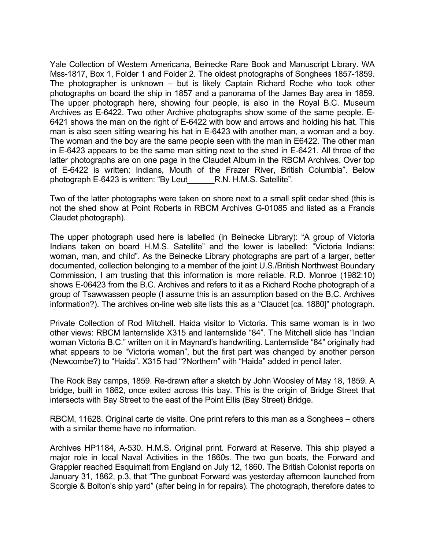Yale Collection of Western Americana, Beinecke Rare Book and Manuscript Library. WA Mss-1817, Box 1, Folder 1 and Folder 2. The oldest photographs of Songhees 1857-1859. The photographer is unknown – but is likely Captain Richard Roche who took other photographs on board the ship in 1857 and a panorama of the James Bay area in 1859. The upper photograph here, showing four people, is also in the Royal B.C. Museum Archives as E-6422. Two other Archive photographs show some of the same people. E-6421 shows the man on the right of E-6422 with bow and arrows and holding his hat. This man is also seen sitting wearing his hat in E-6423 with another man, a woman and a boy. The woman and the boy are the same people seen with the man in E6422. The other man in E-6423 appears to be the same man sitting next to the shed in E-6421. All three of the latter photographs are on one page in the Claudet Album in the RBCM Archives. Over top of E-6422 is written: Indians, Mouth of the Frazer River, British Columbia". Below photograph E-6423 is written: "By Leut\_\_\_\_\_\_R.N. H.M.S. Satellite".

Two of the latter photographs were taken on shore next to a small split cedar shed (this is not the shed show at Point Roberts in RBCM Archives G-01085 and listed as a Francis Claudet photograph).

The upper photograph used here is labelled (in Beinecke Library): "A group of Victoria Indians taken on board H.M.S. Satellite" and the lower is labelled: "Victoria Indians: woman, man, and child". As the Beinecke Library photographs are part of a larger, better documented, collection belonging to a member of the joint U.S./British Northwest Boundary Commission, I am trusting that this information is more reliable. R.D. Monroe (1982:10) shows E-06423 from the B.C. Archives and refers to it as a Richard Roche photograph of a group of Tsawwassen people (I assume this is an assumption based on the B.C. Archives information?). The archives on-line web site lists this as a "Claudet [ca. 1880]" photograph.

Private Collection of Rod Mitchell. Haida visitor to Victoria. This same woman is in two other views: RBCM lanternslide X315 and lanternslide "84". The Mitchell slide has "Indian woman Victoria B.C." written on it in Maynard's handwriting. Lanternslide "84" originally had what appears to be "Victoria woman", but the first part was changed by another person (Newcombe?) to "Haida". X315 had "?Northern" with "Haida" added in pencil later.

The Rock Bay camps, 1859. Re-drawn after a sketch by John Woosley of May 18, 1859. A bridge, built in 1862, once exited across this bay. This is the origin of Bridge Street that intersects with Bay Street to the east of the Point Ellis (Bay Street) Bridge.

RBCM, 11628. Original carte de visite. One print refers to this man as a Songhees – others with a similar theme have no information.

Archives HP1184, A-530. H.M.S. Original print. Forward at Reserve. This ship played a major role in local Naval Activities in the 1860s. The two gun boats, the Forward and Grappler reached Esquimalt from England on July 12, 1860. The British Colonist reports on January 31, 1862, p.3, that "The gunboat Forward was yesterday afternoon launched from Scorgie & Bolton's ship yard" (after being in for repairs). The photograph, therefore dates to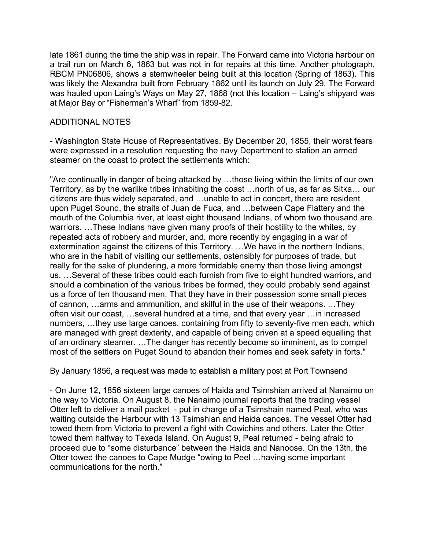late 1861 during the time the ship was in repair. The Forward came into Victoria harbour on a trail run on March 6, 1863 but was not in for repairs at this time. Another photograph, RBCM PN06806, shows a sternwheeler being built at this location (Spring of 1863). This was likely the Alexandra built from February 1862 until its launch on July 29. The Forward was hauled upon Laing's Ways on May 27, 1868 (not this location – Laing's shipyard was at Major Bay or "Fisherman's Wharf" from 1859-82.

## ADDITIONAL NOTES

- Washington State House of Representatives. By December 20, 1855, their worst fears were expressed in a resolution requesting the navy Department to station an armed steamer on the coast to protect the settlements which:

"Are continually in danger of being attacked by …those living within the limits of our own Territory, as by the warlike tribes inhabiting the coast …north of us, as far as Sitka… our citizens are thus widely separated, and …unable to act in concert, there are resident upon Puget Sound, the straits of Juan de Fuca, and …between Cape Flattery and the mouth of the Columbia river, at least eight thousand Indians, of whom two thousand are warriors. …These Indians have given many proofs of their hostility to the whites, by repeated acts of robbery and murder, and, more recently by engaging in a war of extermination against the citizens of this Territory. …We have in the northern Indians, who are in the habit of visiting our settlements, ostensibly for purposes of trade, but really for the sake of plundering, a more formidable enemy than those living amongst us. …Several of these tribes could each furnish from five to eight hundred warriors, and should a combination of the various tribes be formed, they could probably send against us a force of ten thousand men. That they have in their possession some small pieces of cannon, …arms and ammunition, and skilful in the use of their weapons. …They often visit our coast, …several hundred at a time, and that every year …in increased numbers, …they use large canoes, containing from fifty to seventy-five men each, which are managed with great dexterity, and capable of being driven at a speed equalling that of an ordinary steamer. …The danger has recently become so imminent, as to compel most of the settlers on Puget Sound to abandon their homes and seek safety in forts."

By January 1856, a request was made to establish a military post at Port Townsend

- On June 12, 1856 sixteen large canoes of Haida and Tsimshian arrived at Nanaimo on the way to Victoria. On August 8, the Nanaimo journal reports that the trading vessel Otter left to deliver a mail packet - put in charge of a Tsimshain named Peal, who was waiting outside the Harbour with 13 Tsimshian and Haida canoes. The vessel Otter had towed them from Victoria to prevent a fight with Cowichins and others. Later the Otter towed them halfway to Texeda Island. On August 9, Peal returned - being afraid to proceed due to "some disturbance" between the Haida and Nanoose. On the 13th, the Otter towed the canoes to Cape Mudge "owing to Peel …having some important communications for the north."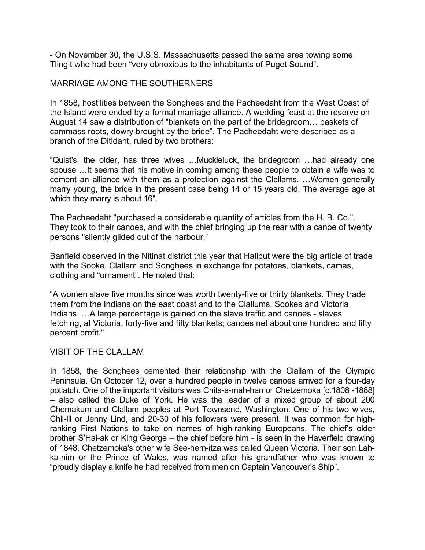- On November 30, the U.S.S. Massachusetts passed the same area towing some Tlingit who had been "very obnoxious to the inhabitants of Puget Sound".

### MARRIAGE AMONG THE SOUTHERNERS

In 1858, hostilities between the Songhees and the Pacheedaht from the West Coast of the Island were ended by a formal marriage alliance. A wedding feast at the reserve on August 14 saw a distribution of "blankets on the part of the bridegroom… baskets of cammass roots, dowry brought by the bride". The Pacheedaht were described as a branch of the Ditidaht, ruled by two brothers:

"Quist's, the older, has three wives …Muckleluck, the bridegroom …had already one spouse …It seems that his motive in coming among these people to obtain a wife was to cement an alliance with them as a protection against the Clallams. …Women generally marry young, the bride in the present case being 14 or 15 years old. The average age at which they marry is about 16".

The Pacheedaht "purchased a considerable quantity of articles from the H. B. Co.". They took to their canoes, and with the chief bringing up the rear with a canoe of twenty persons "silently glided out of the harbour."

Banfield observed in the Nitinat district this year that Halibut were the big article of trade with the Sooke, Clallam and Songhees in exchange for potatoes, blankets, camas, clothing and "ornament". He noted that:

"A women slave five months since was worth twenty-five or thirty blankets. They trade them from the Indians on the east coast and to the Clallums, Sookes and Victoria Indians. …A large percentage is gained on the slave traffic and canoes - slaves fetching, at Victoria, forty-five and fifty blankets; canoes net about one hundred and fifty percent profit."

### VISIT OF THE CLALLAM

In 1858, the Songhees cemented their relationship with the Clallam of the Olympic Peninsula. On October 12, over a hundred people in twelve canoes arrived for a four-day potlatch. One of the important visitors was Chits-a-mah-han or Chetzemoka [c.1808 -1888] – also called the Duke of York. He was the leader of a mixed group of about 200 Chemakum and Clallam peoples at Port Townsend, Washington. One of his two wives, Chil-lil or Jenny Lind, and 20-30 of his followers were present. It was common for highranking First Nations to take on names of high-ranking Europeans. The chief's older brother S'Hai-ak or King George – the chief before him - is seen in the Haverfield drawing of 1848. Chetzemoka's other wife See-hem-itza was called Queen Victoria. Their son Lahka-nim or the Prince of Wales, was named after his grandfather who was known to "proudly display a knife he had received from men on Captain Vancouver's Ship".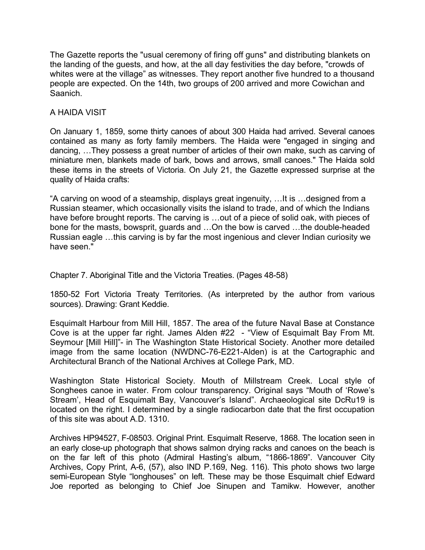The Gazette reports the "usual ceremony of firing off guns" and distributing blankets on the landing of the guests, and how, at the all day festivities the day before, "crowds of whites were at the village" as witnesses. They report another five hundred to a thousand people are expected. On the 14th, two groups of 200 arrived and more Cowichan and Saanich.

## A HAIDA VISIT

On January 1, 1859, some thirty canoes of about 300 Haida had arrived. Several canoes contained as many as forty family members. The Haida were "engaged in singing and dancing, …They possess a great number of articles of their own make, such as carving of miniature men, blankets made of bark, bows and arrows, small canoes." The Haida sold these items in the streets of Victoria. On July 21, the Gazette expressed surprise at the quality of Haida crafts:

"A carving on wood of a steamship, displays great ingenuity, …It is …designed from a Russian steamer, which occasionally visits the island to trade, and of which the Indians have before brought reports. The carving is ... out of a piece of solid oak, with pieces of bone for the masts, bowsprit, guards and …On the bow is carved …the double-headed Russian eagle …this carving is by far the most ingenious and clever Indian curiosity we have seen."

Chapter 7. Aboriginal Title and the Victoria Treaties. (Pages 48-58)

1850-52 Fort Victoria Treaty Territories. (As interpreted by the author from various sources). Drawing: Grant Keddie.

Esquimalt Harbour from Mill Hill, 1857. The area of the future Naval Base at Constance Cove is at the upper far right. James Alden #22 - "View of Esquimalt Bay From Mt. Seymour [Mill Hill]"- in The Washington State Historical Society. Another more detailed image from the same location (NWDNC-76-E221-Alden) is at the Cartographic and Architectural Branch of the National Archives at College Park, MD.

Washington State Historical Society. Mouth of Millstream Creek. Local style of Songhees canoe in water. From colour transparency. Original says "Mouth of 'Rowe's Stream', Head of Esquimalt Bay, Vancouver's Island". Archaeological site DcRu19 is located on the right. I determined by a single radiocarbon date that the first occupation of this site was about A.D. 1310.

Archives HP94527, F-08503. Original Print. Esquimalt Reserve, 1868. The location seen in an early close-up photograph that shows salmon drying racks and canoes on the beach is on the far left of this photo (Admiral Hasting's album, "1866-1869". Vancouver City Archives, Copy Print, A-6, (57), also IND P.169, Neg. 116). This photo shows two large semi-European Style "longhouses" on left. These may be those Esquimalt chief Edward Joe reported as belonging to Chief Joe Sinupen and Tamikw. However, another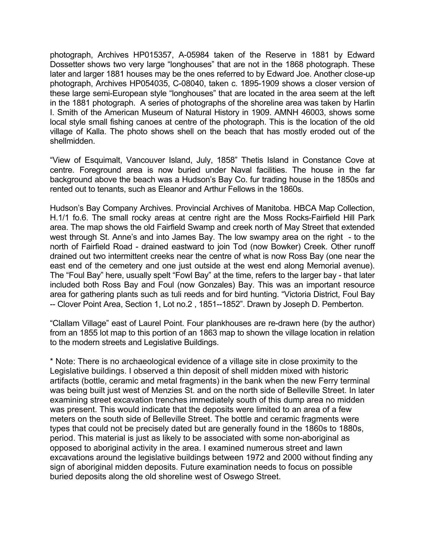photograph, Archives HP015357, A-05984 taken of the Reserve in 1881 by Edward Dossetter shows two very large "longhouses" that are not in the 1868 photograph. These later and larger 1881 houses may be the ones referred to by Edward Joe. Another close-up photograph, Archives HP054035, C-08040, taken c. 1895-1909 shows a closer version of these large semi-European style "longhouses" that are located in the area seem at the left in the 1881 photograph. A series of photographs of the shoreline area was taken by Harlin I. Smith of the American Museum of Natural History in 1909. AMNH 46003, shows some local style small fishing canoes at centre of the photograph. This is the location of the old village of Kalla. The photo shows shell on the beach that has mostly eroded out of the shellmidden.

"View of Esquimalt, Vancouver Island, July, 1858" Thetis Island in Constance Cove at centre. Foreground area is now buried under Naval facilities. The house in the far background above the beach was a Hudson's Bay Co. fur trading house in the 1850s and rented out to tenants, such as Eleanor and Arthur Fellows in the 1860s.

Hudson's Bay Company Archives. Provincial Archives of Manitoba. HBCA Map Collection, H.1/1 fo.6. The small rocky areas at centre right are the Moss Rocks-Fairfield Hill Park area. The map shows the old Fairfield Swamp and creek north of May Street that extended west through St. Anne's and into James Bay. The low swampy area on the right - to the north of Fairfield Road - drained eastward to join Tod (now Bowker) Creek. Other runoff drained out two intermittent creeks near the centre of what is now Ross Bay (one near the east end of the cemetery and one just outside at the west end along Memorial avenue). The "Foul Bay" here, usually spelt "Fowl Bay" at the time, refers to the larger bay - that later included both Ross Bay and Foul (now Gonzales) Bay. This was an important resource area for gathering plants such as tuli reeds and for bird hunting. "Victoria District, Foul Bay -- Clover Point Area, Section 1, Lot no.2 , 1851--1852". Drawn by Joseph D. Pemberton.

"Clallam Village" east of Laurel Point. Four plankhouses are re-drawn here (by the author) from an 1855 lot map to this portion of an 1863 map to shown the village location in relation to the modern streets and Legislative Buildings.

\* Note: There is no archaeological evidence of a village site in close proximity to the Legislative buildings. I observed a thin deposit of shell midden mixed with historic artifacts (bottle, ceramic and metal fragments) in the bank when the new Ferry terminal was being built just west of Menzies St. and on the north side of Belleville Street. In later examining street excavation trenches immediately south of this dump area no midden was present. This would indicate that the deposits were limited to an area of a few meters on the south side of Belleville Street. The bottle and ceramic fragments were types that could not be precisely dated but are generally found in the 1860s to 1880s, period. This material is just as likely to be associated with some non-aboriginal as opposed to aboriginal activity in the area. I examined numerous street and lawn excavations around the legislative buildings between 1972 and 2000 without finding any sign of aboriginal midden deposits. Future examination needs to focus on possible buried deposits along the old shoreline west of Oswego Street.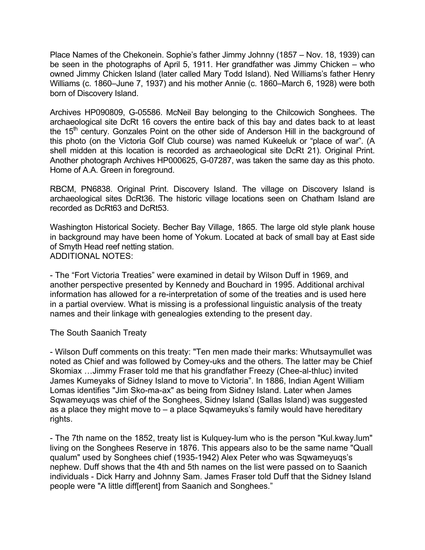Place Names of the Chekonein. Sophie's father Jimmy Johnny (1857 – Nov. 18, 1939) can be seen in the photographs of April 5, 1911. Her grandfather was Jimmy Chicken – who owned Jimmy Chicken Island (later called Mary Todd Island). Ned Williams's father Henry Williams (c. 1860–June 7, 1937) and his mother Annie (c. 1860–March 6, 1928) were both born of Discovery Island.

Archives HP090809, G-05586. McNeil Bay belonging to the Chilcowich Songhees. The archaeological site DcRt 16 covers the entire back of this bay and dates back to at least the  $15<sup>th</sup>$  century. Gonzales Point on the other side of Anderson Hill in the background of this photo (on the Victoria Golf Club course) was named Kukeeluk or "place of war". (A shell midden at this location is recorded as archaeological site DcRt 21). Original Print. Another photograph Archives HP000625, G-07287, was taken the same day as this photo. Home of A.A. Green in foreground.

RBCM, PN6838. Original Print. Discovery Island. The village on Discovery Island is archaeological sites DcRt36. The historic village locations seen on Chatham Island are recorded as DcRt63 and DcRt53.

Washington Historical Society. Becher Bay Village, 1865. The large old style plank house in background may have been home of Yokum. Located at back of small bay at East side of Smyth Head reef netting station. ADDITIONAL NOTES:

- The "Fort Victoria Treaties" were examined in detail by Wilson Duff in 1969, and another perspective presented by Kennedy and Bouchard in 1995. Additional archival information has allowed for a re-interpretation of some of the treaties and is used here in a partial overview. What is missing is a professional linguistic analysis of the treaty names and their linkage with genealogies extending to the present day.

The South Saanich Treaty

- Wilson Duff comments on this treaty: "Ten men made their marks: Whutsaymullet was noted as Chief and was followed by Comey-uks and the others. The latter may be Chief Skomiax …Jimmy Fraser told me that his grandfather Freezy (Chee-al-thluc) invited James Kumeyaks of Sidney Island to move to Victoria". In 1886, Indian Agent William Lomas identifies "Jim Sko-ma-ax" as being from Sidney Island. Later when James Sqwameyuqs was chief of the Songhees, Sidney Island (Sallas Island) was suggested as a place they might move to – a place Sqwameyuks's family would have hereditary rights.

- The 7th name on the 1852, treaty list is Kulquey-lum who is the person "Kul.kway.lum" living on the Songhees Reserve in 1876. This appears also to be the same name "Quall qualum" used by Songhees chief (1935-1942) Alex Peter who was Sqwameyuqs's nephew. Duff shows that the 4th and 5th names on the list were passed on to Saanich individuals - Dick Harry and Johnny Sam. James Fraser told Duff that the Sidney Island people were "A little diff[erent] from Saanich and Songhees."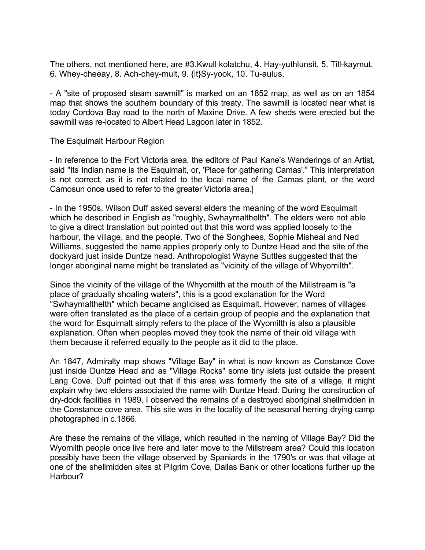The others, not mentioned here, are #3.Kwull kolatchu, 4. Hay-yuthlunsit, 5. Till-kaymut, 6. Whey-cheeay, 8. Ach-chey-mult, 9. {it}Sy-yook, 10. Tu-aulus.

- A "site of proposed steam sawmill" is marked on an 1852 map, as well as on an 1854 map that shows the southern boundary of this treaty. The sawmill is located near what is today Cordova Bay road to the north of Maxine Drive. A few sheds were erected but the sawmill was re-located to Albert Head Lagoon later in 1852.

The Esquimalt Harbour Region

- In reference to the Fort Victoria area, the editors of Paul Kane's Wanderings of an Artist, said "Its Indian name is the Esquimalt, or, 'Place for gathering Camas'." This interpretation is not correct, as it is not related to the local name of the Camas plant, or the word Camosun once used to refer to the greater Victoria area.]

- In the 1950s, Wilson Duff asked several elders the meaning of the word Esquimalt which he described in English as "roughly, Swhaymalthelth". The elders were not able to give a direct translation but pointed out that this word was applied loosely to the harbour, the village, and the people. Two of the Songhees, Sophie Misheal and Ned Williams, suggested the name applies properly only to Duntze Head and the site of the dockyard just inside Duntze head. Anthropologist Wayne Suttles suggested that the longer aboriginal name might be translated as "vicinity of the village of Whyomilth".

Since the vicinity of the village of the Whyomilth at the mouth of the Millstream is "a place of gradually shoaling waters", this is a good explanation for the Word "Swhaymalthelth" which became anglicised as Esquimalt. However, names of villages were often translated as the place of a certain group of people and the explanation that the word for Esquimalt simply refers to the place of the Wyomilth is also a plausible explanation. Often when peoples moved they took the name of their old village with them because it referred equally to the people as it did to the place.

An 1847, Admiralty map shows "Village Bay" in what is now known as Constance Cove just inside Duntze Head and as "Village Rocks" some tiny islets just outside the present Lang Cove. Duff pointed out that if this area was formerly the site of a village, it might explain why two elders associated the name with Duntze Head. During the construction of dry-dock facilities in 1989, I observed the remains of a destroyed aboriginal shellmidden in the Constance cove area. This site was in the locality of the seasonal herring drying camp photographed in c.1866.

Are these the remains of the village, which resulted in the naming of Village Bay? Did the Wyomilth people once live here and later move to the Millstream area? Could this location possibly have been the village observed by Spaniards in the 1790's or was that village at one of the shellmidden sites at Pilgrim Cove, Dallas Bank or other locations further up the Harbour?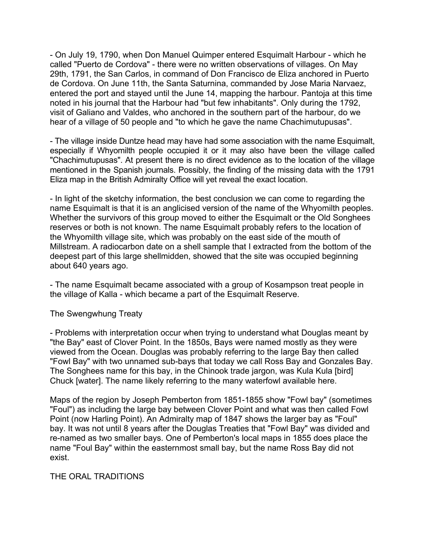- On July 19, 1790, when Don Manuel Quimper entered Esquimalt Harbour - which he called "Puerto de Cordova" - there were no written observations of villages. On May 29th, 1791, the San Carlos, in command of Don Francisco de Eliza anchored in Puerto de Cordova. On June 11th, the Santa Saturnina, commanded by Jose Maria Narvaez, entered the port and stayed until the June 14, mapping the harbour. Pantoja at this time noted in his journal that the Harbour had "but few inhabitants". Only during the 1792, visit of Galiano and Valdes, who anchored in the southern part of the harbour, do we hear of a village of 50 people and "to which he gave the name Chachimutupusas".

- The village inside Duntze head may have had some association with the name Esquimalt, especially if Whyomilth people occupied it or it may also have been the village called "Chachimutupusas". At present there is no direct evidence as to the location of the village mentioned in the Spanish journals. Possibly, the finding of the missing data with the 1791 Eliza map in the British Admiralty Office will yet reveal the exact location.

- In light of the sketchy information, the best conclusion we can come to regarding the name Esquimalt is that it is an anglicised version of the name of the Whyomilth peoples. Whether the survivors of this group moved to either the Esquimalt or the Old Songhees reserves or both is not known. The name Esquimalt probably refers to the location of the Whyomilth village site, which was probably on the east side of the mouth of Millstream. A radiocarbon date on a shell sample that I extracted from the bottom of the deepest part of this large shellmidden, showed that the site was occupied beginning about 640 years ago.

- The name Esquimalt became associated with a group of Kosampson treat people in the village of Kalla - which became a part of the Esquimalt Reserve.

The Swengwhung Treaty

- Problems with interpretation occur when trying to understand what Douglas meant by "the Bay" east of Clover Point. In the 1850s, Bays were named mostly as they were viewed from the Ocean. Douglas was probably referring to the large Bay then called "Fowl Bay" with two unnamed sub-bays that today we call Ross Bay and Gonzales Bay. The Songhees name for this bay, in the Chinook trade jargon, was Kula Kula [bird] Chuck [water]. The name likely referring to the many waterfowl available here.

Maps of the region by Joseph Pemberton from 1851-1855 show "Fowl bay" (sometimes "Foul") as including the large bay between Clover Point and what was then called Fowl Point (now Harling Point). An Admiralty map of 1847 shows the larger bay as "Foul" bay. It was not until 8 years after the Douglas Treaties that "Fowl Bay" was divided and re-named as two smaller bays. One of Pemberton's local maps in 1855 does place the name "Foul Bay" within the easternmost small bay, but the name Ross Bay did not exist.

THE ORAL TRADITIONS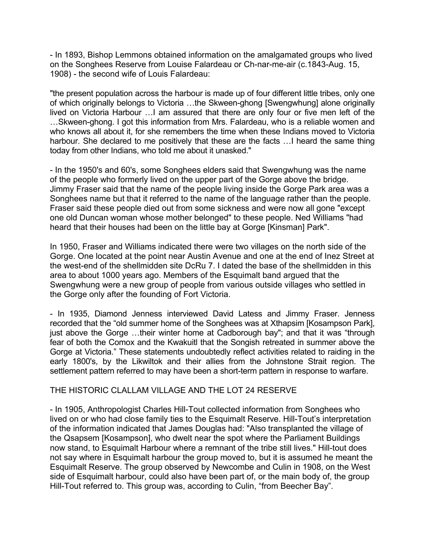- In 1893, Bishop Lemmons obtained information on the amalgamated groups who lived on the Songhees Reserve from Louise Falardeau or Ch-nar-me-air (c.1843-Aug. 15, 1908) - the second wife of Louis Falardeau:

"the present population across the harbour is made up of four different little tribes, only one of which originally belongs to Victoria …the Skween-ghong [Swengwhung] alone originally lived on Victoria Harbour …I am assured that there are only four or five men left of the …Skween-ghong. I got this information from Mrs. Falardeau, who is a reliable women and who knows all about it, for she remembers the time when these Indians moved to Victoria harbour. She declared to me positively that these are the facts ... I heard the same thing today from other Indians, who told me about it unasked."

- In the 1950's and 60's, some Songhees elders said that Swengwhung was the name of the people who formerly lived on the upper part of the Gorge above the bridge. Jimmy Fraser said that the name of the people living inside the Gorge Park area was a Songhees name but that it referred to the name of the language rather than the people. Fraser said these people died out from some sickness and were now all gone "except one old Duncan woman whose mother belonged" to these people. Ned Williams "had heard that their houses had been on the little bay at Gorge [Kinsman] Park".

In 1950, Fraser and Williams indicated there were two villages on the north side of the Gorge. One located at the point near Austin Avenue and one at the end of Inez Street at the west-end of the shellmidden site DcRu 7. I dated the base of the shellmidden in this area to about 1000 years ago. Members of the Esquimalt band argued that the Swengwhung were a new group of people from various outside villages who settled in the Gorge only after the founding of Fort Victoria.

- In 1935, Diamond Jenness interviewed David Latess and Jimmy Fraser. Jenness recorded that the "old summer home of the Songhees was at Xthapsim [Kosampson Park], just above the Gorge …their winter home at Cadborough bay"; and that it was "through fear of both the Comox and the Kwakuitl that the Songish retreated in summer above the Gorge at Victoria." These statements undoubtedly reflect activities related to raiding in the early 1800's, by the Likwiltok and their allies from the Johnstone Strait region. The settlement pattern referred to may have been a short-term pattern in response to warfare.

### THE HISTORIC CLALLAM VILLAGE AND THE LOT 24 RESERVE

- In 1905, Anthropologist Charles Hill-Tout collected information from Songhees who lived on or who had close family ties to the Esquimalt Reserve. Hill-Tout's interpretation of the information indicated that James Douglas had: "Also transplanted the village of the Qsapsem [Kosampson], who dwelt near the spot where the Parliament Buildings now stand, to Esquimalt Harbour where a remnant of the tribe still lives." Hill-tout does not say where in Esquimalt harbour the group moved to, but it is assumed he meant the Esquimalt Reserve. The group observed by Newcombe and Culin in 1908, on the West side of Esquimalt harbour, could also have been part of, or the main body of, the group Hill-Tout referred to. This group was, according to Culin, "from Beecher Bay".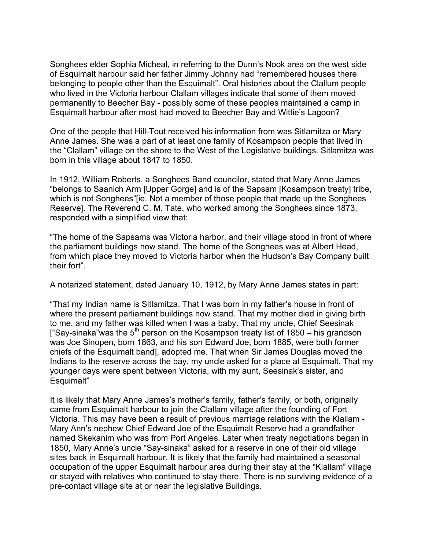Songhees elder Sophia Micheal, in referring to the Dunn's Nook area on the west side of Esquimalt harbour said her father Jimmy Johnny had "remembered houses there belonging to people other than the Esquimalt". Oral histories about the Clallum people who lived in the Victoria harbour Clallam villages indicate that some of them moved permanently to Beecher Bay - possibly some of these peoples maintained a camp in Esquimalt harbour after most had moved to Beecher Bay and Wittie's Lagoon?

One of the people that Hill-Tout received his information from was Sitlamitza or Mary Anne James. She was a part of at least one family of Kosampson people that lived in the "Clallam" village on the shore to the West of the Legislative buildings. Sitlamitza was born in this village about 1847 to 1850.

In 1912, William Roberts, a Songhees Band councilor, stated that Mary Anne James "belongs to Saanich Arm [Upper Gorge] and is of the Sapsam [Kosampson treaty] tribe, which is not Songhees" [ie. Not a member of those people that made up the Songhees Reserve]. The Reverend C. M. Tate, who worked among the Songhees since 1873, responded with a simplified view that:

"The home of the Sapsams was Victoria harbor, and their village stood in front of where the parliament buildings now stand. The home of the Songhees was at Albert Head, from which place they moved to Victoria harbor when the Hudson's Bay Company built their fort".

A notarized statement, dated January 10, 1912, by Mary Anne James states in part:

"That my Indian name is Sitlamitza. That I was born in my father's house in front of where the present parliament buildings now stand. That my mother died in giving birth to me, and my father was killed when I was a baby. That my uncle, Chief Seesinak ["Say-sinaka" was the  $5<sup>th</sup>$  person on the Kosampson treaty list of 1850 – his grandson was Joe Sinopen, born 1863, and his son Edward Joe, born 1885, were both former chiefs of the Esquimalt band], adopted me. That when Sir James Douglas moved the Indians to the reserve across the bay, my uncle asked for a place at Esquimalt. That my younger days were spent between Victoria, with my aunt, Seesinak's sister, and Esquimalt"

It is likely that Mary Anne James's mother's family, father's family, or both, originally came from Esquimalt harbour to join the Clallam village after the founding of Fort Victoria. This may have been a result of previous marriage relations with the Klallam - Mary Ann's nephew Chief Edward Joe of the Esquimalt Reserve had a grandfather named Skekanim who was from Port Angeles. Later when treaty negotiations began in 1850, Mary Anne's uncle "Say-sinaka" asked for a reserve in one of their old village sites back in Esquimalt harbour. It is likely that the family had maintained a seasonal occupation of the upper Esquimalt harbour area during their stay at the "Klallam" village or stayed with relatives who continued to stay there. There is no surviving evidence of a pre-contact village site at or near the legislative Buildings.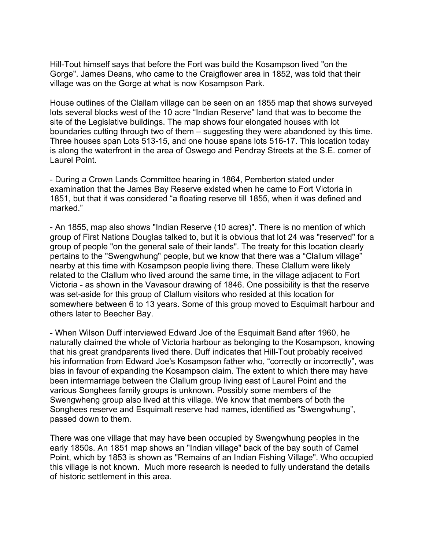Hill-Tout himself says that before the Fort was build the Kosampson lived "on the Gorge". James Deans, who came to the Craigflower area in 1852, was told that their village was on the Gorge at what is now Kosampson Park.

House outlines of the Clallam village can be seen on an 1855 map that shows surveyed lots several blocks west of the 10 acre "Indian Reserve" land that was to become the site of the Legislative buildings. The map shows four elongated houses with lot boundaries cutting through two of them – suggesting they were abandoned by this time. Three houses span Lots 513-15, and one house spans lots 516-17. This location today is along the waterfront in the area of Oswego and Pendray Streets at the S.E. corner of Laurel Point.

- During a Crown Lands Committee hearing in 1864, Pemberton stated under examination that the James Bay Reserve existed when he came to Fort Victoria in 1851, but that it was considered "a floating reserve till 1855, when it was defined and marked."

- An 1855, map also shows "Indian Reserve (10 acres)". There is no mention of which group of First Nations Douglas talked to, but it is obvious that lot 24 was "reserved" for a group of people "on the general sale of their lands". The treaty for this location clearly pertains to the "Swengwhung" people, but we know that there was a "Clallum village" nearby at this time with Kosampson people living there. These Clallum were likely related to the Clallum who lived around the same time, in the village adjacent to Fort Victoria - as shown in the Vavasour drawing of 1846. One possibility is that the reserve was set-aside for this group of Clallum visitors who resided at this location for somewhere between 6 to 13 years. Some of this group moved to Esquimalt harbour and others later to Beecher Bay.

- When Wilson Duff interviewed Edward Joe of the Esquimalt Band after 1960, he naturally claimed the whole of Victoria harbour as belonging to the Kosampson, knowing that his great grandparents lived there. Duff indicates that Hill-Tout probably received his information from Edward Joe's Kosampson father who, "correctly or incorrectly", was bias in favour of expanding the Kosampson claim. The extent to which there may have been intermarriage between the Clallum group living east of Laurel Point and the various Songhees family groups is unknown. Possibly some members of the Swengwheng group also lived at this village. We know that members of both the Songhees reserve and Esquimalt reserve had names, identified as "Swengwhung", passed down to them.

There was one village that may have been occupied by Swengwhung peoples in the early 1850s. An 1851 map shows an "Indian village" back of the bay south of Camel Point, which by 1853 is shown as "Remains of an Indian Fishing Village". Who occupied this village is not known. Much more research is needed to fully understand the details of historic settlement in this area.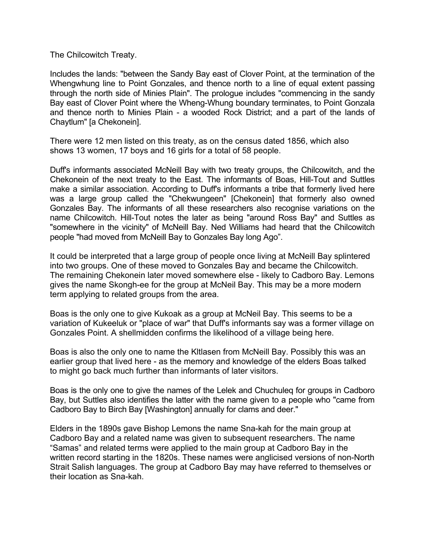The Chilcowitch Treaty.

Includes the lands: "between the Sandy Bay east of Clover Point, at the termination of the Whengwhung line to Point Gonzales, and thence north to a line of equal extent passing through the north side of Minies Plain". The prologue includes "commencing in the sandy Bay east of Clover Point where the Wheng-Whung boundary terminates, to Point Gonzala and thence north to Minies Plain - a wooded Rock District; and a part of the lands of Chaytlum" [a Chekonein].

There were 12 men listed on this treaty, as on the census dated 1856, which also shows 13 women, 17 boys and 16 girls for a total of 58 people.

Duff's informants associated McNeill Bay with two treaty groups, the Chilcowitch, and the Chekonein of the next treaty to the East. The informants of Boas, Hill-Tout and Suttles make a similar association. According to Duff's informants a tribe that formerly lived here was a large group called the "Chekwungeen" [Chekonein] that formerly also owned Gonzales Bay. The informants of all these researchers also recognise variations on the name Chilcowitch. Hill-Tout notes the later as being "around Ross Bay" and Suttles as "somewhere in the vicinity" of McNeill Bay. Ned Williams had heard that the Chilcowitch people "had moved from McNeill Bay to Gonzales Bay long Ago".

It could be interpreted that a large group of people once living at McNeill Bay splintered into two groups. One of these moved to Gonzales Bay and became the Chilcowitch. The remaining Chekonein later moved somewhere else - likely to Cadboro Bay. Lemons gives the name Skongh-ee for the group at McNeil Bay. This may be a more modern term applying to related groups from the area.

Boas is the only one to give Kukoak as a group at McNeil Bay. This seems to be a variation of Kukeeluk or "place of war" that Duff's informants say was a former village on Gonzales Point. A shellmidden confirms the likelihood of a village being here.

Boas is also the only one to name the Kltlasen from McNeill Bay. Possibly this was an earlier group that lived here - as the memory and knowledge of the elders Boas talked to might go back much further than informants of later visitors.

Boas is the only one to give the names of the Lelek and Chuchuleq for groups in Cadboro Bay, but Suttles also identifies the latter with the name given to a people who "came from Cadboro Bay to Birch Bay [Washington] annually for clams and deer."

Elders in the 1890s gave Bishop Lemons the name Sna-kah for the main group at Cadboro Bay and a related name was given to subsequent researchers. The name "Samas" and related terms were applied to the main group at Cadboro Bay in the written record starting in the 1820s. These names were anglicised versions of non-North Strait Salish languages. The group at Cadboro Bay may have referred to themselves or their location as Sna-kah.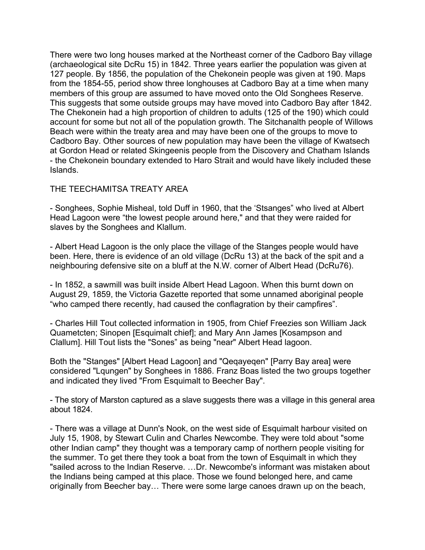There were two long houses marked at the Northeast corner of the Cadboro Bay village (archaeological site DcRu 15) in 1842. Three years earlier the population was given at 127 people. By 1856, the population of the Chekonein people was given at 190. Maps from the 1854-55, period show three longhouses at Cadboro Bay at a time when many members of this group are assumed to have moved onto the Old Songhees Reserve. This suggests that some outside groups may have moved into Cadboro Bay after 1842. The Chekonein had a high proportion of children to adults (125 of the 190) which could account for some but not all of the population growth. The Sitchanalth people of Willows Beach were within the treaty area and may have been one of the groups to move to Cadboro Bay. Other sources of new population may have been the village of Kwatsech at Gordon Head or related Skingeenis people from the Discovery and Chatham Islands - the Chekonein boundary extended to Haro Strait and would have likely included these Islands.

### THE TEECHAMITSA TREATY AREA

- Songhees, Sophie Misheal, told Duff in 1960, that the 'Stsanges" who lived at Albert Head Lagoon were "the lowest people around here," and that they were raided for slaves by the Songhees and Klallum.

- Albert Head Lagoon is the only place the village of the Stanges people would have been. Here, there is evidence of an old village (DcRu 13) at the back of the spit and a neighbouring defensive site on a bluff at the N.W. corner of Albert Head (DcRu76).

- In 1852, a sawmill was built inside Albert Head Lagoon. When this burnt down on August 29, 1859, the Victoria Gazette reported that some unnamed aboriginal people "who camped there recently, had caused the conflagration by their campfires".

- Charles Hill Tout collected information in 1905, from Chief Freezies son William Jack Quametcten; Sinopen [Esquimalt chief]; and Mary Ann James [Kosampson and Clallum]. Hill Tout lists the "Sones" as being "near" Albert Head lagoon.

Both the "Stanges" [Albert Head Lagoon] and "Qeqayeqen" [Parry Bay area] were considered "Lqungen" by Songhees in 1886. Franz Boas listed the two groups together and indicated they lived "From Esquimalt to Beecher Bay".

- The story of Marston captured as a slave suggests there was a village in this general area about 1824.

- There was a village at Dunn's Nook, on the west side of Esquimalt harbour visited on July 15, 1908, by Stewart Culin and Charles Newcombe. They were told about "some other Indian camp" they thought was a temporary camp of northern people visiting for the summer. To get there they took a boat from the town of Esquimalt in which they "sailed across to the Indian Reserve. …Dr. Newcombe's informant was mistaken about the Indians being camped at this place. Those we found belonged here, and came originally from Beecher bay… There were some large canoes drawn up on the beach,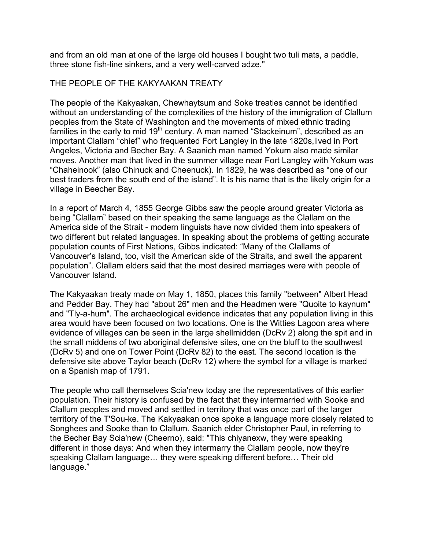and from an old man at one of the large old houses I bought two tuli mats, a paddle, three stone fish-line sinkers, and a very well-carved adze."

### THE PEOPLE OF THE KAKYAAKAN TREATY

The people of the Kakyaakan, Chewhaytsum and Soke treaties cannot be identified without an understanding of the complexities of the history of the immigration of Clallum peoples from the State of Washington and the movements of mixed ethnic trading families in the early to mid 19<sup>th</sup> century. A man named "Stackeinum", described as an important Clallam "chief" who frequented Fort Langley in the late 1820s,lived in Port Angeles, Victoria and Becher Bay. A Saanich man named Yokum also made similar moves. Another man that lived in the summer village near Fort Langley with Yokum was "Chaheinook" (also Chinuck and Cheenuck). In 1829, he was described as "one of our best traders from the south end of the island". It is his name that is the likely origin for a village in Beecher Bay.

In a report of March 4, 1855 George Gibbs saw the people around greater Victoria as being "Clallam" based on their speaking the same language as the Clallam on the America side of the Strait - modern linguists have now divided them into speakers of two different but related languages. In speaking about the problems of getting accurate population counts of First Nations, Gibbs indicated: "Many of the Clallams of Vancouver's Island, too, visit the American side of the Straits, and swell the apparent population". Clallam elders said that the most desired marriages were with people of Vancouver Island.

The Kakyaakan treaty made on May 1, 1850, places this family "between" Albert Head and Pedder Bay. They had "about 26" men and the Headmen were "Quoite to kaynum" and "Tly-a-hum". The archaeological evidence indicates that any population living in this area would have been focused on two locations. One is the Witties Lagoon area where evidence of villages can be seen in the large shellmidden (DcRv 2) along the spit and in the small middens of two aboriginal defensive sites, one on the bluff to the southwest (DcRv 5) and one on Tower Point (DcRv 82) to the east. The second location is the defensive site above Taylor beach (DcRv 12) where the symbol for a village is marked on a Spanish map of 1791.

The people who call themselves Scia'new today are the representatives of this earlier population. Their history is confused by the fact that they intermarried with Sooke and Clallum peoples and moved and settled in territory that was once part of the larger territory of the T'Sou-ke. The Kakyaakan once spoke a language more closely related to Songhees and Sooke than to Clallum. Saanich elder Christopher Paul, in referring to the Becher Bay Scia'new (Cheerno), said: "This chiyanexw, they were speaking different in those days: And when they intermarry the Clallam people, now they're speaking Clallam language… they were speaking different before… Their old language."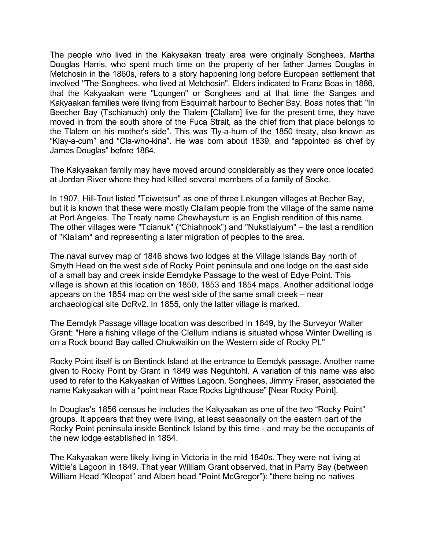The people who lived in the Kakyaakan treaty area were originally Songhees. Martha Douglas Harris, who spent much time on the property of her father James Douglas in Metchosin in the 1860s, refers to a story happening long before European settlement that involved "The Songhees, who lived at Metchosin". Elders indicated to Franz Boas in 1886, that the Kakyaakan were "Lqungen" or Songhees and at that time the Sanges and Kakyaakan families were living from Esquimalt harbour to Becher Bay. Boas notes that: "In Beecher Bay (Tschianuch) only the Tlalem [Clallam] live for the present time, they have moved in from the south shore of the Fuca Strait, as the chief from that place belongs to the Tlalem on his mother's side". This was Tly-a-hum of the 1850 treaty, also known as "Klay-a-cum" and "Cla-who-kina". He was born about 1839, and "appointed as chief by James Douglas" before 1864.

The Kakyaakan family may have moved around considerably as they were once located at Jordan River where they had killed several members of a family of Sooke.

In 1907, Hill-Tout listed "Tciwetsun" as one of three Lekungen villages at Becher Bay, but it is known that these were mostly Clallam people from the village of the same name at Port Angeles. The Treaty name Chewhaystum is an English rendition of this name. The other villages were "Tcianuk" ("Chiahnook") and "Nukstlaiyum" – the last a rendition of "Klallam" and representing a later migration of peoples to the area.

The naval survey map of 1846 shows two lodges at the Village Islands Bay north of Smyth Head on the west side of Rocky Point peninsula and one lodge on the east side of a small bay and creek inside Eemdyke Passage to the west of Edye Point. This village is shown at this location on 1850, 1853 and 1854 maps. Another additional lodge appears on the 1854 map on the west side of the same small creek – near archaeological site DcRv2. In 1855, only the latter village is marked.

The Eemdyk Passage village location was described in 1849, by the Surveyor Walter Grant: "Here a fishing village of the Clellum indians is situated whose Winter Dwelling is on a Rock bound Bay called Chukwaikin on the Western side of Rocky Pt."

Rocky Point itself is on Bentinck Island at the entrance to Eemdyk passage. Another name given to Rocky Point by Grant in 1849 was Neguhtohl. A variation of this name was also used to refer to the Kakyaakan of Witties Lagoon. Songhees, Jimmy Fraser, associated the name Kakyaakan with a "point near Race Rocks Lighthouse" [Near Rocky Point].

In Douglas's 1856 census he includes the Kakyaakan as one of the two "Rocky Point" groups. It appears that they were living, at least seasonally on the eastern part of the Rocky Point peninsula inside Bentinck Island by this time - and may be the occupants of the new lodge established in 1854.

The Kakyaakan were likely living in Victoria in the mid 1840s. They were not living at Wittie's Lagoon in 1849. That year William Grant observed, that in Parry Bay (between William Head "Kleopat" and Albert head "Point McGregor"): "there being no natives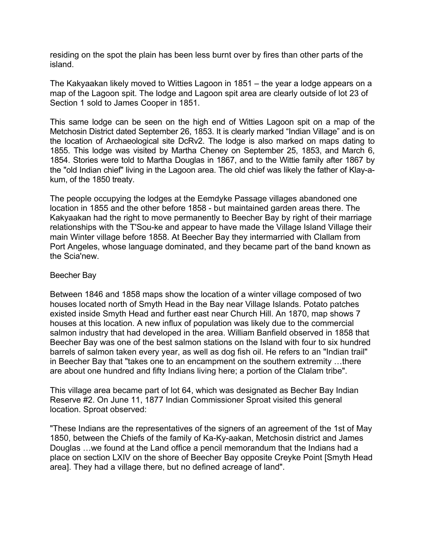residing on the spot the plain has been less burnt over by fires than other parts of the island.

The Kakyaakan likely moved to Witties Lagoon in 1851 – the year a lodge appears on a map of the Lagoon spit. The lodge and Lagoon spit area are clearly outside of lot 23 of Section 1 sold to James Cooper in 1851.

This same lodge can be seen on the high end of Witties Lagoon spit on a map of the Metchosin District dated September 26, 1853. It is clearly marked "Indian Village" and is on the location of Archaeological site DcRv2. The lodge is also marked on maps dating to 1855. This lodge was visited by Martha Cheney on September 25, 1853, and March 6, 1854. Stories were told to Martha Douglas in 1867, and to the Wittie family after 1867 by the "old Indian chief" living in the Lagoon area. The old chief was likely the father of Klay-akum, of the 1850 treaty.

The people occupying the lodges at the Eemdyke Passage villages abandoned one location in 1855 and the other before 1858 - but maintained garden areas there. The Kakyaakan had the right to move permanently to Beecher Bay by right of their marriage relationships with the T'Sou-ke and appear to have made the Village Island Village their main Winter village before 1858. At Beecher Bay they intermarried with Clallam from Port Angeles, whose language dominated, and they became part of the band known as the Scia'new.

#### Beecher Bay

Between 1846 and 1858 maps show the location of a winter village composed of two houses located north of Smyth Head in the Bay near Village Islands. Potato patches existed inside Smyth Head and further east near Church Hill. An 1870, map shows 7 houses at this location. A new influx of population was likely due to the commercial salmon industry that had developed in the area. William Banfield observed in 1858 that Beecher Bay was one of the best salmon stations on the Island with four to six hundred barrels of salmon taken every year, as well as dog fish oil. He refers to an "Indian trail" in Beecher Bay that "takes one to an encampment on the southern extremity …there are about one hundred and fifty Indians living here; a portion of the Clalam tribe".

This village area became part of lot 64, which was designated as Becher Bay Indian Reserve #2. On June 11, 1877 Indian Commissioner Sproat visited this general location. Sproat observed:

"These Indians are the representatives of the signers of an agreement of the 1st of May 1850, between the Chiefs of the family of Ka-Ky-aakan, Metchosin district and James Douglas …we found at the Land office a pencil memorandum that the Indians had a place on section LXIV on the shore of Beecher Bay opposite Creyke Point [Smyth Head area]. They had a village there, but no defined acreage of land".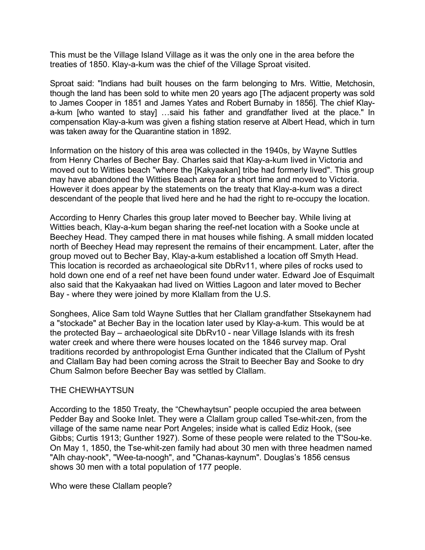This must be the Village Island Village as it was the only one in the area before the treaties of 1850. Klay-a-kum was the chief of the Village Sproat visited.

Sproat said: "Indians had built houses on the farm belonging to Mrs. Wittie, Metchosin, though the land has been sold to white men 20 years ago [The adjacent property was sold to James Cooper in 1851 and James Yates and Robert Burnaby in 1856]. The chief Klaya-kum [who wanted to stay] …said his father and grandfather lived at the place." In compensation Klay-a-kum was given a fishing station reserve at Albert Head, which in turn was taken away for the Quarantine station in 1892.

Information on the history of this area was collected in the 1940s, by Wayne Suttles from Henry Charles of Becher Bay. Charles said that Klay-a-kum lived in Victoria and moved out to Witties beach "where the [Kakyaakan] tribe had formerly lived". This group may have abandoned the Witties Beach area for a short time and moved to Victoria. However it does appear by the statements on the treaty that Klay-a-kum was a direct descendant of the people that lived here and he had the right to re-occupy the location.

According to Henry Charles this group later moved to Beecher bay. While living at Witties beach, Klay-a-kum began sharing the reef-net location with a Sooke uncle at Beechey Head. They camped there in mat houses while fishing. A small midden located north of Beechey Head may represent the remains of their encampment. Later, after the group moved out to Becher Bay, Klay-a-kum established a location off Smyth Head. This location is recorded as archaeological site DbRv11, where piles of rocks used to hold down one end of a reef net have been found under water. Edward Joe of Esquimalt also said that the Kakyaakan had lived on Witties Lagoon and later moved to Becher Bay - where they were joined by more Klallam from the U.S.

Songhees, Alice Sam told Wayne Suttles that her Clallam grandfather Stsekaynem had a "stockade" at Becher Bay in the location later used by Klay-a-kum. This would be at the protected Bay – archaeological site DbRv10 - near Village Islands with its fresh water creek and where there were houses located on the 1846 survey map. Oral traditions recorded by anthropologist Erna Gunther indicated that the Clallum of Pysht and Clallam Bay had been coming across the Strait to Beecher Bay and Sooke to dry Chum Salmon before Beecher Bay was settled by Clallam.

### THE CHEWHAYTSUN

According to the 1850 Treaty, the "Chewhaytsun" people occupied the area between Pedder Bay and Sooke Inlet. They were a Clallam group called Tse-whit-zen, from the village of the same name near Port Angeles; inside what is called Ediz Hook, (see Gibbs; Curtis 1913; Gunther 1927). Some of these people were related to the T'Sou-ke. On May 1, 1850, the Tse-whit-zen family had about 30 men with three headmen named "Alh chay-nook", "Wee-ta-noogh", and "Chanas-kaynum". Douglas's 1856 census shows 30 men with a total population of 177 people.

Who were these Clallam people?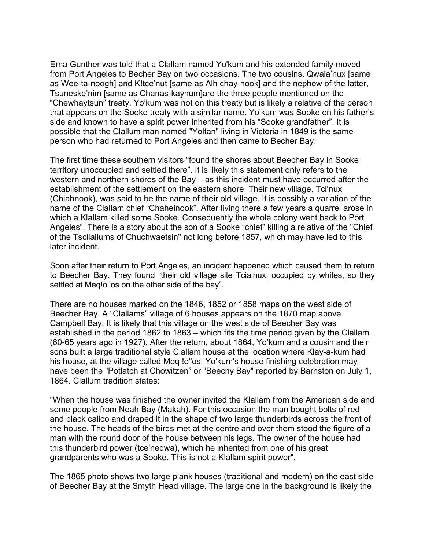Erna Gunther was told that a Clallam named Yo'kum and his extended family moved from Port Angeles to Becher Bay on two occasions. The two cousins, Qwaia'nux [same as Wee-ta-noogh] and K!tce'nut [same as Alh chay-nook] and the nephew of the latter, Tsuneske'nim [same as Chanas-kaynum]are the three people mentioned on the "Chewhaytsun" treaty. Yo'kum was not on this treaty but is likely a relative of the person that appears on the Sooke treaty with a similar name. Yo'kum was Sooke on his father's side and known to have a spirit power inherited from his "Sooke grandfather". It is possible that the Clallum man named "Yoltan" living in Victoria in 1849 is the same person who had returned to Port Angeles and then came to Becher Bay.

The first time these southern visitors "found the shores about Beecher Bay in Sooke territory unoccupied and settled there". It is likely this statement only refers to the western and northern shores of the Bay – as this incident must have occurred after the establishment of the settlement on the eastern shore. Their new village, Tci'nux (Chiahnook), was said to be the name of their old village. It is possibly a variation of the name of the Clallam chief "Chaheinook". After living there a few years a quarrel arose in which a Klallam killed some Sooke. Consequently the whole colony went back to Port Angeles". There is a story about the son of a Sooke "chief" killing a relative of the "Chief of the Tscllallums of Chuchwaetsin" not long before 1857, which may have led to this later incident.

Soon after their return to Port Angeles, an incident happened which caused them to return to Beecher Bay. They found "their old village site Tcia'nux, occupied by whites, so they settled at Meq!o" os on the other side of the bay".

There are no houses marked on the 1846, 1852 or 1858 maps on the west side of Beecher Bay. A "Clallams" village of 6 houses appears on the 1870 map above Campbell Bay. It is likely that this village on the west side of Beecher Bay was established in the period 1862 to 1863 – which fits the time period given by the Clallam (60-65 years ago in 1927). After the return, about 1864, Yo'kum and a cousin and their sons built a large traditional style Clallam house at the location where Klay-a-kum had his house, at the village called Meq !o''os. Yo'kum's house finishing celebration may have been the "Potlatch at Chowitzen" or "Beechy Bay" reported by Barnston on July 1, 1864. Clallum tradition states:

"When the house was finished the owner invited the Klallam from the American side and some people from Neah Bay (Makah). For this occasion the man bought bolts of red and black calico and draped it in the shape of two large thunderbirds across the front of the house. The heads of the birds met at the centre and over them stood the figure of a man with the round door of the house between his legs. The owner of the house had this thunderbird power (tce'neqwa), which he inherited from one of his great grandparents who was a Sooke. This is not a Klallam spirit power".

The 1865 photo shows two large plank houses (traditional and modern) on the east side of Beecher Bay at the Smyth Head village. The large one in the background is likely the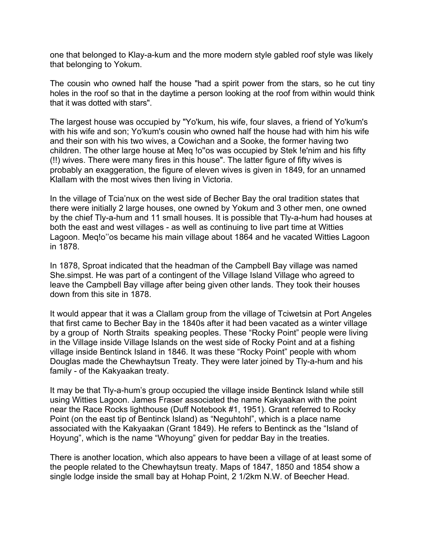one that belonged to Klay-a-kum and the more modern style gabled roof style was likely that belonging to Yokum.

The cousin who owned half the house "had a spirit power from the stars, so he cut tiny holes in the roof so that in the daytime a person looking at the roof from within would think that it was dotted with stars".

The largest house was occupied by "Yo'kum, his wife, four slaves, a friend of Yo'kum's with his wife and son; Yo'kum's cousin who owned half the house had with him his wife and their son with his two wives, a Cowichan and a Sooke, the former having two children. The other large house at Meq !o''os was occupied by Stek !e'nim and his fifty (!!) wives. There were many fires in this house". The latter figure of fifty wives is probably an exaggeration, the figure of eleven wives is given in 1849, for an unnamed Klallam with the most wives then living in Victoria.

In the village of Tcia'nux on the west side of Becher Bay the oral tradition states that there were initially 2 large houses, one owned by Yokum and 3 other men, one owned by the chief Tly-a-hum and 11 small houses. It is possible that Tly-a-hum had houses at both the east and west villages - as well as continuing to live part time at Witties Lagoon. Meq!o''os became his main village about 1864 and he vacated Witties Lagoon in 1878.

In 1878, Sproat indicated that the headman of the Campbell Bay village was named She.simpst. He was part of a contingent of the Village Island Village who agreed to leave the Campbell Bay village after being given other lands. They took their houses down from this site in 1878.

It would appear that it was a Clallam group from the village of Tciwetsin at Port Angeles that first came to Becher Bay in the 1840s after it had been vacated as a winter village by a group of North Straits speaking peoples. These "Rocky Point" people were living in the Village inside Village Islands on the west side of Rocky Point and at a fishing village inside Bentinck Island in 1846. It was these "Rocky Point" people with whom Douglas made the Chewhaytsun Treaty. They were later joined by Tly-a-hum and his family - of the Kakyaakan treaty.

It may be that Tly-a-hum's group occupied the village inside Bentinck Island while still using Witties Lagoon. James Fraser associated the name Kakyaakan with the point near the Race Rocks lighthouse (Duff Notebook #1, 1951). Grant referred to Rocky Point (on the east tip of Bentinck Island) as "Neguhtohl", which is a place name associated with the Kakyaakan (Grant 1849). He refers to Bentinck as the "Island of Hoyung", which is the name "Whoyung" given for peddar Bay in the treaties.

There is another location, which also appears to have been a village of at least some of the people related to the Chewhaytsun treaty. Maps of 1847, 1850 and 1854 show a single lodge inside the small bay at Hohap Point, 2 1/2km N.W. of Beecher Head.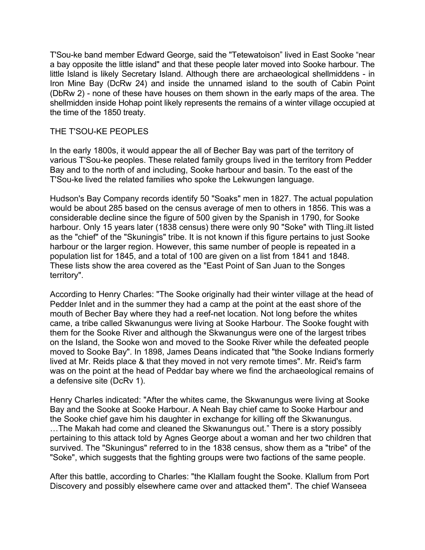T'Sou-ke band member Edward George, said the "Tetewatoison" lived in East Sooke "near a bay opposite the little island" and that these people later moved into Sooke harbour. The little Island is likely Secretary Island. Although there are archaeological shellmiddens - in Iron Mine Bay (DcRw 24) and inside the unnamed island to the south of Cabin Point (DbRw 2) - none of these have houses on them shown in the early maps of the area. The shellmidden inside Hohap point likely represents the remains of a winter village occupied at the time of the 1850 treaty.

## THE T'SOU-KE PEOPLES

In the early 1800s, it would appear the all of Becher Bay was part of the territory of various T'Sou-ke peoples. These related family groups lived in the territory from Pedder Bay and to the north of and including, Sooke harbour and basin. To the east of the T'Sou-ke lived the related families who spoke the Lekwungen language.

Hudson's Bay Company records identify 50 "Soaks" men in 1827. The actual population would be about 285 based on the census average of men to others in 1856. This was a considerable decline since the figure of 500 given by the Spanish in 1790, for Sooke harbour. Only 15 years later (1838 census) there were only 90 "Soke" with Tling.ilt listed as the "chief" of the "Skuningis" tribe. It is not known if this figure pertains to just Sooke harbour or the larger region. However, this same number of people is repeated in a population list for 1845, and a total of 100 are given on a list from 1841 and 1848. These lists show the area covered as the "East Point of San Juan to the Songes territory".

According to Henry Charles: "The Sooke originally had their winter village at the head of Pedder Inlet and in the summer they had a camp at the point at the east shore of the mouth of Becher Bay where they had a reef-net location. Not long before the whites came, a tribe called Skwanungus were living at Sooke Harbour. The Sooke fought with them for the Sooke River and although the Skwanungus were one of the largest tribes on the Island, the Sooke won and moved to the Sooke River while the defeated people moved to Sooke Bay". In 1898, James Deans indicated that "the Sooke Indians formerly lived at Mr. Reids place & that they moved in not very remote times". Mr. Reid's farm was on the point at the head of Peddar bay where we find the archaeological remains of a defensive site (DcRv 1).

Henry Charles indicated: "After the whites came, the Skwanungus were living at Sooke Bay and the Sooke at Sooke Harbour. A Neah Bay chief came to Sooke Harbour and the Sooke chief gave him his daughter in exchange for killing off the Skwanungus. …The Makah had come and cleaned the Skwanungus out." There is a story possibly pertaining to this attack told by Agnes George about a woman and her two children that survived. The "Skuningus" referred to in the 1838 census, show them as a "tribe" of the "Soke", which suggests that the fighting groups were two factions of the same people.

After this battle, according to Charles: "the Klallam fought the Sooke. Klallum from Port Discovery and possibly elsewhere came over and attacked them". The chief Wanseea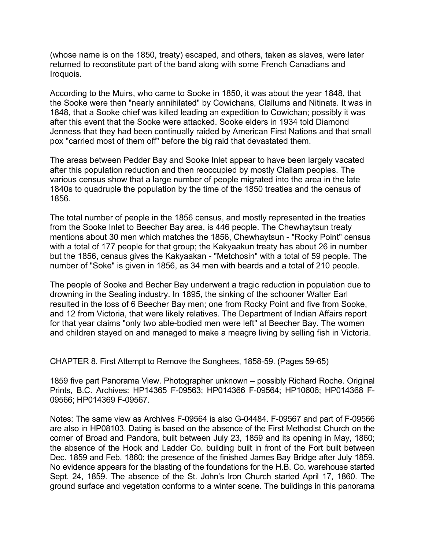(whose name is on the 1850, treaty) escaped, and others, taken as slaves, were later returned to reconstitute part of the band along with some French Canadians and Iroquois.

According to the Muirs, who came to Sooke in 1850, it was about the year 1848, that the Sooke were then "nearly annihilated" by Cowichans, Clallums and Nitinats. It was in 1848, that a Sooke chief was killed leading an expedition to Cowichan; possibly it was after this event that the Sooke were attacked. Sooke elders in 1934 told Diamond Jenness that they had been continually raided by American First Nations and that small pox "carried most of them off" before the big raid that devastated them.

The areas between Pedder Bay and Sooke Inlet appear to have been largely vacated after this population reduction and then reoccupied by mostly Clallam peoples. The various census show that a large number of people migrated into the area in the late 1840s to quadruple the population by the time of the 1850 treaties and the census of 1856.

The total number of people in the 1856 census, and mostly represented in the treaties from the Sooke Inlet to Beecher Bay area, is 446 people. The Chewhaytsun treaty mentions about 30 men which matches the 1856, Chewhaytsun - "Rocky Point" census with a total of 177 people for that group; the Kakyaakun treaty has about 26 in number but the 1856, census gives the Kakyaakan - "Metchosin" with a total of 59 people. The number of "Soke" is given in 1856, as 34 men with beards and a total of 210 people.

The people of Sooke and Becher Bay underwent a tragic reduction in population due to drowning in the Sealing industry. In 1895, the sinking of the schooner Walter Earl resulted in the loss of 6 Beecher Bay men; one from Rocky Point and five from Sooke, and 12 from Victoria, that were likely relatives. The Department of Indian Affairs report for that year claims "only two able-bodied men were left" at Beecher Bay. The women and children stayed on and managed to make a meagre living by selling fish in Victoria.

CHAPTER 8. First Attempt to Remove the Songhees, 1858-59. (Pages 59-65)

1859 five part Panorama View. Photographer unknown – possibly Richard Roche. Original Prints, B.C. Archives: HP14365 F-09563; HP014366 F-09564; HP10606; HP014368 F-09566; HP014369 F-09567.

Notes: The same view as Archives F-09564 is also G-04484. F-09567 and part of F-09566 are also in HP08103. Dating is based on the absence of the First Methodist Church on the corner of Broad and Pandora, built between July 23, 1859 and its opening in May, 1860; the absence of the Hook and Ladder Co. building built in front of the Fort built between Dec. 1859 and Feb. 1860; the presence of the finished James Bay Bridge after July 1859. No evidence appears for the blasting of the foundations for the H.B. Co. warehouse started Sept. 24, 1859. The absence of the St. John's Iron Church started April 17, 1860. The ground surface and vegetation conforms to a winter scene. The buildings in this panorama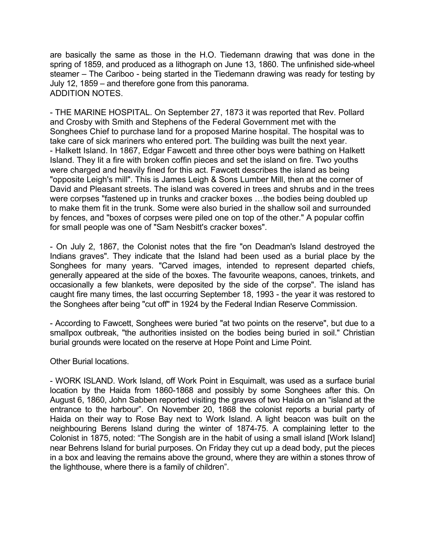are basically the same as those in the H.O. Tiedemann drawing that was done in the spring of 1859, and produced as a lithograph on June 13, 1860. The unfinished side-wheel steamer – The Cariboo - being started in the Tiedemann drawing was ready for testing by July 12, 1859 – and therefore gone from this panorama. ADDITION NOTES.

- THE MARINE HOSPITAL. On September 27, 1873 it was reported that Rev. Pollard and Crosby with Smith and Stephens of the Federal Government met with the Songhees Chief to purchase land for a proposed Marine hospital. The hospital was to take care of sick mariners who entered port. The building was built the next year. - Halkett Island. In 1867, Edgar Fawcett and three other boys were bathing on Halkett Island. They lit a fire with broken coffin pieces and set the island on fire. Two youths were charged and heavily fined for this act. Fawcett describes the island as being "opposite Leigh's mill". This is James Leigh & Sons Lumber Mill, then at the corner of David and Pleasant streets. The island was covered in trees and shrubs and in the trees were corpses "fastened up in trunks and cracker boxes …the bodies being doubled up to make them fit in the trunk. Some were also buried in the shallow soil and surrounded by fences, and "boxes of corpses were piled one on top of the other." A popular coffin for small people was one of "Sam Nesbitt's cracker boxes".

- On July 2, 1867, the Colonist notes that the fire "on Deadman's Island destroyed the Indians graves". They indicate that the Island had been used as a burial place by the Songhees for many years. "Carved images, intended to represent departed chiefs, generally appeared at the side of the boxes. The favourite weapons, canoes, trinkets, and occasionally a few blankets, were deposited by the side of the corpse". The island has caught fire many times, the last occurring September 18, 1993 - the year it was restored to the Songhees after being "cut off" in 1924 by the Federal Indian Reserve Commission.

- According to Fawcett, Songhees were buried "at two points on the reserve", but due to a smallpox outbreak, "the authorities insisted on the bodies being buried in soil." Christian burial grounds were located on the reserve at Hope Point and Lime Point.

Other Burial locations.

- WORK ISLAND. Work Island, off Work Point in Esquimalt, was used as a surface burial location by the Haida from 1860-1868 and possibly by some Songhees after this. On August 6, 1860, John Sabben reported visiting the graves of two Haida on an "island at the entrance to the harbour". On November 20, 1868 the colonist reports a burial party of Haida on their way to Rose Bay next to Work Island. A light beacon was built on the neighbouring Berens Island during the winter of 1874-75. A complaining letter to the Colonist in 1875, noted: "The Songish are in the habit of using a small island [Work Island] near Behrens Island for burial purposes. On Friday they cut up a dead body, put the pieces in a box and leaving the remains above the ground, where they are within a stones throw of the lighthouse, where there is a family of children".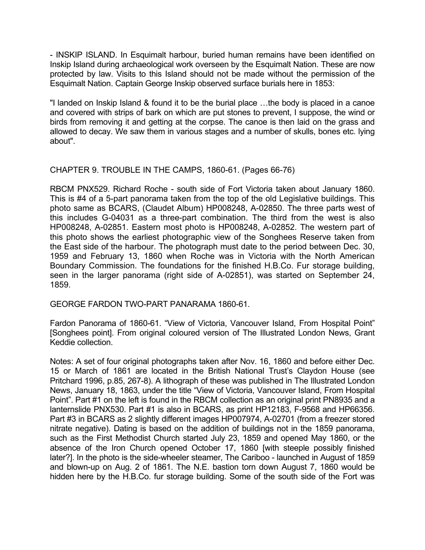- INSKIP ISLAND. In Esquimalt harbour, buried human remains have been identified on Inskip Island during archaeological work overseen by the Esquimalt Nation. These are now protected by law. Visits to this Island should not be made without the permission of the Esquimalt Nation. Captain George Inskip observed surface burials here in 1853:

"I landed on Inskip Island & found it to be the burial place …the body is placed in a canoe and covered with strips of bark on which are put stones to prevent, I suppose, the wind or birds from removing it and getting at the corpse. The canoe is then laid on the grass and allowed to decay. We saw them in various stages and a number of skulls, bones etc. lying about".

# CHAPTER 9. TROUBLE IN THE CAMPS, 1860-61. (Pages 66-76)

RBCM PNX529. Richard Roche - south side of Fort Victoria taken about January 1860. This is #4 of a 5-part panorama taken from the top of the old Legislative buildings. This photo same as BCARS, (Claudet Album) HP008248, A-02850. The three parts west of this includes G-04031 as a three-part combination. The third from the west is also HP008248, A-02851. Eastern most photo is HP008248, A-02852. The western part of this photo shows the earliest photographic view of the Songhees Reserve taken from the East side of the harbour. The photograph must date to the period between Dec. 30, 1959 and February 13, 1860 when Roche was in Victoria with the North American Boundary Commission. The foundations for the finished H.B.Co. Fur storage building, seen in the larger panorama (right side of A-02851), was started on September 24, 1859.

GEORGE FARDON TWO-PART PANARAMA 1860-61.

Fardon Panorama of 1860-61. "View of Victoria, Vancouver Island, From Hospital Point" [Songhees point]. From original coloured version of The Illustrated London News, Grant Keddie collection.

Notes: A set of four original photographs taken after Nov. 16, 1860 and before either Dec. 15 or March of 1861 are located in the British National Trust's Claydon House (see Pritchard 1996, p.85, 267-8). A lithograph of these was published in The Illustrated London News, January 18, 1863, under the title "View of Victoria, Vancouver Island, From Hospital Point". Part #1 on the left is found in the RBCM collection as an original print PN8935 and a lanternslide PNX530. Part #1 is also in BCARS, as print HP12183, F-9568 and HP66356. Part #3 in BCARS as 2 slightly different images HP007974, A-02701 (from a freezer stored nitrate negative). Dating is based on the addition of buildings not in the 1859 panorama, such as the First Methodist Church started July 23, 1859 and opened May 1860, or the absence of the Iron Church opened October 17, 1860 [with steeple possibly finished later?]. In the photo is the side-wheeler steamer, The Cariboo - launched in August of 1859 and blown-up on Aug. 2 of 1861. The N.E. bastion torn down August 7, 1860 would be hidden here by the H.B.Co. fur storage building. Some of the south side of the Fort was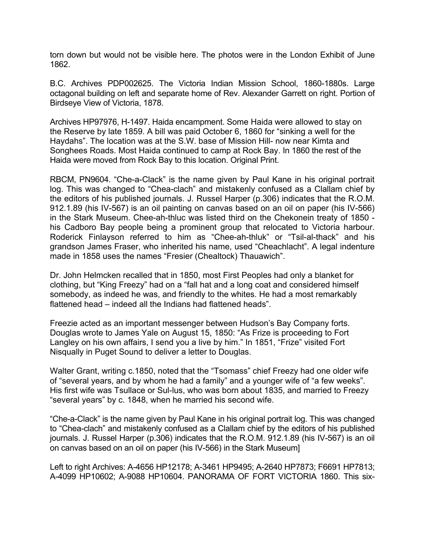torn down but would not be visible here. The photos were in the London Exhibit of June 1862.

B.C. Archives PDP002625. The Victoria Indian Mission School, 1860-1880s. Large octagonal building on left and separate home of Rev. Alexander Garrett on right. Portion of Birdseye View of Victoria, 1878.

Archives HP97976, H-1497. Haida encampment. Some Haida were allowed to stay on the Reserve by late 1859. A bill was paid October 6, 1860 for "sinking a well for the Haydahs". The location was at the S.W. base of Mission Hill- now near Kimta and Songhees Roads. Most Haida continued to camp at Rock Bay. In 1860 the rest of the Haida were moved from Rock Bay to this location. Original Print.

RBCM, PN9604. "Che-a-Clack" is the name given by Paul Kane in his original portrait log. This was changed to "Chea-clach" and mistakenly confused as a Clallam chief by the editors of his published journals. J. Russel Harper (p.306) indicates that the R.O.M. 912.1.89 (his IV-567) is an oil painting on canvas based on an oil on paper (his IV-566) in the Stark Museum. Chee-ah-thluc was listed third on the Chekonein treaty of 1850 his Cadboro Bay people being a prominent group that relocated to Victoria harbour. Roderick Finlayson referred to him as "Chee-ah-thluk" or "Tsil-al-thack" and his grandson James Fraser, who inherited his name, used "Cheachlacht". A legal indenture made in 1858 uses the names "Fresier (Chealtock) Thauawich".

Dr. John Helmcken recalled that in 1850, most First Peoples had only a blanket for clothing, but "King Freezy" had on a "fall hat and a long coat and considered himself somebody, as indeed he was, and friendly to the whites. He had a most remarkably flattened head – indeed all the Indians had flattened heads".

Freezie acted as an important messenger between Hudson's Bay Company forts. Douglas wrote to James Yale on August 15, 1850: "As Frize is proceeding to Fort Langley on his own affairs, I send you a live by him." In 1851, "Frize" visited Fort Nisqually in Puget Sound to deliver a letter to Douglas.

Walter Grant, writing c.1850, noted that the "Tsomass" chief Freezy had one older wife of "several years, and by whom he had a family" and a younger wife of "a few weeks". His first wife was Tsullace or Sul-lus, who was born about 1835, and married to Freezy "several years" by c. 1848, when he married his second wife.

"Che-a-Clack" is the name given by Paul Kane in his original portrait log. This was changed to "Chea-clach" and mistakenly confused as a Clallam chief by the editors of his published journals. J. Russel Harper (p.306) indicates that the R.O.M. 912.1.89 (his IV-567) is an oil on canvas based on an oil on paper (his IV-566) in the Stark Museum]

Left to right Archives: A-4656 HP12178; A-3461 HP9495; A-2640 HP7873; F6691 HP7813; A-4099 HP10602; A-9088 HP10604. PANORAMA OF FORT VICTORIA 1860. This six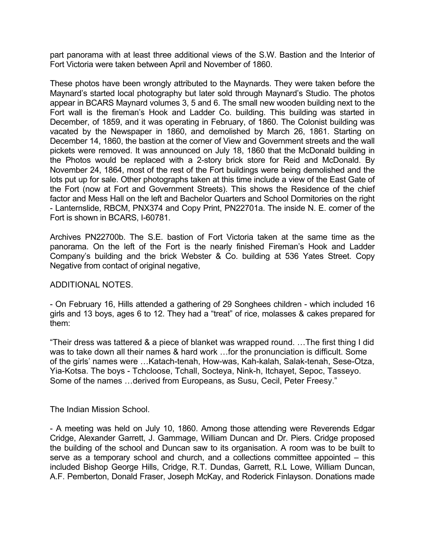part panorama with at least three additional views of the S.W. Bastion and the Interior of Fort Victoria were taken between April and November of 1860.

These photos have been wrongly attributed to the Maynards. They were taken before the Maynard's started local photography but later sold through Maynard's Studio. The photos appear in BCARS Maynard volumes 3, 5 and 6. The small new wooden building next to the Fort wall is the fireman's Hook and Ladder Co. building. This building was started in December, of 1859, and it was operating in February, of 1860. The Colonist building was vacated by the Newspaper in 1860, and demolished by March 26, 1861. Starting on December 14, 1860, the bastion at the corner of View and Government streets and the wall pickets were removed. It was announced on July 18, 1860 that the McDonald building in the Photos would be replaced with a 2-story brick store for Reid and McDonald. By November 24, 1864, most of the rest of the Fort buildings were being demolished and the lots put up for sale. Other photographs taken at this time include a view of the East Gate of the Fort (now at Fort and Government Streets). This shows the Residence of the chief factor and Mess Hall on the left and Bachelor Quarters and School Dormitories on the right - Lanternslide, RBCM, PNX374 and Copy Print, PN22701a. The inside N. E. corner of the Fort is shown in BCARS, I-60781.

Archives PN22700b. The S.E. bastion of Fort Victoria taken at the same time as the panorama. On the left of the Fort is the nearly finished Fireman's Hook and Ladder Company's building and the brick Webster & Co. building at 536 Yates Street. Copy Negative from contact of original negative,

#### ADDITIONAL NOTES.

- On February 16, Hills attended a gathering of 29 Songhees children - which included 16 girls and 13 boys, ages 6 to 12. They had a "treat" of rice, molasses & cakes prepared for them:

"Their dress was tattered & a piece of blanket was wrapped round. …The first thing I did was to take down all their names & hard work ... for the pronunciation is difficult. Some of the girls' names were …Katach-tenah, How-was, Kah-kalah, Salak-tenah, Sese-Otza, Yia-Kotsa. The boys - Tchcloose, Tchall, Socteya, Nink-h, Itchayet, Sepoc, Tasseyo. Some of the names …derived from Europeans, as Susu, Cecil, Peter Freesy."

#### The Indian Mission School.

- A meeting was held on July 10, 1860. Among those attending were Reverends Edgar Cridge, Alexander Garrett, J. Gammage, William Duncan and Dr. Piers. Cridge proposed the building of the school and Duncan saw to its organisation. A room was to be built to serve as a temporary school and church, and a collections committee appointed – this included Bishop George Hills, Cridge, R.T. Dundas, Garrett, R.L Lowe, William Duncan, A.F. Pemberton, Donald Fraser, Joseph McKay, and Roderick Finlayson. Donations made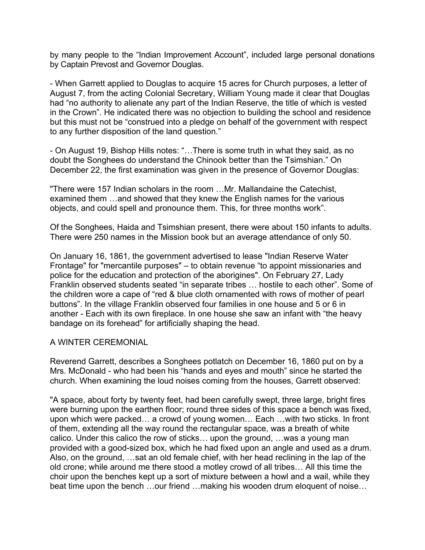by many people to the "Indian Improvement Account", included large personal donations by Captain Prevost and Governor Douglas.

- When Garrett applied to Douglas to acquire 15 acres for Church purposes, a letter of August 7, from the acting Colonial Secretary, William Young made it clear that Douglas had "no authority to alienate any part of the Indian Reserve, the title of which is vested in the Crown". He indicated there was no objection to building the school and residence but this must not be "construed into a pledge on behalf of the government with respect to any further disposition of the land question."

- On August 19, Bishop Hills notes: "…There is some truth in what they said, as no doubt the Songhees do understand the Chinook better than the Tsimshian." On December 22, the first examination was given in the presence of Governor Douglas:

"There were 157 Indian scholars in the room …Mr. Mallandaine the Catechist, examined them …and showed that they knew the English names for the various objects, and could spell and pronounce them. This, for three months work".

Of the Songhees, Haida and Tsimshian present, there were about 150 infants to adults. There were 250 names in the Mission book but an average attendance of only 50.

On January 16, 1861, the government advertised to lease "Indian Reserve Water Frontage" for "mercantile purposes" – to obtain revenue "to appoint missionaries and police for the education and protection of the aborigines". On February 27, Lady Franklin observed students seated "in separate tribes … hostile to each other". Some of the children wore a cape of "red & blue cloth ornamented with rows of mother of pearl buttons". In the village Franklin observed four families in one house and 5 or 6 in another - Each with its own fireplace. In one house she saw an infant with "the heavy bandage on its forehead" for artificially shaping the head.

#### A WINTER CEREMONIAL

Reverend Garrett, describes a Songhees potlatch on December 16, 1860 put on by a Mrs. McDonald - who had been his "hands and eyes and mouth" since he started the church. When examining the loud noises coming from the houses, Garrett observed:

"A space, about forty by twenty feet, had been carefully swept, three large, bright fires were burning upon the earthen floor; round three sides of this space a bench was fixed, upon which were packed… a crowd of young women… Each …with two sticks. In front of them, extending all the way round the rectangular space, was a breath of white calico. Under this calico the row of sticks… upon the ground, …was a young man provided with a good-sized box, which he had fixed upon an angle and used as a drum. Also, on the ground, …sat an old female chief, with her head reclining in the lap of the old crone; while around me there stood a motley crowd of all tribes… All this time the choir upon the benches kept up a sort of mixture between a howl and a wail, while they beat time upon the bench …our friend …making his wooden drum eloquent of noise…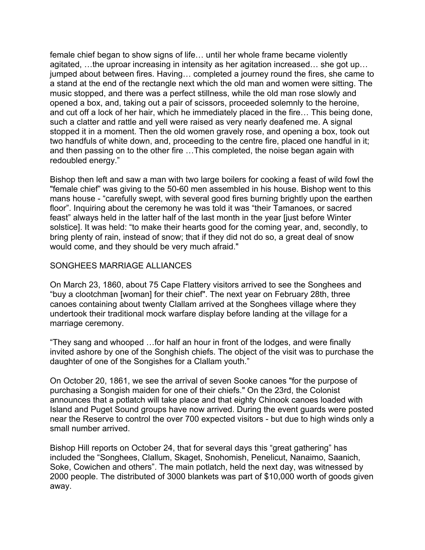female chief began to show signs of life… until her whole frame became violently agitated, …the uproar increasing in intensity as her agitation increased… she got up… jumped about between fires. Having… completed a journey round the fires, she came to a stand at the end of the rectangle next which the old man and women were sitting. The music stopped, and there was a perfect stillness, while the old man rose slowly and opened a box, and, taking out a pair of scissors, proceeded solemnly to the heroine, and cut off a lock of her hair, which he immediately placed in the fire… This being done, such a clatter and rattle and yell were raised as very nearly deafened me. A signal stopped it in a moment. Then the old women gravely rose, and opening a box, took out two handfuls of white down, and, proceeding to the centre fire, placed one handful in it; and then passing on to the other fire …This completed, the noise began again with redoubled energy."

Bishop then left and saw a man with two large boilers for cooking a feast of wild fowl the "female chief" was giving to the 50-60 men assembled in his house. Bishop went to this mans house - "carefully swept, with several good fires burning brightly upon the earthen floor". Inquiring about the ceremony he was told it was "their Tamanoes, or sacred feast" always held in the latter half of the last month in the year [just before Winter solstice]. It was held: "to make their hearts good for the coming year, and, secondly, to bring plenty of rain, instead of snow; that if they did not do so, a great deal of snow would come, and they should be very much afraid."

# SONGHEES MARRIAGE ALLIANCES

On March 23, 1860, about 75 Cape Flattery visitors arrived to see the Songhees and "buy a clootchman [woman] for their chief". The next year on February 28th, three canoes containing about twenty Clallam arrived at the Songhees village where they undertook their traditional mock warfare display before landing at the village for a marriage ceremony.

"They sang and whooped …for half an hour in front of the lodges, and were finally invited ashore by one of the Songhish chiefs. The object of the visit was to purchase the daughter of one of the Songishes for a Clallam youth."

On October 20, 1861, we see the arrival of seven Sooke canoes "for the purpose of purchasing a Songish maiden for one of their chiefs." On the 23rd, the Colonist announces that a potlatch will take place and that eighty Chinook canoes loaded with Island and Puget Sound groups have now arrived. During the event guards were posted near the Reserve to control the over 700 expected visitors - but due to high winds only a small number arrived.

Bishop Hill reports on October 24, that for several days this "great gathering" has included the "Songhees, Clallum, Skaget, Snohomish, Penelicut, Nanaimo, Saanich, Soke, Cowichen and others". The main potlatch, held the next day, was witnessed by 2000 people. The distributed of 3000 blankets was part of \$10,000 worth of goods given away.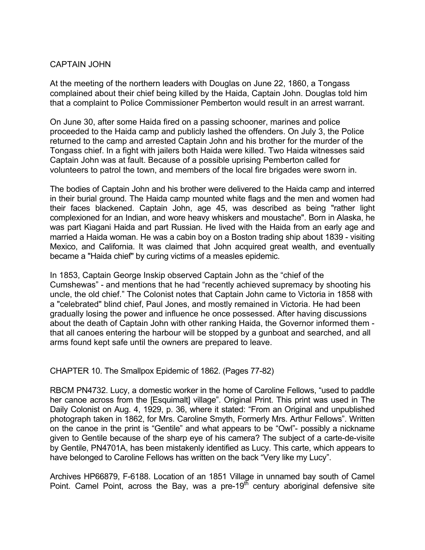# CAPTAIN JOHN

At the meeting of the northern leaders with Douglas on June 22, 1860, a Tongass complained about their chief being killed by the Haida, Captain John. Douglas told him that a complaint to Police Commissioner Pemberton would result in an arrest warrant.

On June 30, after some Haida fired on a passing schooner, marines and police proceeded to the Haida camp and publicly lashed the offenders. On July 3, the Police returned to the camp and arrested Captain John and his brother for the murder of the Tongass chief. In a fight with jailers both Haida were killed. Two Haida witnesses said Captain John was at fault. Because of a possible uprising Pemberton called for volunteers to patrol the town, and members of the local fire brigades were sworn in.

The bodies of Captain John and his brother were delivered to the Haida camp and interred in their burial ground. The Haida camp mounted white flags and the men and women had their faces blackened. Captain John, age 45, was described as being "rather light complexioned for an Indian, and wore heavy whiskers and moustache". Born in Alaska, he was part Kiagani Haida and part Russian. He lived with the Haida from an early age and married a Haida woman. He was a cabin boy on a Boston trading ship about 1839 - visiting Mexico, and California. It was claimed that John acquired great wealth, and eventually became a "Haida chief" by curing victims of a measles epidemic.

In 1853, Captain George Inskip observed Captain John as the "chief of the Cumshewas" - and mentions that he had "recently achieved supremacy by shooting his uncle, the old chief." The Colonist notes that Captain John came to Victoria in 1858 with a "celebrated" blind chief, Paul Jones, and mostly remained in Victoria. He had been gradually losing the power and influence he once possessed. After having discussions about the death of Captain John with other ranking Haida, the Governor informed them that all canoes entering the harbour will be stopped by a gunboat and searched, and all arms found kept safe until the owners are prepared to leave.

CHAPTER 10. The Smallpox Epidemic of 1862. (Pages 77-82)

RBCM PN4732. Lucy, a domestic worker in the home of Caroline Fellows, "used to paddle her canoe across from the [Esquimalt] village". Original Print. This print was used in The Daily Colonist on Aug. 4, 1929, p. 36, where it stated: "From an Original and unpublished photograph taken in 1862, for Mrs. Caroline Smyth, Formerly Mrs. Arthur Fellows". Written on the canoe in the print is "Gentile" and what appears to be "Owl"- possibly a nickname given to Gentile because of the sharp eye of his camera? The subject of a carte-de-visite by Gentile, PN4701A, has been mistakenly identified as Lucy. This carte, which appears to have belonged to Caroline Fellows has written on the back "Very like my Lucy".

Archives HP66879, F-6188. Location of an 1851 Village in unnamed bay south of Camel Point. Camel Point, across the Bay, was a pre-19 $\frac{1}{10}$  century aboriginal defensive site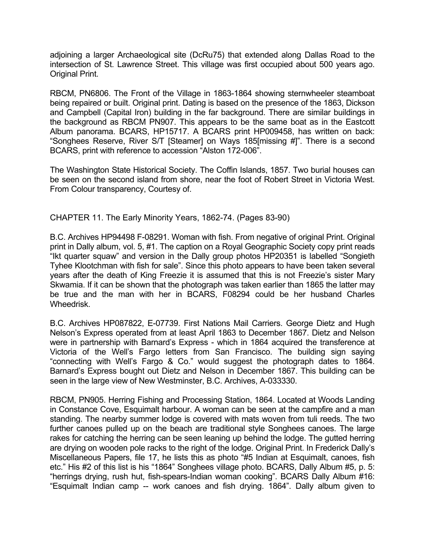adjoining a larger Archaeological site (DcRu75) that extended along Dallas Road to the intersection of St. Lawrence Street. This village was first occupied about 500 years ago. Original Print.

RBCM, PN6806. The Front of the Village in 1863-1864 showing sternwheeler steamboat being repaired or built. Original print. Dating is based on the presence of the 1863, Dickson and Campbell (Capital Iron) building in the far background. There are similar buildings in the background as RBCM PN907. This appears to be the same boat as in the Eastcott Album panorama. BCARS, HP15717. A BCARS print HP009458, has written on back: "Songhees Reserve, River S/T [Steamer] on Ways 185[missing #]". There is a second BCARS, print with reference to accession "Alston 172-006".

The Washington State Historical Society. The Coffin Islands, 1857. Two burial houses can be seen on the second island from shore, near the foot of Robert Street in Victoria West. From Colour transparency, Courtesy of.

CHAPTER 11. The Early Minority Years, 1862-74. (Pages 83-90)

B.C. Archives HP94498 F-08291. Woman with fish. From negative of original Print. Original print in Dally album, vol. 5, #1. The caption on a Royal Geographic Society copy print reads "Ikt quarter squaw" and version in the Dally group photos HP20351 is labelled "Songieth Tyhee Klootchman with fish for sale". Since this photo appears to have been taken several years after the death of King Freezie it is assumed that this is not Freezie's sister Mary Skwamia. If it can be shown that the photograph was taken earlier than 1865 the latter may be true and the man with her in BCARS, F08294 could be her husband Charles Wheedrisk.

B.C. Archives HP087822, E-07739. First Nations Mail Carriers. George Dietz and Hugh Nelson's Express operated from at least April 1863 to December 1867. Dietz and Nelson were in partnership with Barnard's Express - which in 1864 acquired the transference at Victoria of the Well's Fargo letters from San Francisco. The building sign saying "connecting with Well's Fargo & Co." would suggest the photograph dates to 1864. Barnard's Express bought out Dietz and Nelson in December 1867. This building can be seen in the large view of New Westminster, B.C. Archives, A-033330.

RBCM, PN905. Herring Fishing and Processing Station, 1864. Located at Woods Landing in Constance Cove, Esquimalt harbour. A woman can be seen at the campfire and a man standing. The nearby summer lodge is covered with mats woven from tuli reeds. The two further canoes pulled up on the beach are traditional style Songhees canoes. The large rakes for catching the herring can be seen leaning up behind the lodge. The gutted herring are drying on wooden pole racks to the right of the lodge. Original Print. In Frederick Dally's Miscellaneous Papers, file 17, he lists this as photo "#5 Indian at Esquimalt, canoes, fish etc." His #2 of this list is his "1864" Songhees village photo. BCARS, Dally Album #5, p. 5: "herrings drying, rush hut, fish-spears-Indian woman cooking". BCARS Dally Album #16: "Esquimalt Indian camp -- work canoes and fish drying. 1864". Dally album given to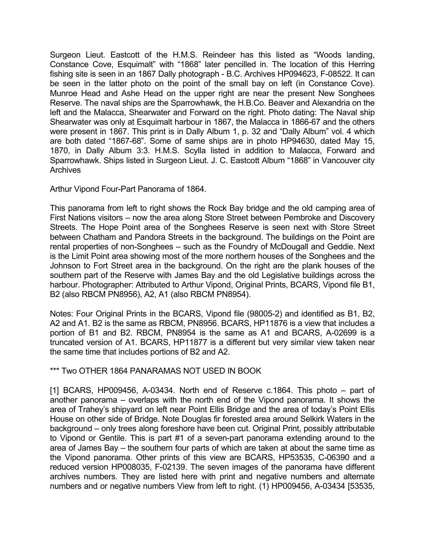Surgeon Lieut. Eastcott of the H.M.S. Reindeer has this listed as "Woods landing, Constance Cove, Esquimalt" with "1868" later pencilled in. The location of this Herring fishing site is seen in an 1867 Dally photograph - B.C. Archives HP094623, F-08522. It can be seen in the latter photo on the point of the small bay on left (in Constance Cove). Munroe Head and Ashe Head on the upper right are near the present New Songhees Reserve. The naval ships are the Sparrowhawk, the H.B.Co. Beaver and Alexandria on the left and the Malacca, Shearwater and Forward on the right. Photo dating: The Naval ship Shearwater was only at Esquimalt harbour in 1867, the Malacca in 1866-67 and the others were present in 1867. This print is in Dally Album 1, p. 32 and "Dally Album" vol. 4 which are both dated "1867-68". Some of same ships are in photo HP94630, dated May 15, 1870, in Dally Album 3:3. H.M.S. Scylla listed in addition to Malacca, Forward and Sparrowhawk. Ships listed in Surgeon Lieut. J. C. Eastcott Album "1868" in Vancouver city **Archives** 

Arthur Vipond Four-Part Panorama of 1864.

This panorama from left to right shows the Rock Bay bridge and the old camping area of First Nations visitors – now the area along Store Street between Pembroke and Discovery Streets. The Hope Point area of the Songhees Reserve is seen next with Store Street between Chatham and Pandora Streets in the background. The buildings on the Point are rental properties of non-Songhees – such as the Foundry of McDougall and Geddie. Next is the Limit Point area showing most of the more northern houses of the Songhees and the Johnson to Fort Street area in the background. On the right are the plank houses of the southern part of the Reserve with James Bay and the old Legislative buildings across the harbour. Photographer: Attributed to Arthur Vipond, Original Prints, BCARS, Vipond file B1, B2 (also RBCM PN8956), A2, A1 (also RBCM PN8954).

Notes: Four Original Prints in the BCARS, Vipond file (98005-2) and identified as B1, B2, A2 and A1. B2 is the same as RBCM, PN8956. BCARS, HP11876 is a view that includes a portion of B1 and B2. RBCM, PN8954 is the same as A1 and BCARS, A-02699 is a truncated version of A1. BCARS, HP11877 is a different but very similar view taken near the same time that includes portions of B2 and A2.

# \*\*\* Two OTHER 1864 PANARAMAS NOT USED IN BOOK

[1] BCARS, HP009456, A-03434. North end of Reserve c.1864. This photo – part of another panorama – overlaps with the north end of the Vipond panorama. It shows the area of Trahey's shipyard on left near Point Ellis Bridge and the area of today's Point Ellis House on other side of Bridge. Note Douglas fir forested area around Selkirk Waters in the background – only trees along foreshore have been cut. Original Print, possibly attributable to Vipond or Gentile. This is part #1 of a seven-part panorama extending around to the area of James Bay – the southern four parts of which are taken at about the same time as the Vipond panorama. Other prints of this view are BCARS, HP53535, C-06390 and a reduced version HP008035, F-02139. The seven images of the panorama have different archives numbers. They are listed here with print and negative numbers and alternate numbers and or negative numbers View from left to right. (1) HP009456, A-03434 [53535,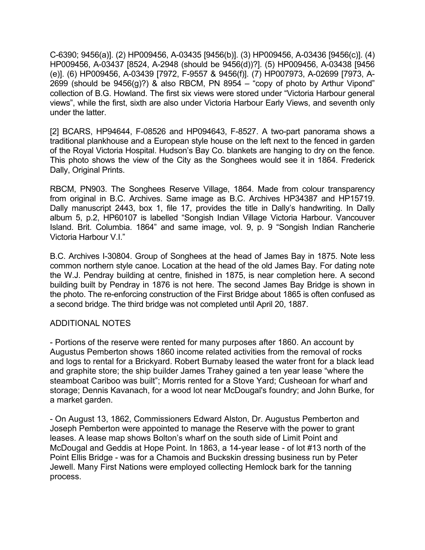C-6390; 9456(a)]. (2) HP009456, A-03435 [9456(b)]. (3) HP009456, A-03436 [9456(c)]. (4) HP009456, A-03437 [8524, A-2948 (should be 9456(d))?]. (5) HP009456, A-03438 [9456 (e)]. (6) HP009456, A-03439 [7972, F-9557 & 9456(f)]. (7) HP007973, A-02699 [7973, A-2699 (should be  $9456(g)$ ?) & also RBCM, PN 8954 – "copy of photo by Arthur Vipond" collection of B.G. Howland. The first six views were stored under "Victoria Harbour general views", while the first, sixth are also under Victoria Harbour Early Views, and seventh only under the latter.

[2] BCARS, HP94644, F-08526 and HP094643, F-8527. A two-part panorama shows a traditional plankhouse and a European style house on the left next to the fenced in garden of the Royal Victoria Hospital. Hudson's Bay Co. blankets are hanging to dry on the fence. This photo shows the view of the City as the Songhees would see it in 1864. Frederick Dally, Original Prints.

RBCM, PN903. The Songhees Reserve Village, 1864. Made from colour transparency from original in B.C. Archives. Same image as B.C. Archives HP34387 and HP15719. Dally manuscript 2443, box 1, file 17, provides the title in Dally's handwriting. In Dally album 5, p.2, HP60107 is labelled "Songish Indian Village Victoria Harbour. Vancouver Island. Brit. Columbia. 1864" and same image, vol. 9, p. 9 "Songish Indian Rancherie Victoria Harbour V.I."

B.C. Archives I-30804. Group of Songhees at the head of James Bay in 1875. Note less common northern style canoe. Location at the head of the old James Bay. For dating note the W.J. Pendray building at centre, finished in 1875, is near completion here. A second building built by Pendray in 1876 is not here. The second James Bay Bridge is shown in the photo. The re-enforcing construction of the First Bridge about 1865 is often confused as a second bridge. The third bridge was not completed until April 20, 1887.

# ADDITIONAL NOTES

- Portions of the reserve were rented for many purposes after 1860. An account by Augustus Pemberton shows 1860 income related activities from the removal of rocks and logs to rental for a Brickyard. Robert Burnaby leased the water front for a black lead and graphite store; the ship builder James Trahey gained a ten year lease "where the steamboat Cariboo was built"; Morris rented for a Stove Yard; Cusheoan for wharf and storage; Dennis Kavanach, for a wood lot near McDougal's foundry; and John Burke, for a market garden.

- On August 13, 1862, Commissioners Edward Alston, Dr. Augustus Pemberton and Joseph Pemberton were appointed to manage the Reserve with the power to grant leases. A lease map shows Bolton's wharf on the south side of Limit Point and McDougal and Geddis at Hope Point. In 1863, a 14-year lease - of lot #13 north of the Point Ellis Bridge - was for a Chamois and Buckskin dressing business run by Peter Jewell. Many First Nations were employed collecting Hemlock bark for the tanning process.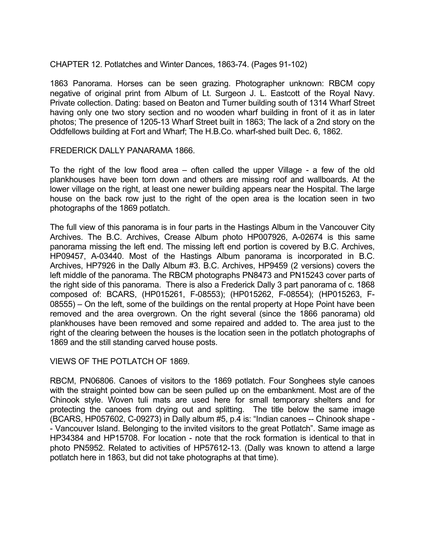#### CHAPTER 12. Potlatches and Winter Dances, 1863-74. (Pages 91-102)

1863 Panorama. Horses can be seen grazing. Photographer unknown: RBCM copy negative of original print from Album of Lt. Surgeon J. L. Eastcott of the Royal Navy. Private collection. Dating: based on Beaton and Turner building south of 1314 Wharf Street having only one two story section and no wooden wharf building in front of it as in later photos; The presence of 1205-13 Wharf Street built in 1863; The lack of a 2nd story on the Oddfellows building at Fort and Wharf; The H.B.Co. wharf-shed built Dec. 6, 1862.

#### FREDERICK DALLY PANARAMA 1866.

To the right of the low flood area – often called the upper Village - a few of the old plankhouses have been torn down and others are missing roof and wallboards. At the lower village on the right, at least one newer building appears near the Hospital. The large house on the back row just to the right of the open area is the location seen in two photographs of the 1869 potlatch.

The full view of this panorama is in four parts in the Hastings Album in the Vancouver City Archives. The B.C. Archives, Crease Album photo HP007926, A-02674 is this same panorama missing the left end. The missing left end portion is covered by B.C. Archives, HP09457, A-03440. Most of the Hastings Album panorama is incorporated in B.C. Archives, HP7926 in the Dally Album #3. B.C. Archives, HP9459 (2 versions) covers the left middle of the panorama. The RBCM photographs PN8473 and PN15243 cover parts of the right side of this panorama. There is also a Frederick Dally 3 part panorama of c. 1868 composed of: BCARS, (HP015261, F-08553); (HP015262, F-08554); (HP015263, F-08555) – On the left, some of the buildings on the rental property at Hope Point have been removed and the area overgrown. On the right several (since the 1866 panorama) old plankhouses have been removed and some repaired and added to. The area just to the right of the clearing between the houses is the location seen in the potlatch photographs of 1869 and the still standing carved house posts.

#### VIEWS OF THE POTLATCH OF 1869.

RBCM, PN06806. Canoes of visitors to the 1869 potlatch. Four Songhees style canoes with the straight pointed bow can be seen pulled up on the embankment. Most are of the Chinook style. Woven tuli mats are used here for small temporary shelters and for protecting the canoes from drying out and splitting. The title below the same image (BCARS, HP057602, C-09273) in Dally album #5, p.4 is: "Indian canoes -- Chinook shape - - Vancouver Island. Belonging to the invited visitors to the great Potlatch". Same image as HP34384 and HP15708. For location - note that the rock formation is identical to that in photo PN5952. Related to activities of HP57612-13. (Dally was known to attend a large potlatch here in 1863, but did not take photographs at that time).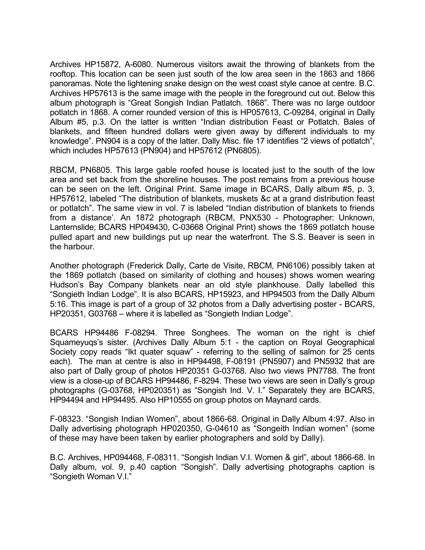Archives HP15872, A-6080. Numerous visitors await the throwing of blankets from the rooftop. This location can be seen just south of the low area seen in the 1863 and 1866 panoramas. Note the lightening snake design on the west coast style canoe at centre. B.C. Archives HP57613 is the same image with the people in the foreground cut out. Below this album photograph is "Great Songish Indian Patlatch. 1868". There was no large outdoor potlatch in 1868. A corner rounded version of this is HP057613, C-09284, original in Dally Album #5, p.3. On the latter is written "Indian distribution Feast or Potlatch. Bales of blankets, and fifteen hundred dollars were given away by different individuals to my knowledge". PN904 is a copy of the latter. Dally Misc. file 17 identifies "2 views of potlatch", which includes HP57613 (PN904) and HP57612 (PN6805).

RBCM, PN6805. This large gable roofed house is located just to the south of the low area and set back from the shoreline houses. The post remains from a previous house can be seen on the left. Original Print. Same image in BCARS, Dally album #5, p. 3, HP57612, labeled "The distribution of blankets, muskets &c at a grand distribution feast or potlatch". The same view in vol. 7 is labeled "Indian distribution of blankets to friends from a distance'. An 1872 photograph (RBCM, PNX530 - Photographer: Unknown, Lanternslide; BCARS HP049430, C-03668 Original Print) shows the 1869 potlatch house pulled apart and new buildings put up near the waterfront. The S.S. Beaver is seen in the harbour.

Another photograph (Frederick Dally, Carte de Visite, RBCM, PN6106) possibly taken at the 1869 potlatch (based on similarity of clothing and houses) shows women wearing Hudson's Bay Company blankets near an old style plankhouse. Dally labelled this "Songieth Indian Lodge". It is also BCARS, HP15923, and HP94503 from the Dally Album 5:16. This image is part of a group of 32 photos from a Dally advertising poster - BCARS, HP20351, G03768 – where it is labelled as "Songieth Indian Lodge".

BCARS HP94486 F-08294. Three Songhees. The woman on the right is chief Squameyuqs's sister. (Archives Dally Album 5:1 - the caption on Royal Geographical Society copy reads "Ikt quater squaw" - referring to the selling of salmon for 25 cents each). The man at centre is also in HP94498, F-08191 (PN5907) and PN5932 that are also part of Dally group of photos HP20351 G-03768. Also two views PN7788. The front view is a close-up of BCARS HP94486, F-8294. These two views are seen in Dally's group photographs (G-03768, HP020351) as "Songish Ind. V. I." Separately they are BCARS, HP94494 and HP94495. Also HP10555 on group photos on Maynard cards.

F-08323. "Songish Indian Women", about 1866-68. Original in Dally Album 4:97. Also in Dally advertising photograph HP020350, G-04610 as "Songeith Indian women" (some of these may have been taken by earlier photographers and sold by Dally).

B.C. Archives, HP094468, F-08311. "Songish Indian V.I. Women & girl", about 1866-68. In Dally album, vol. 9, p.40 caption "Songish". Dally advertising photographs caption is "Songieth Woman V.I."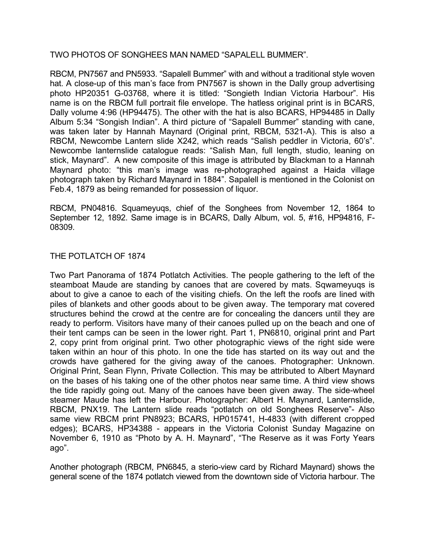#### TWO PHOTOS OF SONGHEES MAN NAMED "SAPALELL BUMMER".

RBCM, PN7567 and PN5933. "Sapalell Bummer" with and without a traditional style woven hat. A close-up of this man's face from PN7567 is shown in the Dally group advertising photo HP20351 G-03768, where it is titled: "Songieth Indian Victoria Harbour". His name is on the RBCM full portrait file envelope. The hatless original print is in BCARS, Dally volume 4:96 (HP94475). The other with the hat is also BCARS, HP94485 in Dally Album 5:34 "Songish Indian". A third picture of "Sapalell Bummer" standing with cane, was taken later by Hannah Maynard (Original print, RBCM, 5321-A). This is also a RBCM, Newcombe Lantern slide X242, which reads "Salish peddler in Victoria, 60's". Newcombe lanternslide catalogue reads: "Salish Man, full length, studio, leaning on stick, Maynard". A new composite of this image is attributed by Blackman to a Hannah Maynard photo: "this man's image was re-photographed against a Haida village photograph taken by Richard Maynard in 1884". Sapalell is mentioned in the Colonist on Feb.4, 1879 as being remanded for possession of liquor.

RBCM, PN04816. Squameyuqs, chief of the Songhees from November 12, 1864 to September 12, 1892. Same image is in BCARS, Dally Album, vol. 5, #16, HP94816, F-08309.

# THE POTLATCH OF 1874

Two Part Panorama of 1874 Potlatch Activities. The people gathering to the left of the steamboat Maude are standing by canoes that are covered by mats. Sqwameyuqs is about to give a canoe to each of the visiting chiefs. On the left the roofs are lined with piles of blankets and other goods about to be given away. The temporary mat covered structures behind the crowd at the centre are for concealing the dancers until they are ready to perform. Visitors have many of their canoes pulled up on the beach and one of their tent camps can be seen in the lower right. Part 1, PN6810, original print and Part 2, copy print from original print. Two other photographic views of the right side were taken within an hour of this photo. In one the tide has started on its way out and the crowds have gathered for the giving away of the canoes. Photographer: Unknown. Original Print, Sean Flynn, Private Collection. This may be attributed to Albert Maynard on the bases of his taking one of the other photos near same time. A third view shows the tide rapidly going out. Many of the canoes have been given away. The side-wheel steamer Maude has left the Harbour. Photographer: Albert H. Maynard, Lanternslide, RBCM, PNX19. The Lantern slide reads "potlatch on old Songhees Reserve"- Also same view RBCM print PN8923; BCARS, HP015741, H-4833 (with different cropped edges); BCARS, HP34388 - appears in the Victoria Colonist Sunday Magazine on November 6, 1910 as "Photo by A. H. Maynard", "The Reserve as it was Forty Years ago".

Another photograph (RBCM, PN6845, a sterio-view card by Richard Maynard) shows the general scene of the 1874 potlatch viewed from the downtown side of Victoria harbour. The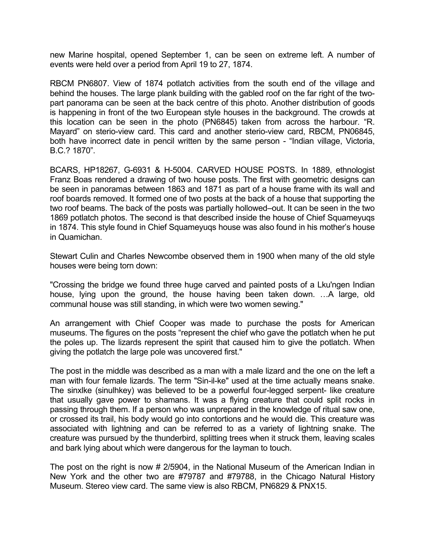new Marine hospital, opened September 1, can be seen on extreme left. A number of events were held over a period from April 19 to 27, 1874.

RBCM PN6807. View of 1874 potlatch activities from the south end of the village and behind the houses. The large plank building with the gabled roof on the far right of the twopart panorama can be seen at the back centre of this photo. Another distribution of goods is happening in front of the two European style houses in the background. The crowds at this location can be seen in the photo (PN6845) taken from across the harbour. "R. Mayard" on sterio-view card. This card and another sterio-view card, RBCM, PN06845, both have incorrect date in pencil written by the same person - "Indian village, Victoria, B.C.? 1870".

BCARS, HP18267, G-6931 & H-5004. CARVED HOUSE POSTS. In 1889, ethnologist Franz Boas rendered a drawing of two house posts. The first with geometric designs can be seen in panoramas between 1863 and 1871 as part of a house frame with its wall and roof boards removed. It formed one of two posts at the back of a house that supporting the two roof beams. The back of the posts was partially hollowed–out. It can be seen in the two 1869 potlatch photos. The second is that described inside the house of Chief Squameyuqs in 1874. This style found in Chief Squameyuqs house was also found in his mother's house in Quamichan.

Stewart Culin and Charles Newcombe observed them in 1900 when many of the old style houses were being torn down:

"Crossing the bridge we found three huge carved and painted posts of a Lku'ngen Indian house, lying upon the ground, the house having been taken down. …A large, old communal house was still standing, in which were two women sewing."

An arrangement with Chief Cooper was made to purchase the posts for American museums. The figures on the posts "represent the chief who gave the potlatch when he put the poles up. The lizards represent the spirit that caused him to give the potlatch. When giving the potlatch the large pole was uncovered first."

The post in the middle was described as a man with a male lizard and the one on the left a man with four female lizards. The term "Sin-il-ke" used at the time actually means snake. The sinxlke (sinulhkey) was believed to be a powerful four-legged serpent- like creature that usually gave power to shamans. It was a flying creature that could split rocks in passing through them. If a person who was unprepared in the knowledge of ritual saw one, or crossed its trail, his body would go into contortions and he would die. This creature was associated with lightning and can be referred to as a variety of lightning snake. The creature was pursued by the thunderbird, splitting trees when it struck them, leaving scales and bark lying about which were dangerous for the layman to touch.

The post on the right is now # 2/5904, in the National Museum of the American Indian in New York and the other two are #79787 and #79788, in the Chicago Natural History Museum. Stereo view card. The same view is also RBCM, PN6829 & PNX15.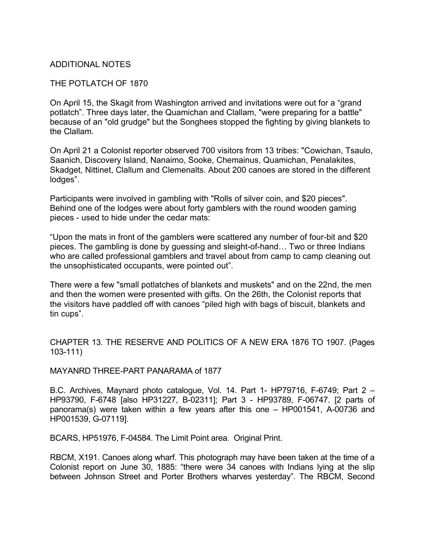# ADDITIONAL NOTES

#### THE POTLATCH OF 1870

On April 15, the Skagit from Washington arrived and invitations were out for a "grand potlatch". Three days later, the Quamichan and Clallam, "were preparing for a battle" because of an "old grudge" but the Songhees stopped the fighting by giving blankets to the Clallam.

On April 21 a Colonist reporter observed 700 visitors from 13 tribes: "Cowichan, Tsaulo, Saanich, Discovery Island, Nanaimo, Sooke, Chemainus, Quamichan, Penalakites, Skadget, Nittinet, Clallum and Clemenalts. About 200 canoes are stored in the different lodges".

Participants were involved in gambling with "Rolls of silver coin, and \$20 pieces". Behind one of the lodges were about forty gamblers with the round wooden gaming pieces - used to hide under the cedar mats:

"Upon the mats in front of the gamblers were scattered any number of four-bit and \$20 pieces. The gambling is done by guessing and sleight-of-hand… Two or three Indians who are called professional gamblers and travel about from camp to camp cleaning out the unsophisticated occupants, were pointed out".

There were a few "small potlatches of blankets and muskets" and on the 22nd, the men and then the women were presented with gifts. On the 26th, the Colonist reports that the visitors have paddled off with canoes "piled high with bags of biscuit, blankets and tin cups".

CHAPTER 13. THE RESERVE AND POLITICS OF A NEW ERA 1876 TO 1907. (Pages 103-111)

#### MAYANRD THREE-PART PANARAMA of 1877

B.C. Archives, Maynard photo catalogue, Vol. 14. Part 1- HP79716, F-6749; Part 2 – HP93790, F-6748 [also HP31227, B-02311]; Part 3 - HP93789, F-06747. [2 parts of panorama(s) were taken within a few years after this one – HP001541, A-00736 and HP001539, G-07119].

BCARS, HP51976, F-04584. The Limit Point area. Original Print.

RBCM, X191. Canoes along wharf. This photograph may have been taken at the time of a Colonist report on June 30, 1885: "there were 34 canoes with Indians lying at the slip between Johnson Street and Porter Brothers wharves yesterday". The RBCM, Second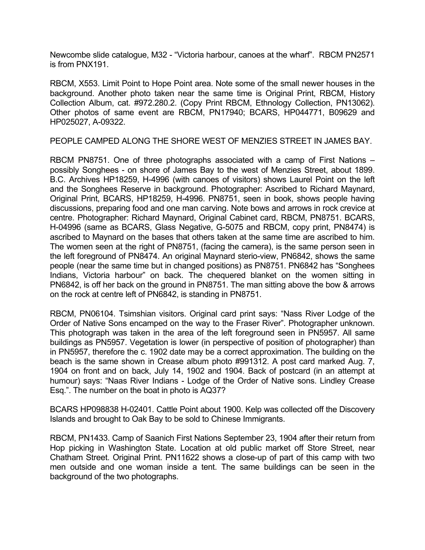Newcombe slide catalogue, M32 - "Victoria harbour, canoes at the wharf". RBCM PN2571 is from PNX191.

RBCM, X553. Limit Point to Hope Point area. Note some of the small newer houses in the background. Another photo taken near the same time is Original Print, RBCM, History Collection Album, cat. #972.280.2. (Copy Print RBCM, Ethnology Collection, PN13062). Other photos of same event are RBCM, PN17940; BCARS, HP044771, B09629 and HP025027, A-09322.

PEOPLE CAMPED ALONG THE SHORE WEST OF MENZIES STREET IN JAMES BAY.

RBCM PN8751. One of three photographs associated with a camp of First Nations – possibly Songhees - on shore of James Bay to the west of Menzies Street, about 1899. B.C. Archives HP18259, H-4996 (with canoes of visitors) shows Laurel Point on the left and the Songhees Reserve in background. Photographer: Ascribed to Richard Maynard, Original Print, BCARS, HP18259, H-4996. PN8751, seen in book, shows people having discussions, preparing food and one man carving. Note bows and arrows in rock crevice at centre. Photographer: Richard Maynard, Original Cabinet card, RBCM, PN8751. BCARS, H-04996 (same as BCARS, Glass Negative, G-5075 and RBCM, copy print, PN8474) is ascribed to Maynard on the bases that others taken at the same time are ascribed to him. The women seen at the right of PN8751, (facing the camera), is the same person seen in the left foreground of PN8474. An original Maynard sterio-view, PN6842, shows the same people (near the same time but in changed positions) as PN8751. PN6842 has "Songhees Indians, Victoria harbour" on back. The chequered blanket on the women sitting in PN6842, is off her back on the ground in PN8751. The man sitting above the bow & arrows on the rock at centre left of PN6842, is standing in PN8751.

RBCM, PN06104. Tsimshian visitors. Original card print says: "Nass River Lodge of the Order of Native Sons encamped on the way to the Fraser River". Photographer unknown. This photograph was taken in the area of the left foreground seen in PN5957. All same buildings as PN5957. Vegetation is lower (in perspective of position of photographer) than in PN5957, therefore the c. 1902 date may be a correct approximation. The building on the beach is the same shown in Crease album photo #991312. A post card marked Aug. 7, 1904 on front and on back, July 14, 1902 and 1904. Back of postcard (in an attempt at humour) says: "Naas River Indians - Lodge of the Order of Native sons. Lindley Crease Esq.". The number on the boat in photo is AQ37?

BCARS HP098838 H-02401. Cattle Point about 1900. Kelp was collected off the Discovery Islands and brought to Oak Bay to be sold to Chinese Immigrants.

RBCM, PN1433. Camp of Saanich First Nations September 23, 1904 after their return from Hop picking in Washington State. Location at old public market off Store Street, near Chatham Street. Original Print. PN11622 shows a close-up of part of this camp with two men outside and one woman inside a tent. The same buildings can be seen in the background of the two photographs.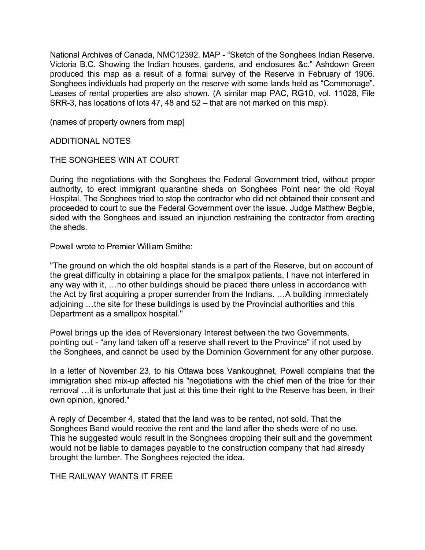National Archives of Canada, NMC12392. MAP - "Sketch of the Songhees Indian Reserve. Victoria B.C. Showing the Indian houses, gardens, and enclosures &c." Ashdown Green produced this map as a result of a formal survey of the Reserve in February of 1906. Songhees individuals had property on the reserve with some lands held as "Commonage". Leases of rental properties are also shown. (A similar map PAC, RG10, vol. 11028, File SRR-3, has locations of lots 47, 48 and 52 – that are not marked on this map).

(names of property owners from map]

ADDITIONAL NOTES

#### THE SONGHEES WIN AT COURT

During the negotiations with the Songhees the Federal Government tried, without proper authority, to erect immigrant quarantine sheds on Songhees Point near the old Royal Hospital. The Songhees tried to stop the contractor who did not obtained their consent and proceeded to court to sue the Federal Government over the issue. Judge Matthew Begbie, sided with the Songhees and issued an injunction restraining the contractor from erecting the sheds.

Powell wrote to Premier William Smithe:

"The ground on which the old hospital stands is a part of the Reserve, but on account of the great difficulty in obtaining a place for the smallpox patients, I have not interfered in any way with it, …no other buildings should be placed there unless in accordance with the Act by first acquiring a proper surrender from the Indians. …A building immediately adjoining …the site for these buildings is used by the Provincial authorities and this Department as a smallpox hospital."

Powel brings up the idea of Reversionary Interest between the two Governments, pointing out - "any land taken off a reserve shall revert to the Province" if not used by the Songhees, and cannot be used by the Dominion Government for any other purpose.

In a letter of November 23, to his Ottawa boss Vankoughnet, Powell complains that the immigration shed mix-up affected his "negotiations with the chief men of the tribe for their removal …it is unfortunate that just at this time their right to the Reserve has been, in their own opinion, ignored."

A reply of December 4, stated that the land was to be rented, not sold. That the Songhees Band would receive the rent and the land after the sheds were of no use. This he suggested would result in the Songhees dropping their suit and the government would not be liable to damages payable to the construction company that had already brought the lumber. The Songhees rejected the idea.

# THE RAILWAY WANTS IT FREE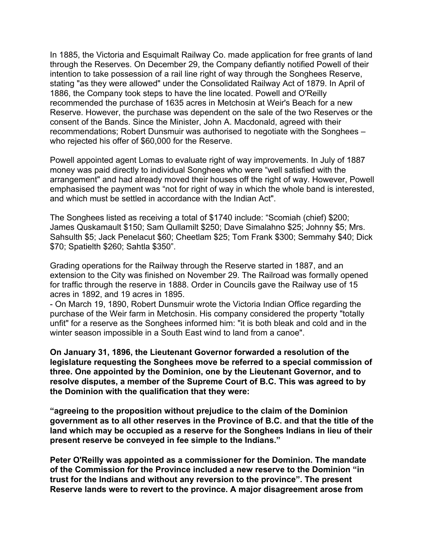In 1885, the Victoria and Esquimalt Railway Co. made application for free grants of land through the Reserves. On December 29, the Company defiantly notified Powell of their intention to take possession of a rail line right of way through the Songhees Reserve, stating "as they were allowed" under the Consolidated Railway Act of 1879. In April of 1886, the Company took steps to have the line located. Powell and O'Reilly recommended the purchase of 1635 acres in Metchosin at Weir's Beach for a new Reserve. However, the purchase was dependent on the sale of the two Reserves or the consent of the Bands. Since the Minister, John A. Macdonald, agreed with their recommendations; Robert Dunsmuir was authorised to negotiate with the Songhees – who rejected his offer of \$60,000 for the Reserve.

Powell appointed agent Lomas to evaluate right of way improvements. In July of 1887 money was paid directly to individual Songhees who were "well satisfied with the arrangement" and had already moved their houses off the right of way. However, Powell emphasised the payment was "not for right of way in which the whole band is interested, and which must be settled in accordance with the Indian Act".

The Songhees listed as receiving a total of \$1740 include: "Scomiah (chief) \$200; James Quskamault \$150; Sam Qullamilt \$250; Dave Simalahno \$25; Johnny \$5; Mrs. Sahsulth \$5; Jack Penelacut \$60; Cheetlam \$25; Tom Frank \$300; Semmahy \$40; Dick \$70; Spatielth \$260; Sahtla \$350".

Grading operations for the Railway through the Reserve started in 1887, and an extension to the City was finished on November 29. The Railroad was formally opened for traffic through the reserve in 1888. Order in Councils gave the Railway use of 15 acres in 1892, and 19 acres in 1895.

- On March 19, 1890, Robert Dunsmuir wrote the Victoria Indian Office regarding the purchase of the Weir farm in Metchosin. His company considered the property "totally unfit" for a reserve as the Songhees informed him: "it is both bleak and cold and in the winter season impossible in a South East wind to land from a canoe".

**On January 31, 1896, the Lieutenant Governor forwarded a resolution of the legislature requesting the Songhees move be referred to a special commission of three. One appointed by the Dominion, one by the Lieutenant Governor, and to resolve disputes, a member of the Supreme Court of B.C. This was agreed to by the Dominion with the qualification that they were:** 

**"agreeing to the proposition without prejudice to the claim of the Dominion government as to all other reserves in the Province of B.C. and that the title of the land which may be occupied as a reserve for the Songhees Indians in lieu of their present reserve be conveyed in fee simple to the Indians."** 

**Peter O'Reilly was appointed as a commissioner for the Dominion. The mandate of the Commission for the Province included a new reserve to the Dominion "in trust for the Indians and without any reversion to the province". The present Reserve lands were to revert to the province. A major disagreement arose from**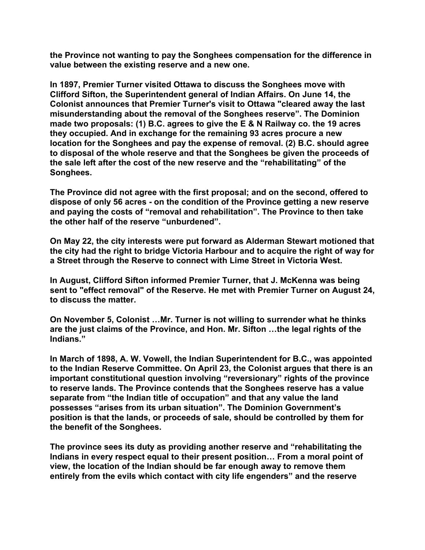**the Province not wanting to pay the Songhees compensation for the difference in value between the existing reserve and a new one.** 

**In 1897, Premier Turner visited Ottawa to discuss the Songhees move with Clifford Sifton, the Superintendent general of Indian Affairs. On June 14, the Colonist announces that Premier Turner's visit to Ottawa "cleared away the last misunderstanding about the removal of the Songhees reserve". The Dominion made two proposals: (1) B.C. agrees to give the E & N Railway co. the 19 acres they occupied. And in exchange for the remaining 93 acres procure a new location for the Songhees and pay the expense of removal. (2) B.C. should agree to disposal of the whole reserve and that the Songhees be given the proceeds of the sale left after the cost of the new reserve and the "rehabilitating" of the Songhees.** 

**The Province did not agree with the first proposal; and on the second, offered to dispose of only 56 acres - on the condition of the Province getting a new reserve and paying the costs of "removal and rehabilitation". The Province to then take the other half of the reserve "unburdened".** 

**On May 22, the city interests were put forward as Alderman Stewart motioned that the city had the right to bridge Victoria Harbour and to acquire the right of way for a Street through the Reserve to connect with Lime Street in Victoria West.** 

**In August, Clifford Sifton informed Premier Turner, that J. McKenna was being sent to "effect removal" of the Reserve. He met with Premier Turner on August 24, to discuss the matter.** 

**On November 5, Colonist …Mr. Turner is not willing to surrender what he thinks are the just claims of the Province, and Hon. Mr. Sifton …the legal rights of the Indians."** 

**In March of 1898, A. W. Vowell, the Indian Superintendent for B.C., was appointed to the Indian Reserve Committee. On April 23, the Colonist argues that there is an important constitutional question involving "reversionary" rights of the province to reserve lands. The Province contends that the Songhees reserve has a value separate from "the Indian title of occupation" and that any value the land possesses "arises from its urban situation". The Dominion Government's position is that the lands, or proceeds of sale, should be controlled by them for the benefit of the Songhees.** 

**The province sees its duty as providing another reserve and "rehabilitating the Indians in every respect equal to their present position… From a moral point of view, the location of the Indian should be far enough away to remove them entirely from the evils which contact with city life engenders" and the reserve**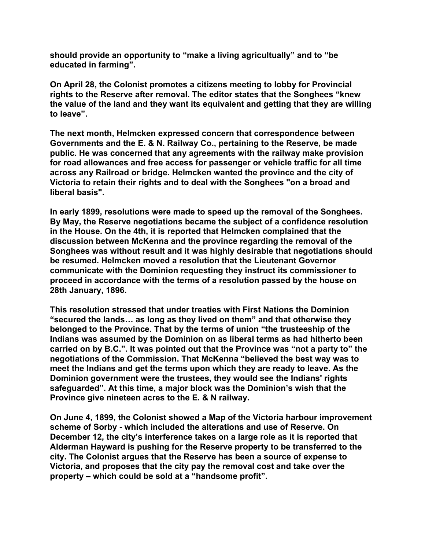**should provide an opportunity to "make a living agricultually" and to "be educated in farming".** 

**On April 28, the Colonist promotes a citizens meeting to lobby for Provincial rights to the Reserve after removal. The editor states that the Songhees "knew the value of the land and they want its equivalent and getting that they are willing to leave".** 

**The next month, Helmcken expressed concern that correspondence between Governments and the E. & N. Railway Co., pertaining to the Reserve, be made public. He was concerned that any agreements with the railway make provision for road allowances and free access for passenger or vehicle traffic for all time across any Railroad or bridge. Helmcken wanted the province and the city of Victoria to retain their rights and to deal with the Songhees "on a broad and liberal basis".** 

**In early 1899, resolutions were made to speed up the removal of the Songhees. By May, the Reserve negotiations became the subject of a confidence resolution in the House. On the 4th, it is reported that Helmcken complained that the discussion between McKenna and the province regarding the removal of the Songhees was without result and it was highly desirable that negotiations should be resumed. Helmcken moved a resolution that the Lieutenant Governor communicate with the Dominion requesting they instruct its commissioner to proceed in accordance with the terms of a resolution passed by the house on 28th January, 1896.** 

**This resolution stressed that under treaties with First Nations the Dominion "secured the lands… as long as they lived on them" and that otherwise they belonged to the Province. That by the terms of union "the trusteeship of the Indians was assumed by the Dominion on as liberal terms as had hitherto been carried on by B.C.". It was pointed out that the Province was "not a party to" the negotiations of the Commission. That McKenna "believed the best way was to meet the Indians and get the terms upon which they are ready to leave. As the Dominion government were the trustees, they would see the Indians' rights safeguarded". At this time, a major block was the Dominion's wish that the Province give nineteen acres to the E. & N railway.** 

**On June 4, 1899, the Colonist showed a Map of the Victoria harbour improvement scheme of Sorby - which included the alterations and use of Reserve. On December 12, the city's interference takes on a large role as it is reported that Alderman Hayward is pushing for the Reserve property to be transferred to the city. The Colonist argues that the Reserve has been a source of expense to Victoria, and proposes that the city pay the removal cost and take over the property – which could be sold at a "handsome profit".**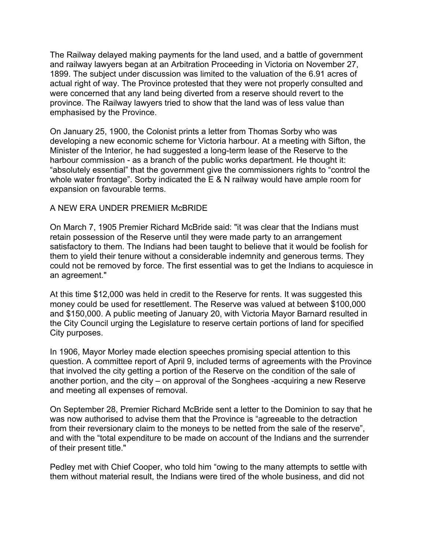The Railway delayed making payments for the land used, and a battle of government and railway lawyers began at an Arbitration Proceeding in Victoria on November 27, 1899. The subject under discussion was limited to the valuation of the 6.91 acres of actual right of way. The Province protested that they were not properly consulted and were concerned that any land being diverted from a reserve should revert to the province. The Railway lawyers tried to show that the land was of less value than emphasised by the Province.

On January 25, 1900, the Colonist prints a letter from Thomas Sorby who was developing a new economic scheme for Victoria harbour. At a meeting with Sifton, the Minister of the Interior, he had suggested a long-term lease of the Reserve to the harbour commission - as a branch of the public works department. He thought it: "absolutely essential" that the government give the commissioners rights to "control the whole water frontage". Sorby indicated the E & N railway would have ample room for expansion on favourable terms.

# A NEW ERA UNDER PREMIER McBRIDE

On March 7, 1905 Premier Richard McBride said: "it was clear that the Indians must retain possession of the Reserve until they were made party to an arrangement satisfactory to them. The Indians had been taught to believe that it would be foolish for them to yield their tenure without a considerable indemnity and generous terms. They could not be removed by force. The first essential was to get the Indians to acquiesce in an agreement."

At this time \$12,000 was held in credit to the Reserve for rents. It was suggested this money could be used for resettlement. The Reserve was valued at between \$100,000 and \$150,000. A public meeting of January 20, with Victoria Mayor Barnard resulted in the City Council urging the Legislature to reserve certain portions of land for specified City purposes.

In 1906, Mayor Morley made election speeches promising special attention to this question. A committee report of April 9, included terms of agreements with the Province that involved the city getting a portion of the Reserve on the condition of the sale of another portion, and the city – on approval of the Songhees -acquiring a new Reserve and meeting all expenses of removal.

On September 28, Premier Richard McBride sent a letter to the Dominion to say that he was now authorised to advise them that the Province is "agreeable to the detraction from their reversionary claim to the moneys to be netted from the sale of the reserve", and with the "total expenditure to be made on account of the Indians and the surrender of their present title."

Pedley met with Chief Cooper, who told him "owing to the many attempts to settle with them without material result, the Indians were tired of the whole business, and did not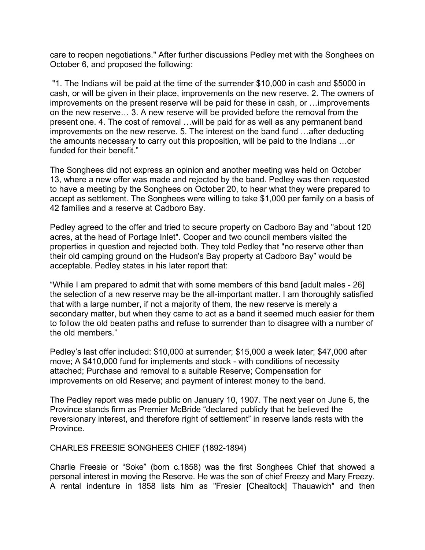care to reopen negotiations." After further discussions Pedley met with the Songhees on October 6, and proposed the following:

 "1. The Indians will be paid at the time of the surrender \$10,000 in cash and \$5000 in cash, or will be given in their place, improvements on the new reserve. 2. The owners of improvements on the present reserve will be paid for these in cash, or …improvements on the new reserve… 3. A new reserve will be provided before the removal from the present one. 4. The cost of removal …will be paid for as well as any permanent band improvements on the new reserve. 5. The interest on the band fund …after deducting the amounts necessary to carry out this proposition, will be paid to the Indians …or funded for their benefit."

The Songhees did not express an opinion and another meeting was held on October 13, where a new offer was made and rejected by the band. Pedley was then requested to have a meeting by the Songhees on October 20, to hear what they were prepared to accept as settlement. The Songhees were willing to take \$1,000 per family on a basis of 42 families and a reserve at Cadboro Bay.

Pedley agreed to the offer and tried to secure property on Cadboro Bay and "about 120 acres, at the head of Portage Inlet". Cooper and two council members visited the properties in question and rejected both. They told Pedley that "no reserve other than their old camping ground on the Hudson's Bay property at Cadboro Bay" would be acceptable. Pedley states in his later report that:

"While I am prepared to admit that with some members of this band [adult males - 26] the selection of a new reserve may be the all-important matter. I am thoroughly satisfied that with a large number, if not a majority of them, the new reserve is merely a secondary matter, but when they came to act as a band it seemed much easier for them to follow the old beaten paths and refuse to surrender than to disagree with a number of the old members."

Pedley's last offer included: \$10,000 at surrender; \$15,000 a week later; \$47,000 after move; A \$410,000 fund for implements and stock - with conditions of necessity attached; Purchase and removal to a suitable Reserve; Compensation for improvements on old Reserve; and payment of interest money to the band.

The Pedley report was made public on January 10, 1907. The next year on June 6, the Province stands firm as Premier McBride "declared publicly that he believed the reversionary interest, and therefore right of settlement" in reserve lands rests with the Province.

#### CHARLES FREESIE SONGHEES CHIEF (1892-1894)

Charlie Freesie or "Soke" (born c.1858) was the first Songhees Chief that showed a personal interest in moving the Reserve. He was the son of chief Freezy and Mary Freezy. A rental indenture in 1858 lists him as "Fresier [Chealtock] Thauawich" and then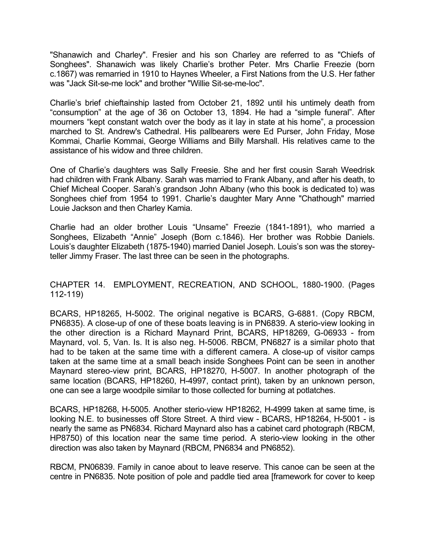"Shanawich and Charley". Fresier and his son Charley are referred to as "Chiefs of Songhees". Shanawich was likely Charlie's brother Peter. Mrs Charlie Freezie (born c.1867) was remarried in 1910 to Haynes Wheeler, a First Nations from the U.S. Her father was "Jack Sit-se-me lock" and brother "Willie Sit-se-me-loc".

Charlie's brief chieftainship lasted from October 21, 1892 until his untimely death from "consumption" at the age of 36 on October 13, 1894. He had a "simple funeral". After mourners "kept constant watch over the body as it lay in state at his home", a procession marched to St. Andrew's Cathedral. His pallbearers were Ed Purser, John Friday, Mose Kommai, Charlie Kommai, George Williams and Billy Marshall. His relatives came to the assistance of his widow and three children.

One of Charlie's daughters was Sally Freesie. She and her first cousin Sarah Weedrisk had children with Frank Albany. Sarah was married to Frank Albany, and after his death, to Chief Micheal Cooper. Sarah's grandson John Albany (who this book is dedicated to) was Songhees chief from 1954 to 1991. Charlie's daughter Mary Anne "Chathough" married Louie Jackson and then Charley Kamia.

Charlie had an older brother Louis "Unsame" Freezie (1841-1891), who married a Songhees, Elizabeth "Annie" Joseph (Born c.1846). Her brother was Robbie Daniels. Louis's daughter Elizabeth (1875-1940) married Daniel Joseph. Louis's son was the storeyteller Jimmy Fraser. The last three can be seen in the photographs.

# CHAPTER 14. EMPLOYMENT, RECREATION, AND SCHOOL, 1880-1900. (Pages 112-119)

BCARS, HP18265, H-5002. The original negative is BCARS, G-6881. (Copy RBCM, PN6835). A close-up of one of these boats leaving is in PN6839. A sterio-view looking in the other direction is a Richard Maynard Print, BCARS, HP18269, G-06933 - from Maynard, vol. 5, Van. Is. It is also neg. H-5006. RBCM, PN6827 is a similar photo that had to be taken at the same time with a different camera. A close-up of visitor camps taken at the same time at a small beach inside Songhees Point can be seen in another Maynard stereo-view print, BCARS, HP18270, H-5007. In another photograph of the same location (BCARS, HP18260, H-4997, contact print), taken by an unknown person, one can see a large woodpile similar to those collected for burning at potlatches.

BCARS, HP18268, H-5005. Another sterio-view HP18262, H-4999 taken at same time, is looking N.E. to businesses off Store Street. A third view - BCARS, HP18264, H-5001 - is nearly the same as PN6834. Richard Maynard also has a cabinet card photograph (RBCM, HP8750) of this location near the same time period. A sterio-view looking in the other direction was also taken by Maynard (RBCM, PN6834 and PN6852).

RBCM, PN06839. Family in canoe about to leave reserve. This canoe can be seen at the centre in PN6835. Note position of pole and paddle tied area [framework for cover to keep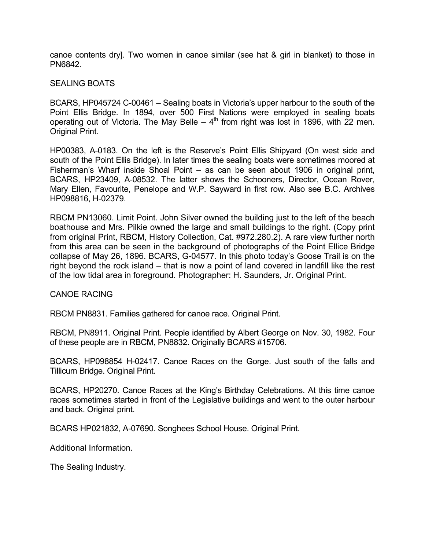canoe contents dry]. Two women in canoe similar (see hat & girl in blanket) to those in PN6842.

#### SEALING BOATS

BCARS, HP045724 C-00461 – Sealing boats in Victoria's upper harbour to the south of the Point Ellis Bridge. In 1894, over 500 First Nations were employed in sealing boats operating out of Victoria. The May Belle –  $4<sup>th</sup>$  from right was lost in 1896, with 22 men. Original Print.

HP00383, A-0183. On the left is the Reserve's Point Ellis Shipyard (On west side and south of the Point Ellis Bridge). In later times the sealing boats were sometimes moored at Fisherman's Wharf inside Shoal Point – as can be seen about 1906 in original print, BCARS, HP23409, A-08532. The latter shows the Schooners, Director, Ocean Rover, Mary Ellen, Favourite, Penelope and W.P. Sayward in first row. Also see B.C. Archives HP098816, H-02379.

RBCM PN13060. Limit Point. John Silver owned the building just to the left of the beach boathouse and Mrs. Pilkie owned the large and small buildings to the right. (Copy print from original Print, RBCM, History Collection, Cat. #972.280.2). A rare view further north from this area can be seen in the background of photographs of the Point Ellice Bridge collapse of May 26, 1896. BCARS, G-04577. In this photo today's Goose Trail is on the right beyond the rock island – that is now a point of land covered in landfill like the rest of the low tidal area in foreground. Photographer: H. Saunders, Jr. Original Print.

#### CANOE RACING

RBCM PN8831. Families gathered for canoe race. Original Print.

RBCM, PN8911. Original Print. People identified by Albert George on Nov. 30, 1982. Four of these people are in RBCM, PN8832. Originally BCARS #15706.

BCARS, HP098854 H-02417. Canoe Races on the Gorge. Just south of the falls and Tillicum Bridge. Original Print.

BCARS, HP20270. Canoe Races at the King's Birthday Celebrations. At this time canoe races sometimes started in front of the Legislative buildings and went to the outer harbour and back. Original print.

BCARS HP021832, A-07690. Songhees School House. Original Print.

Additional Information.

The Sealing Industry.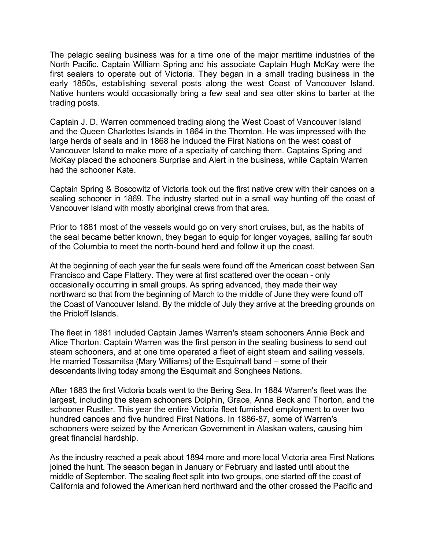The pelagic sealing business was for a time one of the major maritime industries of the North Pacific. Captain William Spring and his associate Captain Hugh McKay were the first sealers to operate out of Victoria. They began in a small trading business in the early 1850s, establishing several posts along the west Coast of Vancouver Island. Native hunters would occasionally bring a few seal and sea otter skins to barter at the trading posts.

Captain J. D. Warren commenced trading along the West Coast of Vancouver Island and the Queen Charlottes Islands in 1864 in the Thornton. He was impressed with the large herds of seals and in 1868 he induced the First Nations on the west coast of Vancouver Island to make more of a specialty of catching them. Captains Spring and McKay placed the schooners Surprise and Alert in the business, while Captain Warren had the schooner Kate.

Captain Spring & Boscowitz of Victoria took out the first native crew with their canoes on a sealing schooner in 1869. The industry started out in a small way hunting off the coast of Vancouver Island with mostly aboriginal crews from that area.

Prior to 1881 most of the vessels would go on very short cruises, but, as the habits of the seal became better known, they began to equip for longer voyages, sailing far south of the Columbia to meet the north-bound herd and follow it up the coast.

At the beginning of each year the fur seals were found off the American coast between San Francisco and Cape Flattery. They were at first scattered over the ocean - only occasionally occurring in small groups. As spring advanced, they made their way northward so that from the beginning of March to the middle of June they were found off the Coast of Vancouver Island. By the middle of July they arrive at the breeding grounds on the Pribloff Islands.

The fleet in 1881 included Captain James Warren's steam schooners Annie Beck and Alice Thorton. Captain Warren was the first person in the sealing business to send out steam schooners, and at one time operated a fleet of eight steam and sailing vessels. He married Tossamitsa (Mary Williams) of the Esquimalt band – some of their descendants living today among the Esquimalt and Songhees Nations.

After 1883 the first Victoria boats went to the Bering Sea. In 1884 Warren's fleet was the largest, including the steam schooners Dolphin, Grace, Anna Beck and Thorton, and the schooner Rustler. This year the entire Victoria fleet furnished employment to over two hundred canoes and five hundred First Nations. In 1886-87, some of Warren's schooners were seized by the American Government in Alaskan waters, causing him great financial hardship.

As the industry reached a peak about 1894 more and more local Victoria area First Nations joined the hunt. The season began in January or February and lasted until about the middle of September. The sealing fleet split into two groups, one started off the coast of California and followed the American herd northward and the other crossed the Pacific and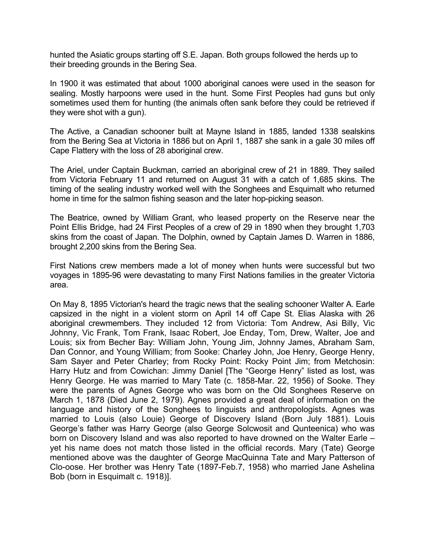hunted the Asiatic groups starting off S.E. Japan. Both groups followed the herds up to their breeding grounds in the Bering Sea.

In 1900 it was estimated that about 1000 aboriginal canoes were used in the season for sealing. Mostly harpoons were used in the hunt. Some First Peoples had guns but only sometimes used them for hunting (the animals often sank before they could be retrieved if they were shot with a gun).

The Active, a Canadian schooner built at Mayne Island in 1885, landed 1338 sealskins from the Bering Sea at Victoria in 1886 but on April 1, 1887 she sank in a gale 30 miles off Cape Flattery with the loss of 28 aboriginal crew.

The Ariel, under Captain Buckman, carried an aboriginal crew of 21 in 1889. They sailed from Victoria February 11 and returned on August 31 with a catch of 1,685 skins. The timing of the sealing industry worked well with the Songhees and Esquimalt who returned home in time for the salmon fishing season and the later hop-picking season.

The Beatrice, owned by William Grant, who leased property on the Reserve near the Point Ellis Bridge, had 24 First Peoples of a crew of 29 in 1890 when they brought 1,703 skins from the coast of Japan. The Dolphin, owned by Captain James D. Warren in 1886, brought 2,200 skins from the Bering Sea.

First Nations crew members made a lot of money when hunts were successful but two voyages in 1895-96 were devastating to many First Nations families in the greater Victoria area.

On May 8, 1895 Victorian's heard the tragic news that the sealing schooner Walter A. Earle capsized in the night in a violent storm on April 14 off Cape St. Elias Alaska with 26 aboriginal crewmembers. They included 12 from Victoria: Tom Andrew, Asi Billy, Vic Johnny, Vic Frank, Tom Frank, Isaac Robert, Joe Enday, Tom, Drew, Walter, Joe and Louis; six from Becher Bay: William John, Young Jim, Johnny James, Abraham Sam, Dan Connor, and Young William; from Sooke: Charley John, Joe Henry, George Henry, Sam Sayer and Peter Charley; from Rocky Point: Rocky Point Jim; from Metchosin: Harry Hutz and from Cowichan: Jimmy Daniel [The "George Henry" listed as lost, was Henry George. He was married to Mary Tate (c. 1858-Mar. 22, 1956) of Sooke. They were the parents of Agnes George who was born on the Old Songhees Reserve on March 1, 1878 (Died June 2, 1979). Agnes provided a great deal of information on the language and history of the Songhees to linguists and anthropologists. Agnes was married to Louis (also Louie) George of Discovery Island (Born July 1881). Louis George's father was Harry George (also George Solcwosit and Qunteenica) who was born on Discovery Island and was also reported to have drowned on the Walter Earle – yet his name does not match those listed in the official records. Mary (Tate) George mentioned above was the daughter of George MacQuinna Tate and Mary Patterson of Clo-oose. Her brother was Henry Tate (1897-Feb.7, 1958) who married Jane Ashelina Bob (born in Esquimalt c. 1918)].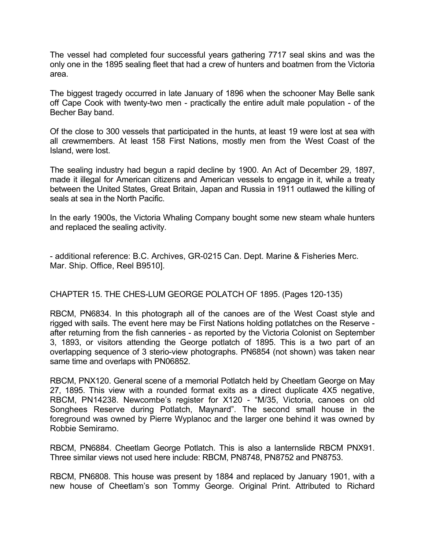The vessel had completed four successful years gathering 7717 seal skins and was the only one in the 1895 sealing fleet that had a crew of hunters and boatmen from the Victoria area.

The biggest tragedy occurred in late January of 1896 when the schooner May Belle sank off Cape Cook with twenty-two men - practically the entire adult male population - of the Becher Bay band.

Of the close to 300 vessels that participated in the hunts, at least 19 were lost at sea with all crewmembers. At least 158 First Nations, mostly men from the West Coast of the Island, were lost.

The sealing industry had begun a rapid decline by 1900. An Act of December 29, 1897, made it illegal for American citizens and American vessels to engage in it, while a treaty between the United States, Great Britain, Japan and Russia in 1911 outlawed the killing of seals at sea in the North Pacific.

In the early 1900s, the Victoria Whaling Company bought some new steam whale hunters and replaced the sealing activity.

- additional reference: B.C. Archives, GR-0215 Can. Dept. Marine & Fisheries Merc. Mar. Ship. Office, Reel B9510].

# CHAPTER 15. THE CHES-LUM GEORGE POLATCH OF 1895. (Pages 120-135)

RBCM, PN6834. In this photograph all of the canoes are of the West Coast style and rigged with sails. The event here may be First Nations holding potlatches on the Reserve after returning from the fish canneries - as reported by the Victoria Colonist on September 3, 1893, or visitors attending the George potlatch of 1895. This is a two part of an overlapping sequence of 3 sterio-view photographs. PN6854 (not shown) was taken near same time and overlaps with PN06852.

RBCM, PNX120. General scene of a memorial Potlatch held by Cheetlam George on May 27, 1895. This view with a rounded format exits as a direct duplicate 4X5 negative, RBCM, PN14238. Newcombe's register for X120 - "M/35, Victoria, canoes on old Songhees Reserve during Potlatch, Maynard". The second small house in the foreground was owned by Pierre Wyplanoc and the larger one behind it was owned by Robbie Semiramo.

RBCM, PN6884. Cheetlam George Potlatch. This is also a lanternslide RBCM PNX91. Three similar views not used here include: RBCM, PN8748, PN8752 and PN8753.

RBCM, PN6808. This house was present by 1884 and replaced by January 1901, with a new house of Cheetlam's son Tommy George. Original Print. Attributed to Richard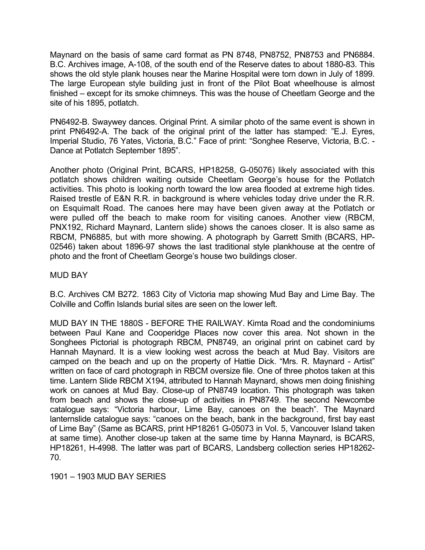Maynard on the basis of same card format as PN 8748, PN8752, PN8753 and PN6884. B.C. Archives image, A-108, of the south end of the Reserve dates to about 1880-83. This shows the old style plank houses near the Marine Hospital were torn down in July of 1899. The large European style building just in front of the Pilot Boat wheelhouse is almost finished – except for its smoke chimneys. This was the house of Cheetlam George and the site of his 1895, potlatch.

PN6492-B. Swaywey dances. Original Print. A similar photo of the same event is shown in print PN6492-A. The back of the original print of the latter has stamped: "E.J. Eyres, Imperial Studio, 76 Yates, Victoria, B.C." Face of print: "Songhee Reserve, Victoria, B.C. - Dance at Potlatch September 1895".

Another photo (Original Print, BCARS, HP18258, G-05076) likely associated with this potlatch shows children waiting outside Cheetlam George's house for the Potlatch activities. This photo is looking north toward the low area flooded at extreme high tides. Raised trestle of E&N R.R. in background is where vehicles today drive under the R.R. on Esquimalt Road. The canoes here may have been given away at the Potlatch or were pulled off the beach to make room for visiting canoes. Another view (RBCM, PNX192, Richard Maynard, Lantern slide) shows the canoes closer. It is also same as RBCM, PN6885, but with more showing. A photograph by Garrett Smith (BCARS, HP-02546) taken about 1896-97 shows the last traditional style plankhouse at the centre of photo and the front of Cheetlam George's house two buildings closer.

# MUD BAY

B.C. Archives CM B272. 1863 City of Victoria map showing Mud Bay and Lime Bay. The Colville and Coffin Islands burial sites are seen on the lower left.

MUD BAY IN THE 1880S - BEFORE THE RAILWAY. Kimta Road and the condominiums between Paul Kane and Cooperidge Places now cover this area. Not shown in the Songhees Pictorial is photograph RBCM, PN8749, an original print on cabinet card by Hannah Maynard. It is a view looking west across the beach at Mud Bay. Visitors are camped on the beach and up on the property of Hattie Dick. "Mrs. R. Maynard - Artist" written on face of card photograph in RBCM oversize file. One of three photos taken at this time. Lantern Slide RBCM X194, attributed to Hannah Maynard, shows men doing finishing work on canoes at Mud Bay. Close-up of PN8749 location. This photograph was taken from beach and shows the close-up of activities in PN8749. The second Newcombe catalogue says: "Victoria harbour, Lime Bay, canoes on the beach". The Maynard lanternslide catalogue says: "canoes on the beach, bank in the background, first bay east of Lime Bay" (Same as BCARS, print HP18261 G-05073 in Vol. 5, Vancouver Island taken at same time). Another close-up taken at the same time by Hanna Maynard, is BCARS, HP18261, H-4998. The latter was part of BCARS, Landsberg collection series HP18262- 70.

1901 – 1903 MUD BAY SERIES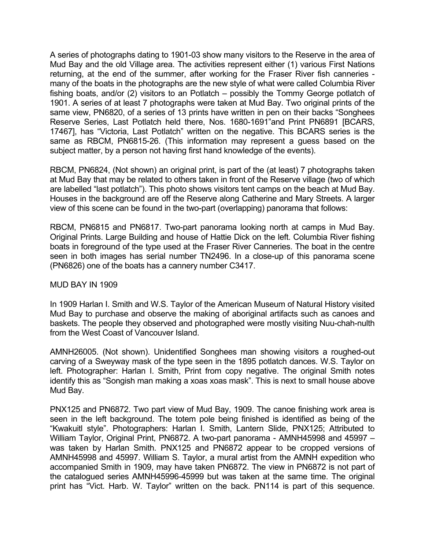A series of photographs dating to 1901-03 show many visitors to the Reserve in the area of Mud Bay and the old Village area. The activities represent either (1) various First Nations returning, at the end of the summer, after working for the Fraser River fish canneries many of the boats in the photographs are the new style of what were called Columbia River fishing boats, and/or (2) visitors to an Potlatch – possibly the Tommy George potlatch of 1901. A series of at least 7 photographs were taken at Mud Bay. Two original prints of the same view, PN6820, of a series of 13 prints have written in pen on their backs "Songhees Reserve Series, Last Potlatch held there, Nos. 1680-1691"and Print PN6891 [BCARS, 17467], has "Victoria, Last Potlatch" written on the negative. This BCARS series is the same as RBCM, PN6815-26. (This information may represent a guess based on the subject matter, by a person not having first hand knowledge of the events).

RBCM, PN6824, (Not shown) an original print, is part of the (at least) 7 photographs taken at Mud Bay that may be related to others taken in front of the Reserve village (two of which are labelled "last potlatch"). This photo shows visitors tent camps on the beach at Mud Bay. Houses in the background are off the Reserve along Catherine and Mary Streets. A larger view of this scene can be found in the two-part (overlapping) panorama that follows:

RBCM, PN6815 and PN6817. Two-part panorama looking north at camps in Mud Bay. Original Prints. Large Building and house of Hattie Dick on the left. Columbia River fishing boats in foreground of the type used at the Fraser River Canneries. The boat in the centre seen in both images has serial number TN2496. In a close-up of this panorama scene (PN6826) one of the boats has a cannery number C3417.

# MUD BAY IN 1909

In 1909 Harlan I. Smith and W.S. Taylor of the American Museum of Natural History visited Mud Bay to purchase and observe the making of aboriginal artifacts such as canoes and baskets. The people they observed and photographed were mostly visiting Nuu-chah-nulth from the West Coast of Vancouver Island.

AMNH26005. (Not shown). Unidentified Songhees man showing visitors a roughed-out carving of a Sweyway mask of the type seen in the 1895 potlatch dances. W.S. Taylor on left. Photographer: Harlan I. Smith, Print from copy negative. The original Smith notes identify this as "Songish man making a xoas xoas mask". This is next to small house above Mud Bay.

PNX125 and PN6872. Two part view of Mud Bay, 1909. The canoe finishing work area is seen in the left background. The totem pole being finished is identified as being of the "Kwakuitl style". Photographers: Harlan I. Smith, Lantern Slide, PNX125; Attributed to William Taylor, Original Print, PN6872. A two-part panorama - AMNH45998 and 45997 – was taken by Harlan Smith. PNX125 and PN6872 appear to be cropped versions of AMNH45998 and 45997. William S. Taylor, a mural artist from the AMNH expedition who accompanied Smith in 1909, may have taken PN6872. The view in PN6872 is not part of the catalogued series AMNH45996-45999 but was taken at the same time. The original print has "Vict. Harb. W. Taylor" written on the back. PN114 is part of this sequence.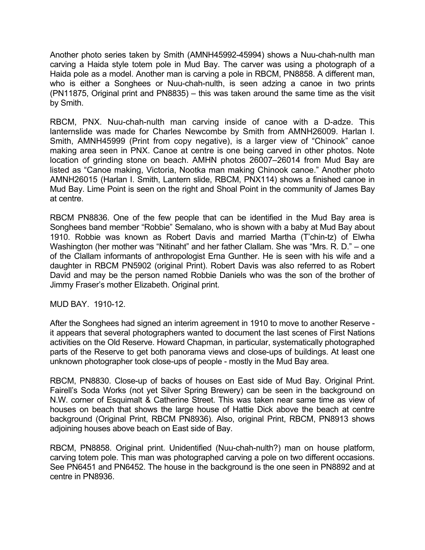Another photo series taken by Smith (AMNH45992-45994) shows a Nuu-chah-nulth man carving a Haida style totem pole in Mud Bay. The carver was using a photograph of a Haida pole as a model. Another man is carving a pole in RBCM, PN8858. A different man, who is either a Songhees or Nuu-chah-nulth, is seen adzing a canoe in two prints (PN11875, Original print and PN8835) – this was taken around the same time as the visit by Smith.

RBCM, PNX. Nuu-chah-nulth man carving inside of canoe with a D-adze. This lanternslide was made for Charles Newcombe by Smith from AMNH26009. Harlan I. Smith, AMNH45999 (Print from copy negative), is a larger view of "Chinook" canoe making area seen in PNX. Canoe at centre is one being carved in other photos. Note location of grinding stone on beach. AMHN photos 26007–26014 from Mud Bay are listed as "Canoe making, Victoria, Nootka man making Chinook canoe." Another photo AMNH26015 (Harlan I. Smith, Lantern slide, RBCM, PNX114) shows a finished canoe in Mud Bay. Lime Point is seen on the right and Shoal Point in the community of James Bay at centre.

RBCM PN8836. One of the few people that can be identified in the Mud Bay area is Songhees band member "Robbie" Semalano, who is shown with a baby at Mud Bay about 1910. Robbie was known as Robert Davis and married Martha (T'chin-tz) of Elwha Washington (her mother was "Nitinaht" and her father Clallam. She was "Mrs. R. D." – one of the Clallam informants of anthropologist Erna Gunther. He is seen with his wife and a daughter in RBCM PN5902 (original Print). Robert Davis was also referred to as Robert David and may be the person named Robbie Daniels who was the son of the brother of Jimmy Fraser's mother Elizabeth. Original print.

MUD BAY. 1910-12.

After the Songhees had signed an interim agreement in 1910 to move to another Reserve it appears that several photographers wanted to document the last scenes of First Nations activities on the Old Reserve. Howard Chapman, in particular, systematically photographed parts of the Reserve to get both panorama views and close-ups of buildings. At least one unknown photographer took close-ups of people - mostly in the Mud Bay area.

RBCM, PN8830. Close-up of backs of houses on East side of Mud Bay. Original Print. Fairell's Soda Works (not yet Silver Spring Brewery) can be seen in the background on N.W. corner of Esquimalt & Catherine Street. This was taken near same time as view of houses on beach that shows the large house of Hattie Dick above the beach at centre background (Original Print, RBCM PN8936). Also, original Print, RBCM, PN8913 shows adjoining houses above beach on East side of Bay.

RBCM, PN8858. Original print. Unidentified (Nuu-chah-nulth?) man on house platform, carving totem pole. This man was photographed carving a pole on two different occasions. See PN6451 and PN6452. The house in the background is the one seen in PN8892 and at centre in PN8936.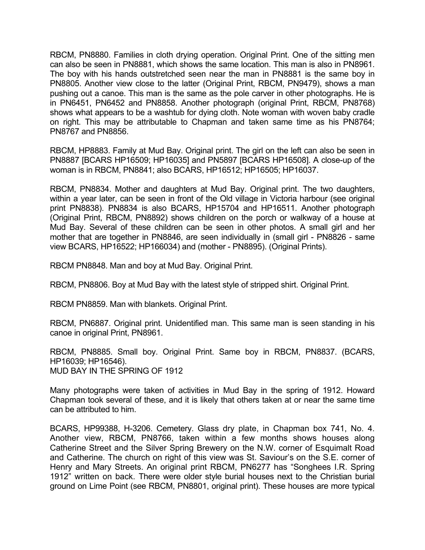RBCM, PN8880. Families in cloth drying operation. Original Print. One of the sitting men can also be seen in PN8881, which shows the same location. This man is also in PN8961. The boy with his hands outstretched seen near the man in PN8881 is the same boy in PN8805. Another view close to the latter (Original Print, RBCM, PN9479), shows a man pushing out a canoe. This man is the same as the pole carver in other photographs. He is in PN6451, PN6452 and PN8858. Another photograph (original Print, RBCM, PN8768) shows what appears to be a washtub for dying cloth. Note woman with woven baby cradle on right. This may be attributable to Chapman and taken same time as his PN8764; PN8767 and PN8856.

RBCM, HP8883. Family at Mud Bay. Original print. The girl on the left can also be seen in PN8887 [BCARS HP16509; HP16035] and PN5897 [BCARS HP16508]. A close-up of the woman is in RBCM, PN8841; also BCARS, HP16512; HP16505; HP16037.

RBCM, PN8834. Mother and daughters at Mud Bay. Original print. The two daughters, within a year later, can be seen in front of the Old village in Victoria harbour (see original print PN8838). PN8834 is also BCARS, HP15704 and HP16511. Another photograph (Original Print, RBCM, PN8892) shows children on the porch or walkway of a house at Mud Bay. Several of these children can be seen in other photos. A small girl and her mother that are together in PN8846, are seen individually in (small girl - PN8826 - same view BCARS, HP16522; HP166034) and (mother - PN8895). (Original Prints).

RBCM PN8848. Man and boy at Mud Bay. Original Print.

RBCM, PN8806. Boy at Mud Bay with the latest style of stripped shirt. Original Print.

RBCM PN8859. Man with blankets. Original Print.

RBCM, PN6887. Original print. Unidentified man. This same man is seen standing in his canoe in original Print, PN8961.

RBCM, PN8885. Small boy. Original Print. Same boy in RBCM, PN8837. (BCARS, HP16039; HP16546). MUD BAY IN THE SPRING OF 1912

Many photographs were taken of activities in Mud Bay in the spring of 1912. Howard Chapman took several of these, and it is likely that others taken at or near the same time can be attributed to him.

BCARS, HP99388, H-3206. Cemetery. Glass dry plate, in Chapman box 741, No. 4. Another view, RBCM, PN8766, taken within a few months shows houses along Catherine Street and the Silver Spring Brewery on the N.W. corner of Esquimalt Road and Catherine. The church on right of this view was St. Saviour's on the S.E. corner of Henry and Mary Streets. An original print RBCM, PN6277 has "Songhees I.R. Spring 1912" written on back. There were older style burial houses next to the Christian burial ground on Lime Point (see RBCM, PN8801, original print). These houses are more typical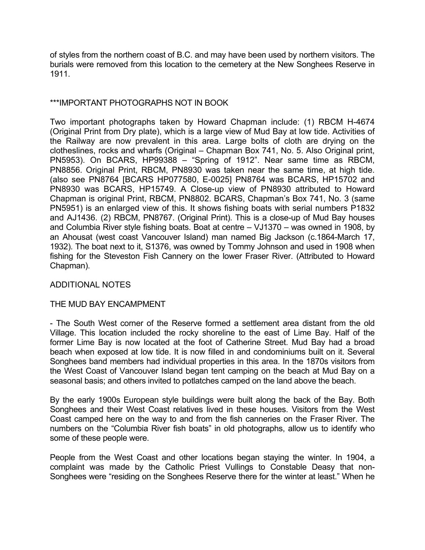of styles from the northern coast of B.C. and may have been used by northern visitors. The burials were removed from this location to the cemetery at the New Songhees Reserve in 1911.

# \*\*\*IMPORTANT PHOTOGRAPHS NOT IN BOOK

Two important photographs taken by Howard Chapman include: (1) RBCM H-4674 (Original Print from Dry plate), which is a large view of Mud Bay at low tide. Activities of the Railway are now prevalent in this area. Large bolts of cloth are drying on the clotheslines, rocks and wharfs (Original – Chapman Box 741, No. 5. Also Original print, PN5953). On BCARS, HP99388 – "Spring of 1912". Near same time as RBCM, PN8856. Original Print, RBCM, PN8930 was taken near the same time, at high tide. (also see PN8764 [BCARS HP077580, E-0025] PN8764 was BCARS, HP15702 and PN8930 was BCARS, HP15749. A Close-up view of PN8930 attributed to Howard Chapman is original Print, RBCM, PN8802. BCARS, Chapman's Box 741, No. 3 (same PN5951) is an enlarged view of this. It shows fishing boats with serial numbers P1832 and AJ1436. (2) RBCM, PN8767. (Original Print). This is a close-up of Mud Bay houses and Columbia River style fishing boats. Boat at centre – VJ1370 – was owned in 1908, by an Ahousat (west coast Vancouver Island) man named Big Jackson (c.1864-March 17, 1932). The boat next to it, S1376, was owned by Tommy Johnson and used in 1908 when fishing for the Steveston Fish Cannery on the lower Fraser River. (Attributed to Howard Chapman).

# ADDITIONAL NOTES

# THE MUD BAY ENCAMPMENT

- The South West corner of the Reserve formed a settlement area distant from the old Village. This location included the rocky shoreline to the east of Lime Bay. Half of the former Lime Bay is now located at the foot of Catherine Street. Mud Bay had a broad beach when exposed at low tide. It is now filled in and condominiums built on it. Several Songhees band members had individual properties in this area. In the 1870s visitors from the West Coast of Vancouver Island began tent camping on the beach at Mud Bay on a seasonal basis; and others invited to potlatches camped on the land above the beach.

By the early 1900s European style buildings were built along the back of the Bay. Both Songhees and their West Coast relatives lived in these houses. Visitors from the West Coast camped here on the way to and from the fish canneries on the Fraser River. The numbers on the "Columbia River fish boats" in old photographs, allow us to identify who some of these people were.

People from the West Coast and other locations began staying the winter. In 1904, a complaint was made by the Catholic Priest Vullings to Constable Deasy that non-Songhees were "residing on the Songhees Reserve there for the winter at least." When he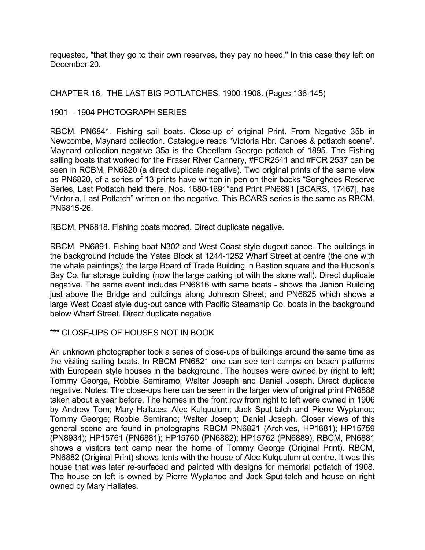requested, "that they go to their own reserves, they pay no heed." In this case they left on December 20.

CHAPTER 16. THE LAST BIG POTLATCHES, 1900-1908. (Pages 136-145)

# 1901 – 1904 PHOTOGRAPH SERIES

RBCM, PN6841. Fishing sail boats. Close-up of original Print. From Negative 35b in Newcombe, Maynard collection. Catalogue reads "Victoria Hbr. Canoes & potlatch scene". Maynard collection negative 35a is the Cheetlam George potlatch of 1895. The Fishing sailing boats that worked for the Fraser River Cannery, #FCR2541 and #FCR 2537 can be seen in RCBM, PN6820 (a direct duplicate negative). Two original prints of the same view as PN6820, of a series of 13 prints have written in pen on their backs "Songhees Reserve Series, Last Potlatch held there, Nos. 1680-1691"and Print PN6891 [BCARS, 17467], has "Victoria, Last Potlatch" written on the negative. This BCARS series is the same as RBCM, PN6815-26.

RBCM, PN6818. Fishing boats moored. Direct duplicate negative.

RBCM, PN6891. Fishing boat N302 and West Coast style dugout canoe. The buildings in the background include the Yates Block at 1244-1252 Wharf Street at centre (the one with the whale paintings); the large Board of Trade Building in Bastion square and the Hudson's Bay Co. fur storage building (now the large parking lot with the stone wall). Direct duplicate negative. The same event includes PN6816 with same boats - shows the Janion Building just above the Bridge and buildings along Johnson Street; and PN6825 which shows a large West Coast style dug-out canoe with Pacific Steamship Co. boats in the background below Wharf Street. Direct duplicate negative.

# \*\*\* CLOSE-UPS OF HOUSES NOT IN BOOK

An unknown photographer took a series of close-ups of buildings around the same time as the visiting sailing boats. In RBCM PN6821 one can see tent camps on beach platforms with European style houses in the background. The houses were owned by (right to left) Tommy George, Robbie Semiramo, Walter Joseph and Daniel Joseph. Direct duplicate negative. Notes: The close-ups here can be seen in the larger view of original print PN6888 taken about a year before. The homes in the front row from right to left were owned in 1906 by Andrew Tom; Mary Hallates; Alec Kulquulum; Jack Sput-talch and Pierre Wyplanoc; Tommy George; Robbie Semirano; Walter Joseph; Daniel Joseph. Closer views of this general scene are found in photographs RBCM PN6821 (Archives, HP1681); HP15759 (PN8934); HP15761 (PN6881); HP15760 (PN6882); HP15762 (PN6889). RBCM, PN6881 shows a visitors tent camp near the home of Tommy George (Original Print). RBCM, PN6882 (Original Print) shows tents with the house of Alec Kulquulum at centre. It was this house that was later re-surfaced and painted with designs for memorial potlatch of 1908. The house on left is owned by Pierre Wyplanoc and Jack Sput-talch and house on right owned by Mary Hallates.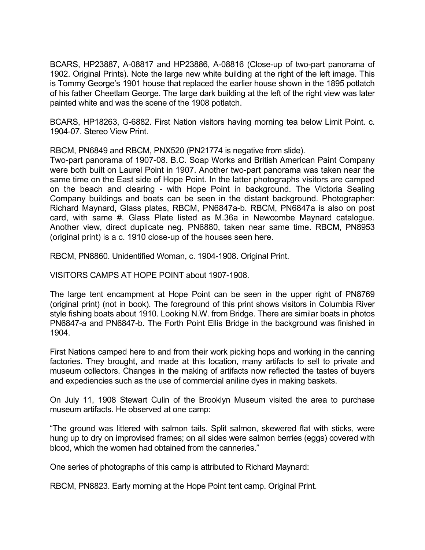BCARS, HP23887, A-08817 and HP23886, A-08816 (Close-up of two-part panorama of 1902. Original Prints). Note the large new white building at the right of the left image. This is Tommy George's 1901 house that replaced the earlier house shown in the 1895 potlatch of his father Cheetlam George. The large dark building at the left of the right view was later painted white and was the scene of the 1908 potlatch.

BCARS, HP18263, G-6882. First Nation visitors having morning tea below Limit Point. c. 1904-07. Stereo View Print.

RBCM, PN6849 and RBCM, PNX520 (PN21774 is negative from slide).

Two-part panorama of 1907-08. B.C. Soap Works and British American Paint Company were both built on Laurel Point in 1907. Another two-part panorama was taken near the same time on the East side of Hope Point. In the latter photographs visitors are camped on the beach and clearing - with Hope Point in background. The Victoria Sealing Company buildings and boats can be seen in the distant background. Photographer: Richard Maynard, Glass plates, RBCM, PN6847a-b. RBCM, PN6847a is also on post card, with same #. Glass Plate listed as M.36a in Newcombe Maynard catalogue. Another view, direct duplicate neg. PN6880, taken near same time. RBCM, PN8953 (original print) is a c. 1910 close-up of the houses seen here.

RBCM, PN8860. Unidentified Woman, c. 1904-1908. Original Print.

VISITORS CAMPS AT HOPE POINT about 1907-1908.

The large tent encampment at Hope Point can be seen in the upper right of PN8769 (original print) (not in book). The foreground of this print shows visitors in Columbia River style fishing boats about 1910. Looking N.W. from Bridge. There are similar boats in photos PN6847-a and PN6847-b. The Forth Point Ellis Bridge in the background was finished in 1904.

First Nations camped here to and from their work picking hops and working in the canning factories. They brought, and made at this location, many artifacts to sell to private and museum collectors. Changes in the making of artifacts now reflected the tastes of buyers and expediencies such as the use of commercial aniline dyes in making baskets.

On July 11, 1908 Stewart Culin of the Brooklyn Museum visited the area to purchase museum artifacts. He observed at one camp:

"The ground was littered with salmon tails. Split salmon, skewered flat with sticks, were hung up to dry on improvised frames; on all sides were salmon berries (eggs) covered with blood, which the women had obtained from the canneries."

One series of photographs of this camp is attributed to Richard Maynard:

RBCM, PN8823. Early morning at the Hope Point tent camp. Original Print.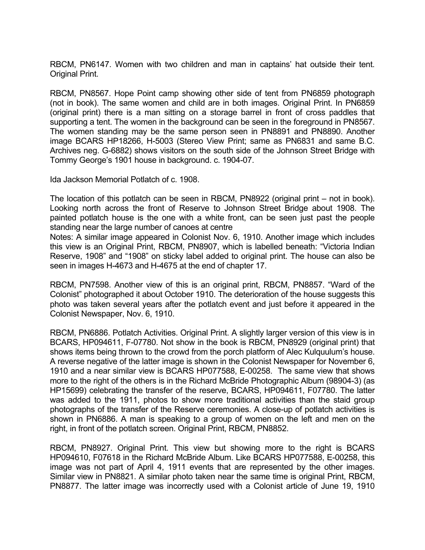RBCM, PN6147. Women with two children and man in captains' hat outside their tent. Original Print.

RBCM, PN8567. Hope Point camp showing other side of tent from PN6859 photograph (not in book). The same women and child are in both images. Original Print. In PN6859 (original print) there is a man sitting on a storage barrel in front of cross paddles that supporting a tent. The women in the background can be seen in the foreground in PN8567. The women standing may be the same person seen in PN8891 and PN8890. Another image BCARS HP18266, H-5003 (Stereo View Print; same as PN6831 and same B.C. Archives neg. G-6882) shows visitors on the south side of the Johnson Street Bridge with Tommy George's 1901 house in background. c. 1904-07.

Ida Jackson Memorial Potlatch of c. 1908.

The location of this potlatch can be seen in RBCM, PN8922 (original print – not in book). Looking north across the front of Reserve to Johnson Street Bridge about 1908. The painted potlatch house is the one with a white front, can be seen just past the people standing near the large number of canoes at centre

Notes: A similar image appeared in Colonist Nov. 6, 1910. Another image which includes this view is an Original Print, RBCM, PN8907, which is labelled beneath: "Victoria Indian Reserve, 1908" and "1908" on sticky label added to original print. The house can also be seen in images H-4673 and H-4675 at the end of chapter 17.

RBCM, PN7598. Another view of this is an original print, RBCM, PN8857. "Ward of the Colonist" photographed it about October 1910. The deterioration of the house suggests this photo was taken several years after the potlatch event and just before it appeared in the Colonist Newspaper, Nov. 6, 1910.

RBCM, PN6886. Potlatch Activities. Original Print. A slightly larger version of this view is in BCARS, HP094611, F-07780. Not show in the book is RBCM, PN8929 (original print) that shows items being thrown to the crowd from the porch platform of Alec Kulquulum's house. A reverse negative of the latter image is shown in the Colonist Newspaper for November 6, 1910 and a near similar view is BCARS HP077588, E-00258. The same view that shows more to the right of the others is in the Richard McBride Photographic Album (98904-3) (as HP15699) celebrating the transfer of the reserve, BCARS, HP094611, F07780. The latter was added to the 1911, photos to show more traditional activities than the staid group photographs of the transfer of the Reserve ceremonies. A close-up of potlatch activities is shown in PN6886. A man is speaking to a group of women on the left and men on the right, in front of the potlatch screen. Original Print, RBCM, PN8852.

RBCM, PN8927. Original Print. This view but showing more to the right is BCARS HP094610, F07618 in the Richard McBride Album. Like BCARS HP077588, E-00258, this image was not part of April 4, 1911 events that are represented by the other images. Similar view in PN8821. A similar photo taken near the same time is original Print, RBCM, PN8877. The latter image was incorrectly used with a Colonist article of June 19, 1910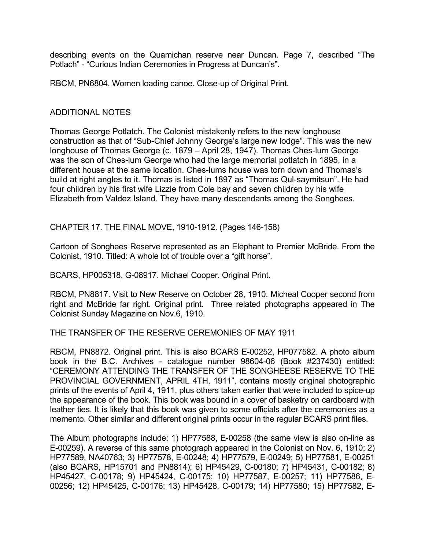describing events on the Quamichan reserve near Duncan. Page 7, described "The Potlach" - "Curious Indian Ceremonies in Progress at Duncan's".

RBCM, PN6804. Women loading canoe. Close-up of Original Print.

#### ADDITIONAL NOTES

Thomas George Potlatch. The Colonist mistakenly refers to the new longhouse construction as that of "Sub-Chief Johnny George's large new lodge". This was the new longhouse of Thomas George (c. 1879 – April 28, 1947). Thomas Ches-lum George was the son of Ches-lum George who had the large memorial potlatch in 1895, in a different house at the same location. Ches-lums house was torn down and Thomas's build at right angles to it. Thomas is listed in 1897 as "Thomas Qul-saymitsun". He had four children by his first wife Lizzie from Cole bay and seven children by his wife Elizabeth from Valdez Island. They have many descendants among the Songhees.

CHAPTER 17. THE FINAL MOVE, 1910-1912. (Pages 146-158)

Cartoon of Songhees Reserve represented as an Elephant to Premier McBride. From the Colonist, 1910. Titled: A whole lot of trouble over a "gift horse".

BCARS, HP005318, G-08917. Michael Cooper. Original Print.

RBCM, PN8817. Visit to New Reserve on October 28, 1910. Micheal Cooper second from right and McBride far right. Original print. Three related photographs appeared in The Colonist Sunday Magazine on Nov.6, 1910.

THE TRANSFER OF THE RESERVE CEREMONIES OF MAY 1911

RBCM, PN8872. Original print. This is also BCARS E-00252, HP077582. A photo album book in the B.C. Archives - catalogue number 98604-06 (Book #237430) entitled: "CEREMONY ATTENDING THE TRANSFER OF THE SONGHEESE RESERVE TO THE PROVINCIAL GOVERNMENT, APRIL 4TH, 1911", contains mostly original photographic prints of the events of April 4, 1911, plus others taken earlier that were included to spice-up the appearance of the book. This book was bound in a cover of basketry on cardboard with leather ties. It is likely that this book was given to some officials after the ceremonies as a memento. Other similar and different original prints occur in the regular BCARS print files.

The Album photographs include: 1) HP77588, E-00258 (the same view is also on-line as E-00259). A reverse of this same photograph appeared in the Colonist on Nov. 6, 1910; 2) HP77589, NA40763; 3) HP77578, E-00248; 4) HP77579, E-00249; 5) HP77581, E-00251 (also BCARS, HP15701 and PN8814); 6) HP45429, C-00180; 7) HP45431, C-00182; 8) HP45427, C-00178; 9) HP45424, C-00175; 10) HP77587, E-00257; 11) HP77586, E-00256; 12) HP45425, C-00176; 13) HP45428, C-00179; 14) HP77580; 15) HP77582, E-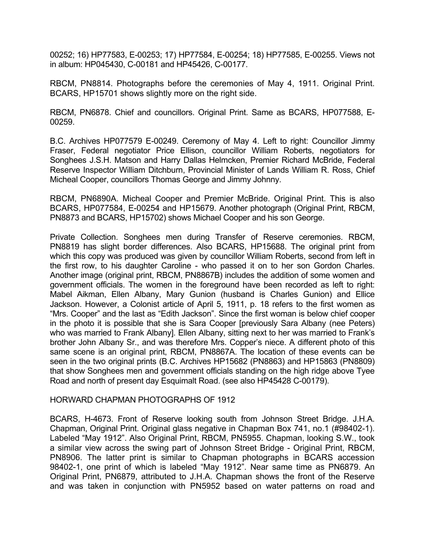00252; 16) HP77583, E-00253; 17) HP77584, E-00254; 18) HP77585, E-00255. Views not in album: HP045430, C-00181 and HP45426, C-00177.

RBCM, PN8814. Photographs before the ceremonies of May 4, 1911. Original Print. BCARS, HP15701 shows slightly more on the right side.

RBCM, PN6878. Chief and councillors. Original Print. Same as BCARS, HP077588, E-00259.

B.C. Archives HP077579 E-00249. Ceremony of May 4. Left to right: Councillor Jimmy Fraser, Federal negotiator Price Ellison, councillor William Roberts, negotiators for Songhees J.S.H. Matson and Harry Dallas Helmcken, Premier Richard McBride, Federal Reserve Inspector William Ditchburn, Provincial Minister of Lands William R. Ross, Chief Micheal Cooper, councillors Thomas George and Jimmy Johnny.

RBCM, PN6890A. Micheal Cooper and Premier McBride. Original Print. This is also BCARS, HP077584, E-00254 and HP15679. Another photograph (Original Print, RBCM, PN8873 and BCARS, HP15702) shows Michael Cooper and his son George.

Private Collection. Songhees men during Transfer of Reserve ceremonies. RBCM, PN8819 has slight border differences. Also BCARS, HP15688. The original print from which this copy was produced was given by councillor William Roberts, second from left in the first row, to his daughter Caroline - who passed it on to her son Gordon Charles. Another image (original print, RBCM, PN8867B) includes the addition of some women and government officials. The women in the foreground have been recorded as left to right: Mabel Aikman, Ellen Albany, Mary Gunion (husband is Charles Gunion) and Ellice Jackson. However, a Colonist article of April 5, 1911, p. 18 refers to the first women as "Mrs. Cooper" and the last as "Edith Jackson". Since the first woman is below chief cooper in the photo it is possible that she is Sara Cooper [previously Sara Albany (nee Peters) who was married to Frank Albany]. Ellen Albany, sitting next to her was married to Frank's brother John Albany Sr., and was therefore Mrs. Copper's niece. A different photo of this same scene is an original print, RBCM, PN8867A. The location of these events can be seen in the two original prints (B.C. Archives HP15682 (PN8863) and HP15863 (PN8809) that show Songhees men and government officials standing on the high ridge above Tyee Road and north of present day Esquimalt Road. (see also HP45428 C-00179).

#### HORWARD CHAPMAN PHOTOGRAPHS OF 1912

BCARS, H-4673. Front of Reserve looking south from Johnson Street Bridge. J.H.A. Chapman, Original Print. Original glass negative in Chapman Box 741, no.1 (#98402-1). Labeled "May 1912". Also Original Print, RBCM, PN5955. Chapman, looking S.W., took a similar view across the swing part of Johnson Street Bridge - Original Print, RBCM, PN8906. The latter print is similar to Chapman photographs in BCARS accession 98402-1, one print of which is labeled "May 1912". Near same time as PN6879. An Original Print, PN6879, attributed to J.H.A. Chapman shows the front of the Reserve and was taken in conjunction with PN5952 based on water patterns on road and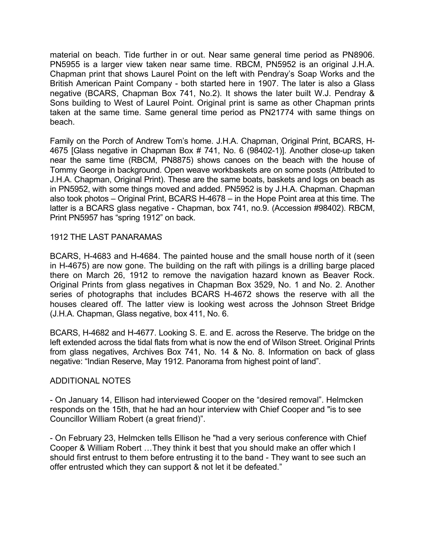material on beach. Tide further in or out. Near same general time period as PN8906. PN5955 is a larger view taken near same time. RBCM, PN5952 is an original J.H.A. Chapman print that shows Laurel Point on the left with Pendray's Soap Works and the British American Paint Company - both started here in 1907. The later is also a Glass negative (BCARS, Chapman Box 741, No.2). It shows the later built W.J. Pendray & Sons building to West of Laurel Point. Original print is same as other Chapman prints taken at the same time. Same general time period as PN21774 with same things on beach.

Family on the Porch of Andrew Tom's home. J.H.A. Chapman, Original Print, BCARS, H-4675 [Glass negative in Chapman Box # 741, No. 6 (98402-1)]. Another close-up taken near the same time (RBCM, PN8875) shows canoes on the beach with the house of Tommy George in background. Open weave workbaskets are on some posts (Attributed to J.H.A. Chapman, Original Print). These are the same boats, baskets and logs on beach as in PN5952, with some things moved and added. PN5952 is by J.H.A. Chapman. Chapman also took photos – Original Print, BCARS H-4678 – in the Hope Point area at this time. The latter is a BCARS glass negative - Chapman, box 741, no.9. (Accession #98402). RBCM, Print PN5957 has "spring 1912" on back.

## 1912 THE LAST PANARAMAS

BCARS, H-4683 and H-4684. The painted house and the small house north of it (seen in H-4675) are now gone. The building on the raft with pilings is a drilling barge placed there on March 26, 1912 to remove the navigation hazard known as Beaver Rock. Original Prints from glass negatives in Chapman Box 3529, No. 1 and No. 2. Another series of photographs that includes BCARS H-4672 shows the reserve with all the houses cleared off. The latter view is looking west across the Johnson Street Bridge (J.H.A. Chapman, Glass negative, box 411, No. 6.

BCARS, H-4682 and H-4677. Looking S. E. and E. across the Reserve. The bridge on the left extended across the tidal flats from what is now the end of Wilson Street. Original Prints from glass negatives, Archives Box 741, No. 14 & No. 8. Information on back of glass negative: "Indian Reserve, May 1912. Panorama from highest point of land".

## ADDITIONAL NOTES

- On January 14, Ellison had interviewed Cooper on the "desired removal". Helmcken responds on the 15th, that he had an hour interview with Chief Cooper and "is to see Councillor William Robert (a great friend)".

- On February 23, Helmcken tells Ellison he "had a very serious conference with Chief Cooper & William Robert …They think it best that you should make an offer which I should first entrust to them before entrusting it to the band - They want to see such an offer entrusted which they can support & not let it be defeated."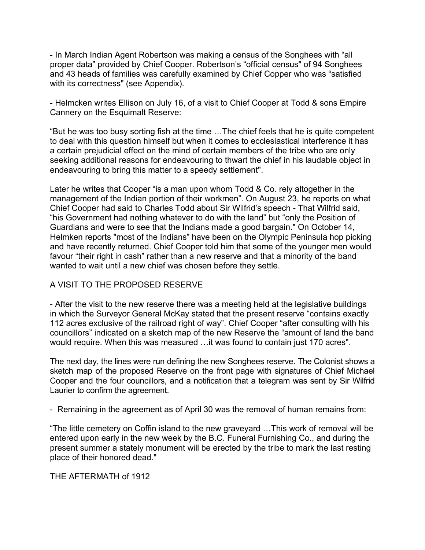- In March Indian Agent Robertson was making a census of the Songhees with "all proper data" provided by Chief Cooper. Robertson's "official census" of 94 Songhees and 43 heads of families was carefully examined by Chief Copper who was "satisfied with its correctness" (see Appendix).

- Helmcken writes Ellison on July 16, of a visit to Chief Cooper at Todd & sons Empire Cannery on the Esquimalt Reserve:

"But he was too busy sorting fish at the time …The chief feels that he is quite competent to deal with this question himself but when it comes to ecclesiastical interference it has a certain prejudicial effect on the mind of certain members of the tribe who are only seeking additional reasons for endeavouring to thwart the chief in his laudable object in endeavouring to bring this matter to a speedy settlement".

Later he writes that Cooper "is a man upon whom Todd & Co. rely altogether in the management of the Indian portion of their workmen". On August 23, he reports on what Chief Cooper had said to Charles Todd about Sir Wilfrid's speech - That Wilfrid said, "his Government had nothing whatever to do with the land" but "only the Position of Guardians and were to see that the Indians made a good bargain." On October 14, Helmken reports "most of the Indians" have been on the Olympic Peninsula hop picking and have recently returned. Chief Cooper told him that some of the younger men would favour "their right in cash" rather than a new reserve and that a minority of the band wanted to wait until a new chief was chosen before they settle.

## A VISIT TO THE PROPOSED RESERVE

- After the visit to the new reserve there was a meeting held at the legislative buildings in which the Surveyor General McKay stated that the present reserve "contains exactly 112 acres exclusive of the railroad right of way". Chief Cooper "after consulting with his councillors" indicated on a sketch map of the new Reserve the "amount of land the band would require. When this was measured …it was found to contain just 170 acres".

The next day, the lines were run defining the new Songhees reserve. The Colonist shows a sketch map of the proposed Reserve on the front page with signatures of Chief Michael Cooper and the four councillors, and a notification that a telegram was sent by Sir Wilfrid Laurier to confirm the agreement.

- Remaining in the agreement as of April 30 was the removal of human remains from:

"The little cemetery on Coffin island to the new graveyard …This work of removal will be entered upon early in the new week by the B.C. Funeral Furnishing Co., and during the present summer a stately monument will be erected by the tribe to mark the last resting place of their honored dead."

THE AFTERMATH of 1912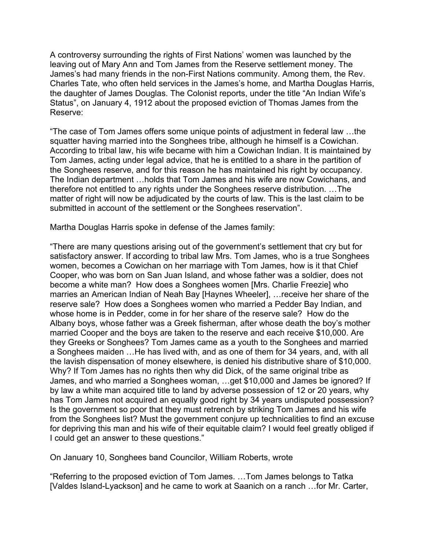A controversy surrounding the rights of First Nations' women was launched by the leaving out of Mary Ann and Tom James from the Reserve settlement money. The James's had many friends in the non-First Nations community. Among them, the Rev. Charles Tate, who often held services in the James's home, and Martha Douglas Harris, the daughter of James Douglas. The Colonist reports, under the title "An Indian Wife's Status", on January 4, 1912 about the proposed eviction of Thomas James from the Reserve:

"The case of Tom James offers some unique points of adjustment in federal law …the squatter having married into the Songhees tribe, although he himself is a Cowichan. According to tribal law, his wife became with him a Cowichan Indian. It is maintained by Tom James, acting under legal advice, that he is entitled to a share in the partition of the Songhees reserve, and for this reason he has maintained his right by occupancy. The Indian department …holds that Tom James and his wife are now Cowichans, and therefore not entitled to any rights under the Songhees reserve distribution. …The matter of right will now be adjudicated by the courts of law. This is the last claim to be submitted in account of the settlement or the Songhees reservation".

Martha Douglas Harris spoke in defense of the James family:

"There are many questions arising out of the government's settlement that cry but for satisfactory answer. If according to tribal law Mrs. Tom James, who is a true Songhees women, becomes a Cowichan on her marriage with Tom James, how is it that Chief Cooper, who was born on San Juan Island, and whose father was a soldier, does not become a white man? How does a Songhees women [Mrs. Charlie Freezie] who marries an American Indian of Neah Bay [Haynes Wheeler], …receive her share of the reserve sale? How does a Songhees women who married a Pedder Bay Indian, and whose home is in Pedder, come in for her share of the reserve sale? How do the Albany boys, whose father was a Greek fisherman, after whose death the boy's mother married Cooper and the boys are taken to the reserve and each receive \$10,000. Are they Greeks or Songhees? Tom James came as a youth to the Songhees and married a Songhees maiden …He has lived with, and as one of them for 34 years, and, with all the lavish dispensation of money elsewhere, is denied his distributive share of \$10,000. Why? If Tom James has no rights then why did Dick, of the same original tribe as James, and who married a Songhees woman, …get \$10,000 and James be ignored? If by law a white man acquired title to land by adverse possession of 12 or 20 years, why has Tom James not acquired an equally good right by 34 years undisputed possession? Is the government so poor that they must retrench by striking Tom James and his wife from the Songhees list? Must the government conjure up technicalities to find an excuse for depriving this man and his wife of their equitable claim? I would feel greatly obliged if I could get an answer to these questions."

On January 10, Songhees band Councilor, William Roberts, wrote

"Referring to the proposed eviction of Tom James. …Tom James belongs to Tatka [Valdes Island-Lyackson] and he came to work at Saanich on a ranch …for Mr. Carter,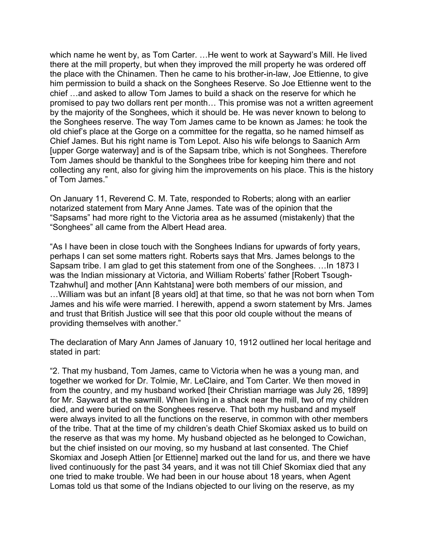which name he went by, as Tom Carter. …He went to work at Sayward's Mill. He lived there at the mill property, but when they improved the mill property he was ordered off the place with the Chinamen. Then he came to his brother-in-law, Joe Ettienne, to give him permission to build a shack on the Songhees Reserve. So Joe Ettienne went to the chief …and asked to allow Tom James to build a shack on the reserve for which he promised to pay two dollars rent per month… This promise was not a written agreement by the majority of the Songhees, which it should be. He was never known to belong to the Songhees reserve. The way Tom James came to be known as James: he took the old chief's place at the Gorge on a committee for the regatta, so he named himself as Chief James. But his right name is Tom Lepot. Also his wife belongs to Saanich Arm [upper Gorge waterway] and is of the Sapsam tribe, which is not Songhees. Therefore Tom James should be thankful to the Songhees tribe for keeping him there and not collecting any rent, also for giving him the improvements on his place. This is the history of Tom James."

On January 11, Reverend C. M. Tate, responded to Roberts; along with an earlier notarized statement from Mary Anne James. Tate was of the opinion that the "Sapsams" had more right to the Victoria area as he assumed (mistakenly) that the "Songhees" all came from the Albert Head area.

"As I have been in close touch with the Songhees Indians for upwards of forty years, perhaps I can set some matters right. Roberts says that Mrs. James belongs to the Sapsam tribe. I am glad to get this statement from one of the Songhees. …In 1873 I was the Indian missionary at Victoria, and William Roberts' father [Robert Tsough-Tzahwhul] and mother [Ann Kahtstana] were both members of our mission, and ... William was but an infant [8 years old] at that time, so that he was not born when Tom James and his wife were married. I herewith, append a sworn statement by Mrs. James and trust that British Justice will see that this poor old couple without the means of providing themselves with another."

The declaration of Mary Ann James of January 10, 1912 outlined her local heritage and stated in part:

"2. That my husband, Tom James, came to Victoria when he was a young man, and together we worked for Dr. Tolmie, Mr. LeClaire, and Tom Carter. We then moved in from the country, and my husband worked [their Christian marriage was July 26, 1899] for Mr. Sayward at the sawmill. When living in a shack near the mill, two of my children died, and were buried on the Songhees reserve. That both my husband and myself were always invited to all the functions on the reserve, in common with other members of the tribe. That at the time of my children's death Chief Skomiax asked us to build on the reserve as that was my home. My husband objected as he belonged to Cowichan, but the chief insisted on our moving, so my husband at last consented. The Chief Skomiax and Joseph Attien [or Ettienne] marked out the land for us, and there we have lived continuously for the past 34 years, and it was not till Chief Skomiax died that any one tried to make trouble. We had been in our house about 18 years, when Agent Lomas told us that some of the Indians objected to our living on the reserve, as my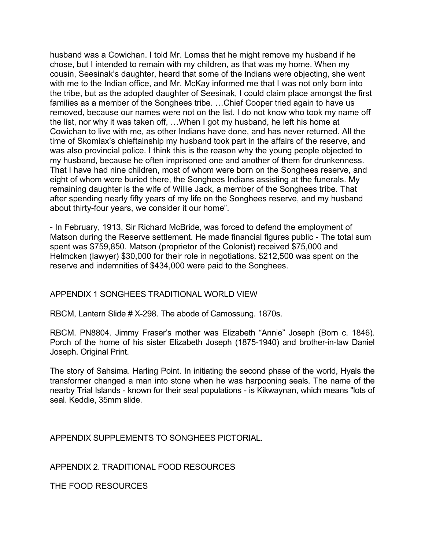husband was a Cowichan. I told Mr. Lomas that he might remove my husband if he chose, but I intended to remain with my children, as that was my home. When my cousin, Seesinak's daughter, heard that some of the Indians were objecting, she went with me to the Indian office, and Mr. McKay informed me that I was not only born into the tribe, but as the adopted daughter of Seesinak, I could claim place amongst the first families as a member of the Songhees tribe. …Chief Cooper tried again to have us removed, because our names were not on the list. I do not know who took my name off the list, nor why it was taken off, …When I got my husband, he left his home at Cowichan to live with me, as other Indians have done, and has never returned. All the time of Skomiax's chieftainship my husband took part in the affairs of the reserve, and was also provincial police. I think this is the reason why the young people objected to my husband, because he often imprisoned one and another of them for drunkenness. That I have had nine children, most of whom were born on the Songhees reserve, and eight of whom were buried there, the Songhees Indians assisting at the funerals. My remaining daughter is the wife of Willie Jack, a member of the Songhees tribe. That after spending nearly fifty years of my life on the Songhees reserve, and my husband about thirty-four years, we consider it our home".

- In February, 1913, Sir Richard McBride, was forced to defend the employment of Matson during the Reserve settlement. He made financial figures public - The total sum spent was \$759,850. Matson (proprietor of the Colonist) received \$75,000 and Helmcken (lawyer) \$30,000 for their role in negotiations. \$212,500 was spent on the reserve and indemnities of \$434,000 were paid to the Songhees.

#### APPENDIX 1 SONGHEES TRADITIONAL WORLD VIEW

RBCM, Lantern Slide # X-298. The abode of Camossung. 1870s.

RBCM. PN8804. Jimmy Fraser's mother was Elizabeth "Annie" Joseph (Born c. 1846). Porch of the home of his sister Elizabeth Joseph (1875-1940) and brother-in-law Daniel Joseph. Original Print.

The story of Sahsima. Harling Point. In initiating the second phase of the world, Hyals the transformer changed a man into stone when he was harpooning seals. The name of the nearby Trial Islands - known for their seal populations - is Kikwaynan, which means "lots of seal. Keddie, 35mm slide.

APPENDIX SUPPLEMENTS TO SONGHEES PICTORIAL.

APPENDIX 2. TRADITIONAL FOOD RESOURCES

THE FOOD RESOURCES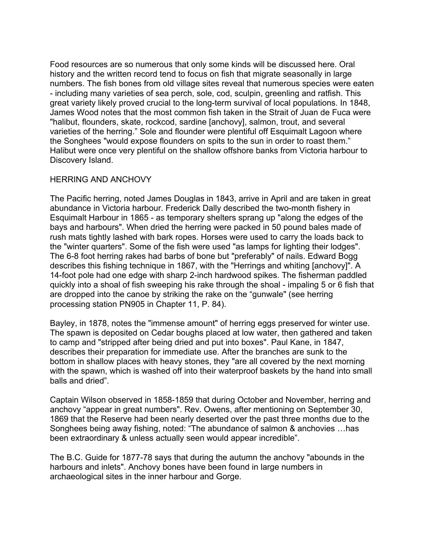Food resources are so numerous that only some kinds will be discussed here. Oral history and the written record tend to focus on fish that migrate seasonally in large numbers. The fish bones from old village sites reveal that numerous species were eaten - including many varieties of sea perch, sole, cod, sculpin, greenling and ratfish. This great variety likely proved crucial to the long-term survival of local populations. In 1848, James Wood notes that the most common fish taken in the Strait of Juan de Fuca were "halibut, flounders, skate, rockcod, sardine [anchovy], salmon, trout, and several varieties of the herring." Sole and flounder were plentiful off Esquimalt Lagoon where the Songhees "would expose flounders on spits to the sun in order to roast them." Halibut were once very plentiful on the shallow offshore banks from Victoria harbour to Discovery Island.

## HERRING AND ANCHOVY

The Pacific herring, noted James Douglas in 1843, arrive in April and are taken in great abundance in Victoria harbour. Frederick Dally described the two-month fishery in Esquimalt Harbour in 1865 - as temporary shelters sprang up "along the edges of the bays and harbours". When dried the herring were packed in 50 pound bales made of rush mats tightly lashed with bark ropes. Horses were used to carry the loads back to the "winter quarters". Some of the fish were used "as lamps for lighting their lodges". The 6-8 foot herring rakes had barbs of bone but "preferably" of nails. Edward Bogg describes this fishing technique in 1867, with the "Herrings and whiting [anchovy]". A 14-foot pole had one edge with sharp 2-inch hardwood spikes. The fisherman paddled quickly into a shoal of fish sweeping his rake through the shoal - impaling 5 or 6 fish that are dropped into the canoe by striking the rake on the "gunwale" (see herring processing station PN905 in Chapter 11, P. 84).

Bayley, in 1878, notes the "immense amount" of herring eggs preserved for winter use. The spawn is deposited on Cedar boughs placed at low water, then gathered and taken to camp and "stripped after being dried and put into boxes". Paul Kane, in 1847, describes their preparation for immediate use. After the branches are sunk to the bottom in shallow places with heavy stones, they "are all covered by the next morning with the spawn, which is washed off into their waterproof baskets by the hand into small balls and dried".

Captain Wilson observed in 1858-1859 that during October and November, herring and anchovy "appear in great numbers". Rev. Owens, after mentioning on September 30, 1869 that the Reserve had been nearly deserted over the past three months due to the Songhees being away fishing, noted: "The abundance of salmon & anchovies …has been extraordinary & unless actually seen would appear incredible".

The B.C. Guide for 1877-78 says that during the autumn the anchovy "abounds in the harbours and inlets". Anchovy bones have been found in large numbers in archaeological sites in the inner harbour and Gorge.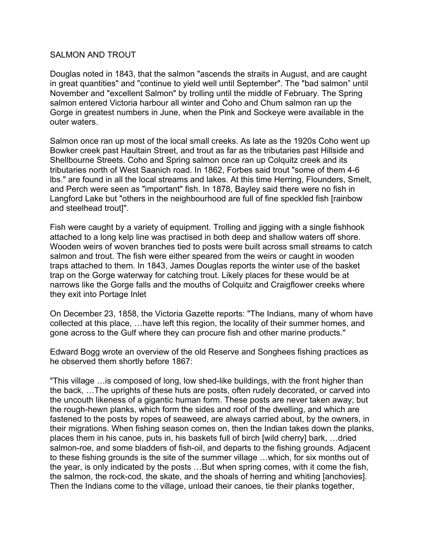### SALMON AND TROUT

Douglas noted in 1843, that the salmon "ascends the straits in August, and are caught in great quantities" and "continue to yield well until September". The "bad salmon" until November and "excellent Salmon" by trolling until the middle of February. The Spring salmon entered Victoria harbour all winter and Coho and Chum salmon ran up the Gorge in greatest numbers in June, when the Pink and Sockeye were available in the outer waters.

Salmon once ran up most of the local small creeks. As late as the 1920s Coho went up Bowker creek past Haultain Street, and trout as far as the tributaries past Hillside and Shellbourne Streets. Coho and Spring salmon once ran up Colquitz creek and its tributaries north of West Saanich road. In 1862, Forbes said trout "some of them 4-6 lbs." are found in all the local streams and lakes. At this time Herring, Flounders, Smelt, and Perch were seen as "important" fish. In 1878, Bayley said there were no fish in Langford Lake but "others in the neighbourhood are full of fine speckled fish [rainbow and steelhead trout]".

Fish were caught by a variety of equipment. Trolling and jigging with a single fishhook attached to a long kelp line was practised in both deep and shallow waters off shore. Wooden weirs of woven branches tied to posts were built across small streams to catch salmon and trout. The fish were either speared from the weirs or caught in wooden traps attached to them. In 1843, James Douglas reports the winter use of the basket trap on the Gorge waterway for catching trout. Likely places for these would be at narrows like the Gorge falls and the mouths of Colquitz and Craigflower creeks where they exit into Portage Inlet

On December 23, 1858, the Victoria Gazette reports: "The Indians, many of whom have collected at this place, …have left this region, the locality of their summer homes, and gone across to the Gulf where they can procure fish and other marine products."

Edward Bogg wrote an overview of the old Reserve and Songhees fishing practices as he observed them shortly before 1867:

"This village …is composed of long, low shed-like buildings, with the front higher than the back, …The uprights of these huts are posts, often rudely decorated, or carved into the uncouth likeness of a gigantic human form. These posts are never taken away; but the rough-hewn planks, which form the sides and roof of the dwelling, and which are fastened to the posts by ropes of seaweed, are always carried about, by the owners, in their migrations. When fishing season comes on, then the Indian takes down the planks, places them in his canoe, puts in, his baskets full of birch [wild cherry] bark, …dried salmon-roe, and some bladders of fish-oil, and departs to the fishing grounds. Adjacent to these fishing grounds is the site of the summer village …which, for six months out of the year, is only indicated by the posts …But when spring comes, with it come the fish, the salmon, the rock-cod, the skate, and the shoals of herring and whiting [anchovies]. Then the Indians come to the village, unload their canoes, tie their planks together,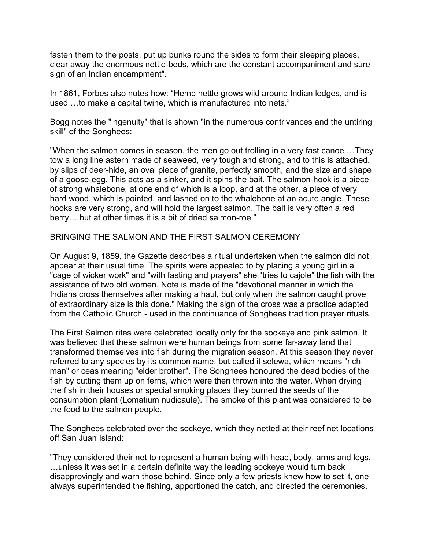fasten them to the posts, put up bunks round the sides to form their sleeping places, clear away the enormous nettle-beds, which are the constant accompaniment and sure sign of an Indian encampment".

In 1861, Forbes also notes how: "Hemp nettle grows wild around Indian lodges, and is used …to make a capital twine, which is manufactured into nets."

Bogg notes the "ingenuity" that is shown "in the numerous contrivances and the untiring skill" of the Songhees:

"When the salmon comes in season, the men go out trolling in a very fast canoe …They tow a long line astern made of seaweed, very tough and strong, and to this is attached, by slips of deer-hide, an oval piece of granite, perfectly smooth, and the size and shape of a goose-egg. This acts as a sinker, and it spins the bait. The salmon-hook is a piece of strong whalebone, at one end of which is a loop, and at the other, a piece of very hard wood, which is pointed, and lashed on to the whalebone at an acute angle. These hooks are very strong, and will hold the largest salmon. The bait is very often a red berry… but at other times it is a bit of dried salmon-roe."

BRINGING THE SALMON AND THE FIRST SALMON CEREMONY

On August 9, 1859, the Gazette describes a ritual undertaken when the salmon did not appear at their usual time. The spirits were appealed to by placing a young girl in a "cage of wicker work" and "with fasting and prayers" she "tries to cajole" the fish with the assistance of two old women. Note is made of the "devotional manner in which the Indians cross themselves after making a haul, but only when the salmon caught prove of extraordinary size is this done." Making the sign of the cross was a practice adapted from the Catholic Church - used in the continuance of Songhees tradition prayer rituals.

The First Salmon rites were celebrated locally only for the sockeye and pink salmon. It was believed that these salmon were human beings from some far-away land that transformed themselves into fish during the migration season. At this season they never referred to any species by its common name, but called it selewa, which means "rich man" or ceas meaning "elder brother". The Songhees honoured the dead bodies of the fish by cutting them up on ferns, which were then thrown into the water. When drying the fish in their houses or special smoking places they burned the seeds of the consumption plant (Lomatium nudicaule). The smoke of this plant was considered to be the food to the salmon people.

The Songhees celebrated over the sockeye, which they netted at their reef net locations off San Juan Island:

"They considered their net to represent a human being with head, body, arms and legs, …unless it was set in a certain definite way the leading sockeye would turn back disapprovingly and warn those behind. Since only a few priests knew how to set it, one always superintended the fishing, apportioned the catch, and directed the ceremonies.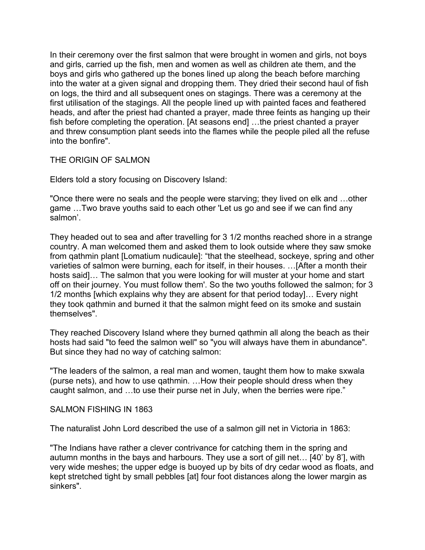In their ceremony over the first salmon that were brought in women and girls, not boys and girls, carried up the fish, men and women as well as children ate them, and the boys and girls who gathered up the bones lined up along the beach before marching into the water at a given signal and dropping them. They dried their second haul of fish on logs, the third and all subsequent ones on stagings. There was a ceremony at the first utilisation of the stagings. All the people lined up with painted faces and feathered heads, and after the priest had chanted a prayer, made three feints as hanging up their fish before completing the operation. [At seasons end] …the priest chanted a prayer and threw consumption plant seeds into the flames while the people piled all the refuse into the bonfire".

THE ORIGIN OF SALMON

Elders told a story focusing on Discovery Island:

"Once there were no seals and the people were starving; they lived on elk and …other game …Two brave youths said to each other 'Let us go and see if we can find any salmon'.

They headed out to sea and after travelling for 3 1/2 months reached shore in a strange country. A man welcomed them and asked them to look outside where they saw smoke from qathmin plant [Lomatium nudicaule]: "that the steelhead, sockeye, spring and other varieties of salmon were burning, each for itself, in their houses. …[After a month their hosts said]… The salmon that you were looking for will muster at your home and start off on their journey. You must follow them'. So the two youths followed the salmon; for 3 1/2 months [which explains why they are absent for that period today]… Every night they took qathmin and burned it that the salmon might feed on its smoke and sustain themselves".

They reached Discovery Island where they burned qathmin all along the beach as their hosts had said "to feed the salmon well" so "you will always have them in abundance". But since they had no way of catching salmon:

"The leaders of the salmon, a real man and women, taught them how to make sxwala (purse nets), and how to use qathmin. …How their people should dress when they caught salmon, and …to use their purse net in July, when the berries were ripe."

#### SALMON FISHING IN 1863

The naturalist John Lord described the use of a salmon gill net in Victoria in 1863:

"The Indians have rather a clever contrivance for catching them in the spring and autumn months in the bays and harbours. They use a sort of gill net… [40' by 8'], with very wide meshes; the upper edge is buoyed up by bits of dry cedar wood as floats, and kept stretched tight by small pebbles [at] four foot distances along the lower margin as sinkers".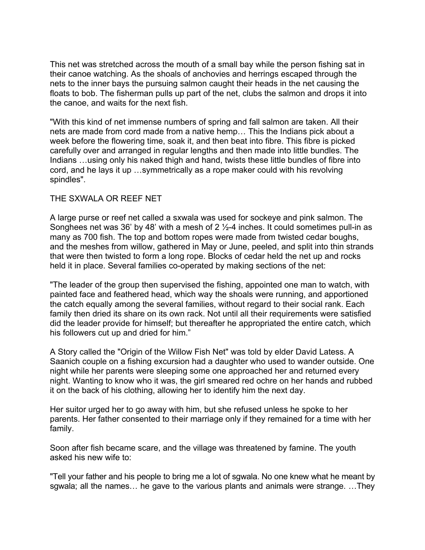This net was stretched across the mouth of a small bay while the person fishing sat in their canoe watching. As the shoals of anchovies and herrings escaped through the nets to the inner bays the pursuing salmon caught their heads in the net causing the floats to bob. The fisherman pulls up part of the net, clubs the salmon and drops it into the canoe, and waits for the next fish.

"With this kind of net immense numbers of spring and fall salmon are taken. All their nets are made from cord made from a native hemp… This the Indians pick about a week before the flowering time, soak it, and then beat into fibre. This fibre is picked carefully over and arranged in regular lengths and then made into little bundles. The Indians …using only his naked thigh and hand, twists these little bundles of fibre into cord, and he lays it up …symmetrically as a rope maker could with his revolving spindles".

### THE SXWALA OR REEF NET

A large purse or reef net called a sxwala was used for sockeye and pink salmon. The Songhees net was 36' by 48' with a mesh of 2  $\frac{1}{2}$ -4 inches. It could sometimes pull-in as many as 700 fish. The top and bottom ropes were made from twisted cedar boughs, and the meshes from willow, gathered in May or June, peeled, and split into thin strands that were then twisted to form a long rope. Blocks of cedar held the net up and rocks held it in place. Several families co-operated by making sections of the net:

"The leader of the group then supervised the fishing, appointed one man to watch, with painted face and feathered head, which way the shoals were running, and apportioned the catch equally among the several families, without regard to their social rank. Each family then dried its share on its own rack. Not until all their requirements were satisfied did the leader provide for himself; but thereafter he appropriated the entire catch, which his followers cut up and dried for him."

A Story called the "Origin of the Willow Fish Net" was told by elder David Latess. A Saanich couple on a fishing excursion had a daughter who used to wander outside. One night while her parents were sleeping some one approached her and returned every night. Wanting to know who it was, the girl smeared red ochre on her hands and rubbed it on the back of his clothing, allowing her to identify him the next day.

Her suitor urged her to go away with him, but she refused unless he spoke to her parents. Her father consented to their marriage only if they remained for a time with her family.

Soon after fish became scare, and the village was threatened by famine. The youth asked his new wife to:

"Tell your father and his people to bring me a lot of sgwala. No one knew what he meant by sgwala; all the names… he gave to the various plants and animals were strange. …They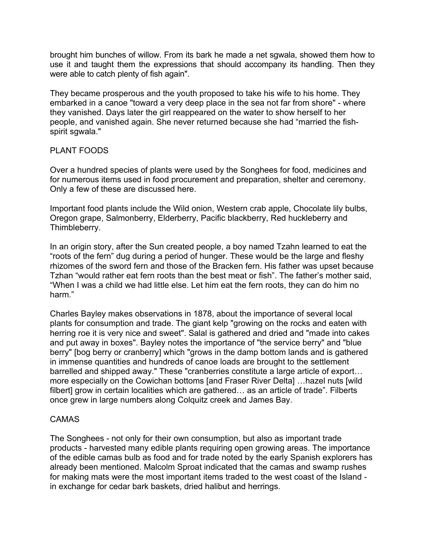brought him bunches of willow. From its bark he made a net sgwala, showed them how to use it and taught them the expressions that should accompany its handling. Then they were able to catch plenty of fish again".

They became prosperous and the youth proposed to take his wife to his home. They embarked in a canoe "toward a very deep place in the sea not far from shore" - where they vanished. Days later the girl reappeared on the water to show herself to her people, and vanished again. She never returned because she had "married the fishspirit sgwala."

## PLANT FOODS

Over a hundred species of plants were used by the Songhees for food, medicines and for numerous items used in food procurement and preparation, shelter and ceremony. Only a few of these are discussed here.

Important food plants include the Wild onion, Western crab apple, Chocolate lily bulbs, Oregon grape, Salmonberry, Elderberry, Pacific blackberry, Red huckleberry and Thimbleberry.

In an origin story, after the Sun created people, a boy named Tzahn learned to eat the "roots of the fern" dug during a period of hunger. These would be the large and fleshy rhizomes of the sword fern and those of the Bracken fern. His father was upset because Tzhan "would rather eat fern roots than the best meat or fish". The father's mother said, "When I was a child we had little else. Let him eat the fern roots, they can do him no harm."

Charles Bayley makes observations in 1878, about the importance of several local plants for consumption and trade. The giant kelp "growing on the rocks and eaten with herring roe it is very nice and sweet". Salal is gathered and dried and "made into cakes and put away in boxes". Bayley notes the importance of "the service berry" and "blue berry" [bog berry or cranberry] which "grows in the damp bottom lands and is gathered in immense quantities and hundreds of canoe loads are brought to the settlement barrelled and shipped away." These "cranberries constitute a large article of export… more especially on the Cowichan bottoms [and Fraser River Delta] …hazel nuts [wild filbert] grow in certain localities which are gathered… as an article of trade". Filberts once grew in large numbers along Colquitz creek and James Bay.

## CAMAS

The Songhees - not only for their own consumption, but also as important trade products - harvested many edible plants requiring open growing areas. The importance of the edible camas bulb as food and for trade noted by the early Spanish explorers has already been mentioned. Malcolm Sproat indicated that the camas and swamp rushes for making mats were the most important items traded to the west coast of the Island in exchange for cedar bark baskets, dried halibut and herrings.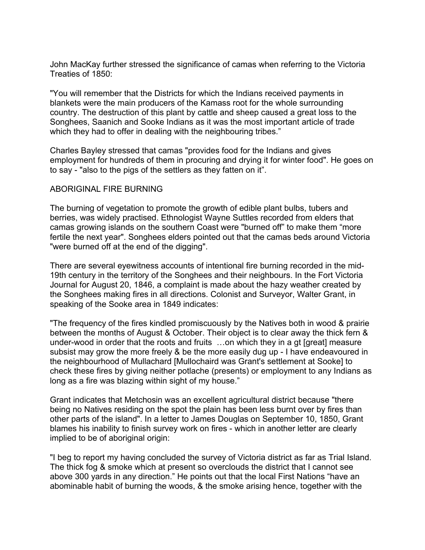John MacKay further stressed the significance of camas when referring to the Victoria Treaties of 1850:

"You will remember that the Districts for which the Indians received payments in blankets were the main producers of the Kamass root for the whole surrounding country. The destruction of this plant by cattle and sheep caused a great loss to the Songhees, Saanich and Sooke Indians as it was the most important article of trade which they had to offer in dealing with the neighbouring tribes."

Charles Bayley stressed that camas "provides food for the Indians and gives employment for hundreds of them in procuring and drying it for winter food". He goes on to say - "also to the pigs of the settlers as they fatten on it".

## ABORIGINAL FIRE BURNING

The burning of vegetation to promote the growth of edible plant bulbs, tubers and berries, was widely practised. Ethnologist Wayne Suttles recorded from elders that camas growing islands on the southern Coast were "burned off" to make them "more fertile the next year". Songhees elders pointed out that the camas beds around Victoria "were burned off at the end of the digging".

There are several eyewitness accounts of intentional fire burning recorded in the mid-19th century in the territory of the Songhees and their neighbours. In the Fort Victoria Journal for August 20, 1846, a complaint is made about the hazy weather created by the Songhees making fires in all directions. Colonist and Surveyor, Walter Grant, in speaking of the Sooke area in 1849 indicates:

"The frequency of the fires kindled promiscuously by the Natives both in wood & prairie between the months of August & October. Their object is to clear away the thick fern & under-wood in order that the roots and fruits …on which they in a gt [great] measure subsist may grow the more freely & be the more easily dug up - I have endeavoured in the neighbourhood of Mullachard [Mullochaird was Grant's settlement at Sooke] to check these fires by giving neither potlache (presents) or employment to any Indians as long as a fire was blazing within sight of my house."

Grant indicates that Metchosin was an excellent agricultural district because "there being no Natives residing on the spot the plain has been less burnt over by fires than other parts of the island". In a letter to James Douglas on September 10, 1850, Grant blames his inability to finish survey work on fires - which in another letter are clearly implied to be of aboriginal origin:

"I beg to report my having concluded the survey of Victoria district as far as Trial Island. The thick fog & smoke which at present so overclouds the district that I cannot see above 300 yards in any direction." He points out that the local First Nations "have an abominable habit of burning the woods, & the smoke arising hence, together with the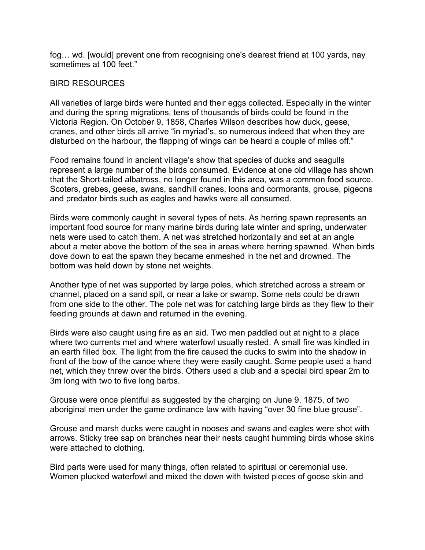fog… wd. [would] prevent one from recognising one's dearest friend at 100 yards, nay sometimes at 100 feet."

### BIRD RESOURCES

All varieties of large birds were hunted and their eggs collected. Especially in the winter and during the spring migrations, tens of thousands of birds could be found in the Victoria Region. On October 9, 1858, Charles Wilson describes how duck, geese, cranes, and other birds all arrive "in myriad's, so numerous indeed that when they are disturbed on the harbour, the flapping of wings can be heard a couple of miles off."

Food remains found in ancient village's show that species of ducks and seagulls represent a large number of the birds consumed. Evidence at one old village has shown that the Short-tailed albatross, no longer found in this area, was a common food source. Scoters, grebes, geese, swans, sandhill cranes, loons and cormorants, grouse, pigeons and predator birds such as eagles and hawks were all consumed.

Birds were commonly caught in several types of nets. As herring spawn represents an important food source for many marine birds during late winter and spring, underwater nets were used to catch them. A net was stretched horizontally and set at an angle about a meter above the bottom of the sea in areas where herring spawned. When birds dove down to eat the spawn they became enmeshed in the net and drowned. The bottom was held down by stone net weights.

Another type of net was supported by large poles, which stretched across a stream or channel, placed on a sand spit, or near a lake or swamp. Some nets could be drawn from one side to the other. The pole net was for catching large birds as they flew to their feeding grounds at dawn and returned in the evening.

Birds were also caught using fire as an aid. Two men paddled out at night to a place where two currents met and where waterfowl usually rested. A small fire was kindled in an earth filled box. The light from the fire caused the ducks to swim into the shadow in front of the bow of the canoe where they were easily caught. Some people used a hand net, which they threw over the birds. Others used a club and a special bird spear 2m to 3m long with two to five long barbs.

Grouse were once plentiful as suggested by the charging on June 9, 1875, of two aboriginal men under the game ordinance law with having "over 30 fine blue grouse".

Grouse and marsh ducks were caught in nooses and swans and eagles were shot with arrows. Sticky tree sap on branches near their nests caught humming birds whose skins were attached to clothing.

Bird parts were used for many things, often related to spiritual or ceremonial use. Women plucked waterfowl and mixed the down with twisted pieces of goose skin and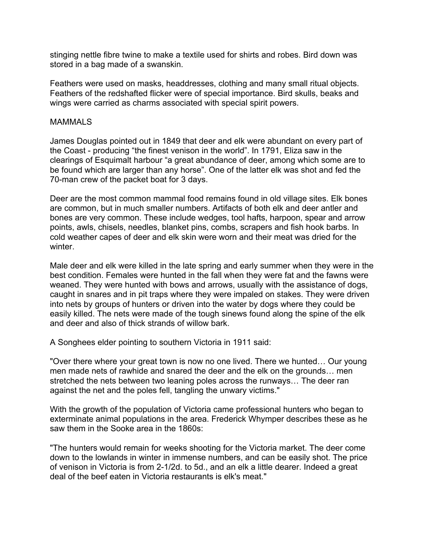stinging nettle fibre twine to make a textile used for shirts and robes. Bird down was stored in a bag made of a swanskin.

Feathers were used on masks, headdresses, clothing and many small ritual objects. Feathers of the redshafted flicker were of special importance. Bird skulls, beaks and wings were carried as charms associated with special spirit powers.

#### **MAMMALS**

James Douglas pointed out in 1849 that deer and elk were abundant on every part of the Coast - producing "the finest venison in the world". In 1791, Eliza saw in the clearings of Esquimalt harbour "a great abundance of deer, among which some are to be found which are larger than any horse". One of the latter elk was shot and fed the 70-man crew of the packet boat for 3 days.

Deer are the most common mammal food remains found in old village sites. Elk bones are common, but in much smaller numbers. Artifacts of both elk and deer antler and bones are very common. These include wedges, tool hafts, harpoon, spear and arrow points, awls, chisels, needles, blanket pins, combs, scrapers and fish hook barbs. In cold weather capes of deer and elk skin were worn and their meat was dried for the winter.

Male deer and elk were killed in the late spring and early summer when they were in the best condition. Females were hunted in the fall when they were fat and the fawns were weaned. They were hunted with bows and arrows, usually with the assistance of dogs, caught in snares and in pit traps where they were impaled on stakes. They were driven into nets by groups of hunters or driven into the water by dogs where they could be easily killed. The nets were made of the tough sinews found along the spine of the elk and deer and also of thick strands of willow bark.

A Songhees elder pointing to southern Victoria in 1911 said:

"Over there where your great town is now no one lived. There we hunted… Our young men made nets of rawhide and snared the deer and the elk on the grounds… men stretched the nets between two leaning poles across the runways… The deer ran against the net and the poles fell, tangling the unwary victims."

With the growth of the population of Victoria came professional hunters who began to exterminate animal populations in the area. Frederick Whymper describes these as he saw them in the Sooke area in the 1860s:

"The hunters would remain for weeks shooting for the Victoria market. The deer come down to the lowlands in winter in immense numbers, and can be easily shot. The price of venison in Victoria is from 2-1/2d. to 5d., and an elk a little dearer. Indeed a great deal of the beef eaten in Victoria restaurants is elk's meat."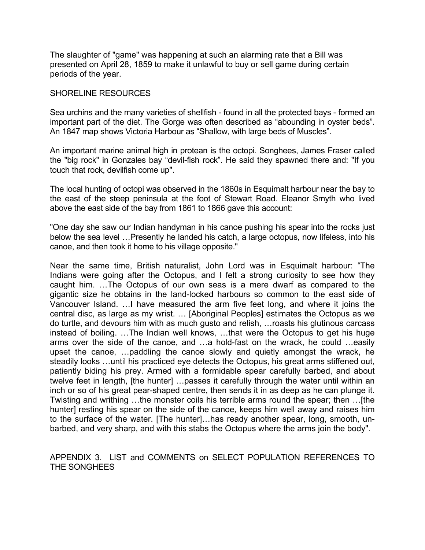The slaughter of "game" was happening at such an alarming rate that a Bill was presented on April 28, 1859 to make it unlawful to buy or sell game during certain periods of the year.

#### SHORELINE RESOURCES

Sea urchins and the many varieties of shellfish - found in all the protected bays - formed an important part of the diet. The Gorge was often described as "abounding in oyster beds". An 1847 map shows Victoria Harbour as "Shallow, with large beds of Muscles".

An important marine animal high in protean is the octopi. Songhees, James Fraser called the "big rock" in Gonzales bay "devil-fish rock". He said they spawned there and: "If you touch that rock, devilfish come up".

The local hunting of octopi was observed in the 1860s in Esquimalt harbour near the bay to the east of the steep peninsula at the foot of Stewart Road. Eleanor Smyth who lived above the east side of the bay from 1861 to 1866 gave this account:

"One day she saw our Indian handyman in his canoe pushing his spear into the rocks just below the sea level …Presently he landed his catch, a large octopus, now lifeless, into his canoe, and then took it home to his village opposite."

Near the same time, British naturalist, John Lord was in Esquimalt harbour: "The Indians were going after the Octopus, and I felt a strong curiosity to see how they caught him. …The Octopus of our own seas is a mere dwarf as compared to the gigantic size he obtains in the land-locked harbours so common to the east side of Vancouver Island. …I have measured the arm five feet long, and where it joins the central disc, as large as my wrist. … [Aboriginal Peoples] estimates the Octopus as we do turtle, and devours him with as much gusto and relish, …roasts his glutinous carcass instead of boiling. …The Indian well knows, …that were the Octopus to get his huge arms over the side of the canoe, and …a hold-fast on the wrack, he could …easily upset the canoe, …paddling the canoe slowly and quietly amongst the wrack, he steadily looks …until his practiced eye detects the Octopus, his great arms stiffened out, patiently biding his prey. Armed with a formidable spear carefully barbed, and about twelve feet in length, [the hunter] …passes it carefully through the water until within an inch or so of his great pear-shaped centre, then sends it in as deep as he can plunge it. Twisting and writhing …the monster coils his terrible arms round the spear; then …[the hunter] resting his spear on the side of the canoe, keeps him well away and raises him to the surface of the water. [The hunter]…has ready another spear, long, smooth, unbarbed, and very sharp, and with this stabs the Octopus where the arms join the body".

APPENDIX 3. LIST and COMMENTS on SELECT POPULATION REFERENCES TO THE SONGHEES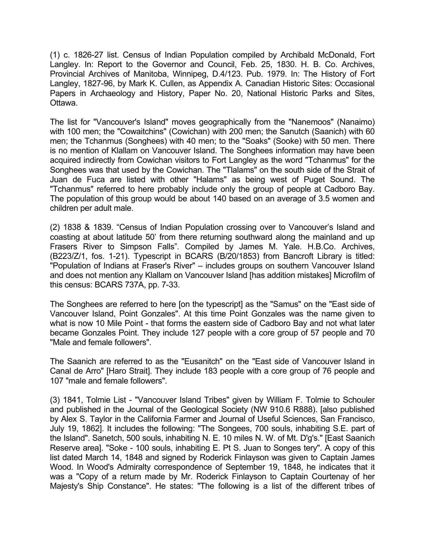(1) c. 1826-27 list. Census of Indian Population compiled by Archibald McDonald, Fort Langley. In: Report to the Governor and Council, Feb. 25, 1830. H. B. Co. Archives, Provincial Archives of Manitoba, Winnipeg, D.4/123. Pub. 1979. In: The History of Fort Langley, 1827-96, by Mark K. Cullen, as Appendix A. Canadian Historic Sites: Occasional Papers in Archaeology and History, Paper No. 20, National Historic Parks and Sites, Ottawa.

The list for "Vancouver's Island" moves geographically from the "Nanemoos" (Nanaimo) with 100 men; the "Cowaitchins" (Cowichan) with 200 men; the Sanutch (Saanich) with 60 men; the Tchanmus (Songhees) with 40 men; to the "Soaks" (Sooke) with 50 men. There is no mention of Klallam on Vancouver Island. The Songhees information may have been acquired indirectly from Cowichan visitors to Fort Langley as the word "Tchanmus" for the Songhees was that used by the Cowichan. The "Tlalams" on the south side of the Strait of Juan de Fuca are listed with other "Halams" as being west of Puget Sound. The "Tchanmus" referred to here probably include only the group of people at Cadboro Bay. The population of this group would be about 140 based on an average of 3.5 women and children per adult male.

(2) 1838 & 1839. "Census of Indian Population crossing over to Vancouver's Island and coasting at about latitude 50' from there returning southward along the mainland and up Frasers River to Simpson Falls". Compiled by James M. Yale. H.B.Co. Archives, (B223/Z/1, fos. 1-21). Typescript in BCARS (B/20/1853) from Bancroft Library is titled: "Population of Indians at Fraser's River" – includes groups on southern Vancouver Island and does not mention any Klallam on Vancouver Island [has addition mistakes] Microfilm of this census: BCARS 737A, pp. 7-33.

The Songhees are referred to here [on the typescript] as the "Samus" on the "East side of Vancouver Island, Point Gonzales". At this time Point Gonzales was the name given to what is now 10 Mile Point - that forms the eastern side of Cadboro Bay and not what later became Gonzales Point. They include 127 people with a core group of 57 people and 70 "Male and female followers".

The Saanich are referred to as the "Eusanitch" on the "East side of Vancouver Island in Canal de Arro" [Haro Strait]. They include 183 people with a core group of 76 people and 107 "male and female followers".

(3) 1841, Tolmie List - "Vancouver Island Tribes" given by William F. Tolmie to Schouler and published in the Journal of the Geological Society (NW 910.6 R888). [also published by Alex S. Taylor in the California Farmer and Journal of Useful Sciences, San Francisco, July 19, 1862]. It includes the following: "The Songees, 700 souls, inhabiting S.E. part of the Island". Sanetch, 500 souls, inhabiting N. E. 10 miles N. W. of Mt. D'g's." [East Saanich Reserve area]. "Soke - 100 souls, inhabiting E. Pt S. Juan to Songes tery". A copy of this list dated March 14, 1848 and signed by Roderick Finlayson was given to Captain James Wood. In Wood's Admiralty correspondence of September 19, 1848, he indicates that it was a "Copy of a return made by Mr. Roderick Finlayson to Captain Courtenay of her Majesty's Ship Constance". He states: "The following is a list of the different tribes of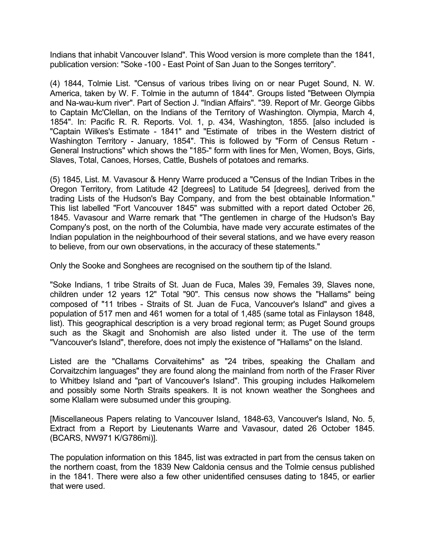Indians that inhabit Vancouver Island". This Wood version is more complete than the 1841, publication version: "Soke -100 - East Point of San Juan to the Songes territory".

(4) 1844, Tolmie List. "Census of various tribes living on or near Puget Sound, N. W. America, taken by W. F. Tolmie in the autumn of 1844". Groups listed "Between Olympia and Na-wau-kum river". Part of Section J. "Indian Affairs". "39. Report of Mr. George Gibbs to Captain Mc'Clellan, on the Indians of the Territory of Washington. Olympia, March 4, 1854". In: Pacific R. R. Reports. Vol. 1, p. 434, Washington, 1855. [also included is "Captain Wilkes's Estimate - 1841" and "Estimate of tribes in the Western district of Washington Territory - January, 1854". This is followed by "Form of Census Return - General Instructions" which shows the "185-" form with lines for Men, Women, Boys, Girls, Slaves, Total, Canoes, Horses, Cattle, Bushels of potatoes and remarks.

(5) 1845, List. M. Vavasour & Henry Warre produced a "Census of the Indian Tribes in the Oregon Territory, from Latitude 42 [degrees] to Latitude 54 [degrees], derived from the trading Lists of the Hudson's Bay Company, and from the best obtainable Information." This list labelled "Fort Vancouver 1845" was submitted with a report dated October 26, 1845. Vavasour and Warre remark that "The gentlemen in charge of the Hudson's Bay Company's post, on the north of the Columbia, have made very accurate estimates of the Indian population in the neighbourhood of their several stations, and we have every reason to believe, from our own observations, in the accuracy of these statements."

Only the Sooke and Songhees are recognised on the southern tip of the Island.

"Soke Indians, 1 tribe Straits of St. Juan de Fuca, Males 39, Females 39, Slaves none, children under 12 years 12" Total "90". This census now shows the "Hallams" being composed of "11 tribes - Straits of St. Juan de Fuca, Vancouver's Island" and gives a population of 517 men and 461 women for a total of 1,485 (same total as Finlayson 1848, list). This geographical description is a very broad regional term; as Puget Sound groups such as the Skagit and Snohomish are also listed under it. The use of the term "Vancouver's Island", therefore, does not imply the existence of "Hallams" on the Island.

Listed are the "Challams Corvaitehims" as "24 tribes, speaking the Challam and Corvaitzchim languages" they are found along the mainland from north of the Fraser River to Whitbey Island and "part of Vancouver's Island". This grouping includes Halkomelem and possibly some North Straits speakers. It is not known weather the Songhees and some Klallam were subsumed under this grouping.

[Miscellaneous Papers relating to Vancouver Island, 1848-63, Vancouver's Island, No. 5, Extract from a Report by Lieutenants Warre and Vavasour, dated 26 October 1845. (BCARS, NW971 K/G786mi)].

The population information on this 1845, list was extracted in part from the census taken on the northern coast, from the 1839 New Caldonia census and the Tolmie census published in the 1841. There were also a few other unidentified censuses dating to 1845, or earlier that were used.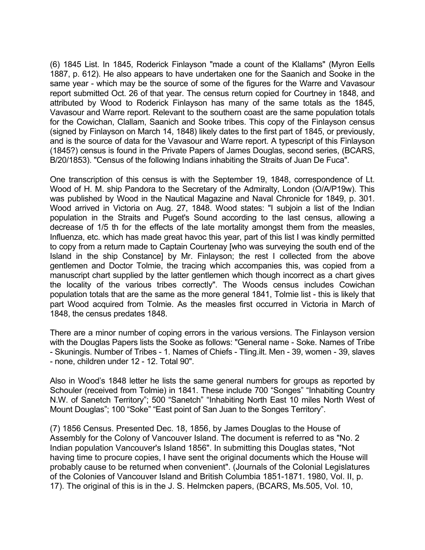(6) 1845 List. In 1845, Roderick Finlayson "made a count of the Klallams" (Myron Eells 1887, p. 612). He also appears to have undertaken one for the Saanich and Sooke in the same year - which may be the source of some of the figures for the Warre and Vavasour report submitted Oct. 26 of that year. The census return copied for Courtney in 1848, and attributed by Wood to Roderick Finlayson has many of the same totals as the 1845, Vavasour and Warre report. Relevant to the southern coast are the same population totals for the Cowichan, Clallam, Saanich and Sooke tribes. This copy of the Finlayson census (signed by Finlayson on March 14, 1848) likely dates to the first part of 1845, or previously, and is the source of data for the Vavasour and Warre report. A typescript of this Finlayson (1845?) census is found in the Private Papers of James Douglas, second series, (BCARS, B/20/1853). "Census of the following Indians inhabiting the Straits of Juan De Fuca".

One transcription of this census is with the September 19, 1848, correspondence of Lt. Wood of H. M. ship Pandora to the Secretary of the Admiralty, London (O/A/P19w). This was published by Wood in the Nautical Magazine and Naval Chronicle for 1849, p. 301. Wood arrived in Victoria on Aug. 27, 1848. Wood states: "I subjoin a list of the Indian population in the Straits and Puget's Sound according to the last census, allowing a decrease of 1/5 th for the effects of the late mortality amongst them from the measles, Influenza, etc. which has made great havoc this year, part of this list I was kindly permitted to copy from a return made to Captain Courtenay [who was surveying the south end of the Island in the ship Constance] by Mr. Finlayson; the rest I collected from the above gentlemen and Doctor Tolmie, the tracing which accompanies this, was copied from a manuscript chart supplied by the latter gentlemen which though incorrect as a chart gives the locality of the various tribes correctly". The Woods census includes Cowichan population totals that are the same as the more general 1841, Tolmie list - this is likely that part Wood acquired from Tolmie. As the measles first occurred in Victoria in March of 1848, the census predates 1848.

There are a minor number of coping errors in the various versions. The Finlayson version with the Douglas Papers lists the Sooke as follows: "General name - Soke. Names of Tribe - Skuningis. Number of Tribes - 1. Names of Chiefs - Tling.ilt. Men - 39, women - 39, slaves - none, children under 12 - 12. Total 90".

Also in Wood's 1848 letter he lists the same general numbers for groups as reported by Schouler (received from Tolmie) in 1841. These include 700 "Songes" "Inhabiting Country N.W. of Sanetch Territory"; 500 "Sanetch" "Inhabiting North East 10 miles North West of Mount Douglas"; 100 "Soke" "East point of San Juan to the Songes Territory".

(7) 1856 Census. Presented Dec. 18, 1856, by James Douglas to the House of Assembly for the Colony of Vancouver Island. The document is referred to as "No. 2 Indian population Vancouver's Island 1856". In submitting this Douglas states, "Not having time to procure copies, I have sent the original documents which the House will probably cause to be returned when convenient". (Journals of the Colonial Legislatures of the Colonies of Vancouver Island and British Columbia 1851-1871. 1980, Vol. II, p. 17). The original of this is in the J. S. Helmcken papers, (BCARS, Ms.505, Vol. 10,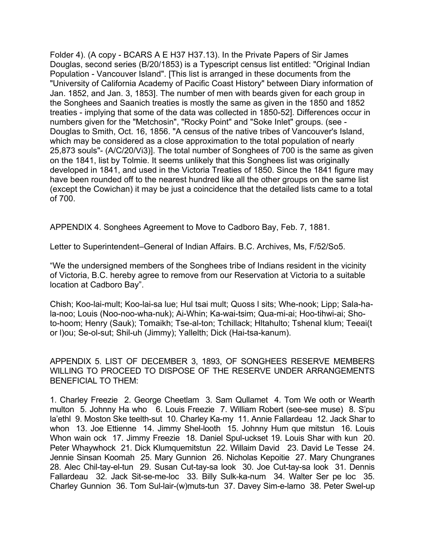Folder 4). (A copy - BCARS A E H37 H37.13). In the Private Papers of Sir James Douglas, second series (B/20/1853) is a Typescript census list entitled: "Original Indian Population - Vancouver Island". [This list is arranged in these documents from the "University of California Academy of Pacific Coast History" between Diary information of Jan. 1852, and Jan. 3, 1853]. The number of men with beards given for each group in the Songhees and Saanich treaties is mostly the same as given in the 1850 and 1852 treaties - implying that some of the data was collected in 1850-52]. Differences occur in numbers given for the "Metchosin", "Rocky Point" and "Soke Inlet" groups. (see - Douglas to Smith, Oct. 16, 1856. "A census of the native tribes of Vancouver's Island, which may be considered as a close approximation to the total population of nearly 25,873 souls"- (A/C/20/Vi3)]. The total number of Songhees of 700 is the same as given on the 1841, list by Tolmie. It seems unlikely that this Songhees list was originally developed in 1841, and used in the Victoria Treaties of 1850. Since the 1841 figure may have been rounded off to the nearest hundred like all the other groups on the same list (except the Cowichan) it may be just a coincidence that the detailed lists came to a total of 700.

APPENDIX 4. Songhees Agreement to Move to Cadboro Bay, Feb. 7, 1881.

Letter to Superintendent–General of Indian Affairs. B.C. Archives, Ms, F/52/So5.

"We the undersigned members of the Songhees tribe of Indians resident in the vicinity of Victoria, B.C. hereby agree to remove from our Reservation at Victoria to a suitable location at Cadboro Bay".

Chish; Koo-lai-mult; Koo-lai-sa lue; Hul tsai mult; Quoss l sits; Whe-nook; Lipp; Sala-hala-noo; Louis (Noo-noo-wha-nuk); Ai-Whin; Ka-wai-tsim; Qua-mi-ai; Hoo-tihwi-ai; Shoto-hoom; Henry (Sauk); Tomaikh; Tse-al-ton; Tchillack; Hltahulto; Tshenal klum; Teeai(t or l)ou; Se-ol-sut; Shil-uh (Jimmy); Yallelth; Dick (Hai-tsa-kanum).

APPENDIX 5. LIST OF DECEMBER 3, 1893, OF SONGHEES RESERVE MEMBERS WILLING TO PROCEED TO DISPOSE OF THE RESERVE UNDER ARRANGEMENTS BENEFICIAL TO THEM:

1. Charley Freezie 2. George Cheetlam 3. Sam Qullamet 4. Tom We ooth or Wearth multon 5. Johnny Ha who 6. Louis Freezie 7. William Robert (see-see muse) 8. S'pu la'ethl 9. Moston Ske teelth-sut 10. Charley Ka-my 11. Annie Fallardeau 12. Jack Shar to whon 13. Joe Ettienne 14. Jimmy Shel-looth 15. Johnny Hum que mitstun 16. Louis Whon wain ock 17. Jimmy Freezie 18. Daniel Spul-uckset 19. Louis Shar with kun 20. Peter Whaywhock 21. Dick Klumquemitstun 22. Willaim David 23. David Le Tesse 24. Jennie Sinsan Koomah 25. Mary Gunnion 26. Nicholas Kepoitie 27. Mary Chungranes 28. Alec Chil-tay-el-tun 29. Susan Cut-tay-sa look 30. Joe Cut-tay-sa look 31. Dennis Fallardeau 32. Jack Sit-se-me-loc 33. Billy Sulk-ka-num 34. Walter Ser pe loc 35. Charley Gunnion 36. Tom Sul-lair-(w)muts-tun 37. Davey Sim-e-larno 38. Peter Swel-up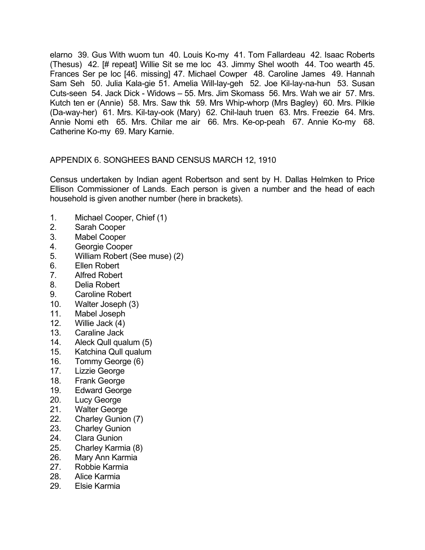elarno 39. Gus With wuom tun 40. Louis Ko-my 41. Tom Fallardeau 42. Isaac Roberts (Thesus) 42. [# repeat] Willie Sit se me loc 43. Jimmy Shel wooth 44. Too wearth 45. Frances Ser pe loc [46. missing] 47. Michael Cowper 48. Caroline James 49. Hannah Sam Seh 50. Julia Kala-gie 51. Amelia Will-lay-geh 52. Joe Kil-lay-na-hun 53. Susan Cuts-seen 54. Jack Dick - Widows – 55. Mrs. Jim Skomass 56. Mrs. Wah we air 57. Mrs. Kutch ten er (Annie) 58. Mrs. Saw thk 59. Mrs Whip-whorp (Mrs Bagley) 60. Mrs. Pilkie (Da-way-her) 61. Mrs. Kil-tay-ook (Mary) 62. Chil-lauh truen 63. Mrs. Freezie 64. Mrs. Annie Nomi eth 65. Mrs. Chilar me air 66. Mrs. Ke-op-peah 67. Annie Ko-my 68. Catherine Ko-my 69. Mary Karnie.

# APPENDIX 6. SONGHEES BAND CENSUS MARCH 12, 1910

Census undertaken by Indian agent Robertson and sent by H. Dallas Helmken to Price Ellison Commissioner of Lands. Each person is given a number and the head of each household is given another number (here in brackets).

- 1. Michael Cooper, Chief (1)
- 2. Sarah Cooper
- 3. Mabel Cooper
- 4. Georgie Cooper
- 5. William Robert (See muse) (2)
- 6. Ellen Robert
- 7. Alfred Robert
- 8. Delia Robert
- 9. Caroline Robert
- 10. Walter Joseph (3)
- 11. Mabel Joseph
- 12. Willie Jack (4)
- 13. Caraline Jack
- 14. Aleck Qull qualum (5)
- 15. Katchina Qull qualum
- 16. Tommy George (6)
- 17. Lizzie George
- 18. Frank George
- 19. Edward George
- 20. Lucy George
- 21. Walter George
- 22. Charley Gunion (7)
- 23. Charley Gunion
- 24. Clara Gunion
- 25. Charley Karmia (8)
- 26. Mary Ann Karmia
- 27. Robbie Karmia
- 28. Alice Karmia
- 29. Elsie Karmia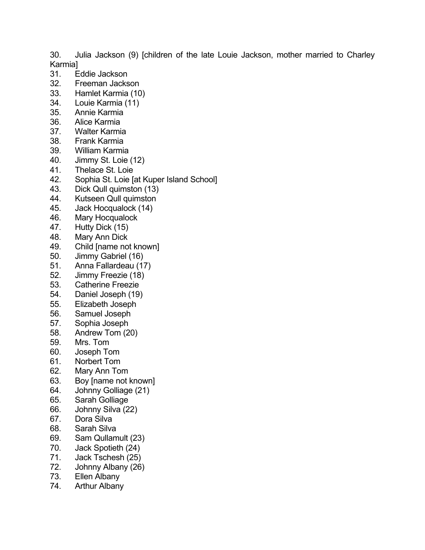30. Julia Jackson (9) [children of the late Louie Jackson, mother married to Charley Karmia]

- 31. Eddie Jackson
- 32. Freeman Jackson
- 33. Hamlet Karmia (10)
- 34. Louie Karmia (11)
- 35. Annie Karmia
- 36. Alice Karmia
- 37. Walter Karmia
- 38. Frank Karmia
- 39. William Karmia
- 40. Jimmy St. Loie (12)
- 41. Thelace St. Loie
- 42. Sophia St. Loie [at Kuper Island School]
- 43. Dick Qull quimston (13)
- 44. Kutseen Qull quimston
- 45. Jack Hocqualock (14)
- 46. Mary Hocqualock
- 47. Hutty Dick (15)
- 48. Mary Ann Dick
- 49. Child [name not known]
- 50. Jimmy Gabriel (16)
- 51. Anna Fallardeau (17)
- 52. Jimmy Freezie (18)<br>53. Catherine Freezie
- 53. Catherine Freezie
- 54. Daniel Joseph (19)
- 55. Elizabeth Joseph
- 56. Samuel Joseph
- 57. Sophia Joseph
- 58. Andrew Tom (20)
- 59. Mrs. Tom
- 60. Joseph Tom
- 61. Norbert Tom
- 62. Mary Ann Tom
- 63. Boy [name not known]
- 64. Johnny Golliage (21)
- 65. Sarah Golliage
- 66. Johnny Silva (22)
- 67. Dora Silva
- 68. Sarah Silva
- 69. Sam Qullamult (23)
- 70. Jack Spotieth (24)
- 71. Jack Tschesh (25)
- 72. Johnny Albany (26)
- 73. Ellen Albany
- 74. Arthur Albany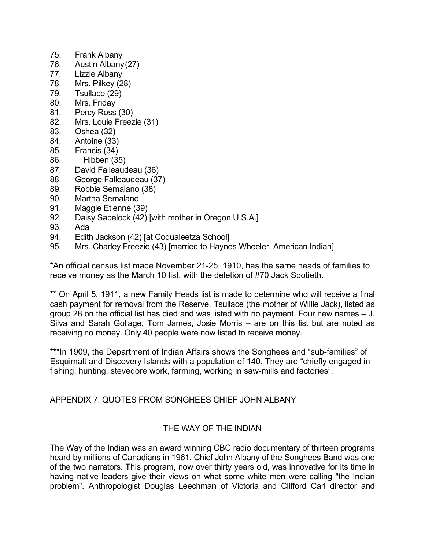- 75. Frank Albany
- 76. Austin Albany (27)
- 77. Lizzie Albany
- 78. Mrs. Pilkey (28)
- 79. Tsullace (29)
- 80. Mrs. Friday
- 81. Percy Ross (30)
- 82. Mrs. Louie Freezie (31)
- 83. Oshea (32)
- 84. Antoine (33)
- 85. Francis (34)
- 86. Hibben (35)
- 87. David Falleaudeau (36)
- 88. George Falleaudeau (37)
- 89. Robbie Semalano (38)
- 90. Martha Semalano
- 91. Maggie Etienne (39)
- 92. Daisy Sapelock (42) [with mother in Oregon U.S.A.]
- 93. Ada
- 94. Edith Jackson (42) [at Coqualeetza School]
- 95. Mrs. Charley Freezie (43) [married to Haynes Wheeler, American Indian]

\*An official census list made November 21-25, 1910, has the same heads of families to receive money as the March 10 list, with the deletion of #70 Jack Spotieth.

\*\* On April 5, 1911, a new Family Heads list is made to determine who will receive a final cash payment for removal from the Reserve. Tsullace (the mother of Willie Jack), listed as group 28 on the official list has died and was listed with no payment. Four new names – J. Silva and Sarah Gollage, Tom James, Josie Morris – are on this list but are noted as receiving no money. Only 40 people were now listed to receive money.

\*\*\*In 1909, the Department of Indian Affairs shows the Songhees and "sub-families" of Esquimalt and Discovery Islands with a population of 140. They are "chiefly engaged in fishing, hunting, stevedore work, farming, working in saw-mills and factories".

# APPENDIX 7. QUOTES FROM SONGHEES CHIEF JOHN ALBANY

# THE WAY OF THE INDIAN

The Way of the Indian was an award winning CBC radio documentary of thirteen programs heard by millions of Canadians in 1961. Chief John Albany of the Songhees Band was one of the two narrators. This program, now over thirty years old, was innovative for its time in having native leaders give their views on what some white men were calling "the Indian problem". Anthropologist Douglas Leechman of Victoria and Clifford Carl director and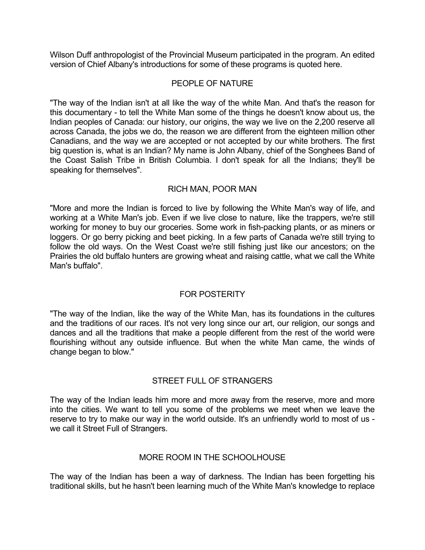Wilson Duff anthropologist of the Provincial Museum participated in the program. An edited version of Chief Albany's introductions for some of these programs is quoted here.

## PEOPLE OF NATURE

"The way of the Indian isn't at all like the way of the white Man. And that's the reason for this documentary - to tell the White Man some of the things he doesn't know about us, the Indian peoples of Canada: our history, our origins, the way we live on the 2,200 reserve all across Canada, the jobs we do, the reason we are different from the eighteen million other Canadians, and the way we are accepted or not accepted by our white brothers. The first big question is, what is an Indian? My name is John Albany, chief of the Songhees Band of the Coast Salish Tribe in British Columbia. I don't speak for all the Indians; they'll be speaking for themselves".

## RICH MAN, POOR MAN

"More and more the Indian is forced to live by following the White Man's way of life, and working at a White Man's job. Even if we live close to nature, like the trappers, we're still working for money to buy our groceries. Some work in fish-packing plants, or as miners or loggers. Or go berry picking and beet picking. In a few parts of Canada we're still trying to follow the old ways. On the West Coast we're still fishing just like our ancestors; on the Prairies the old buffalo hunters are growing wheat and raising cattle, what we call the White Man's buffalo".

## FOR POSTERITY

"The way of the Indian, like the way of the White Man, has its foundations in the cultures and the traditions of our races. It's not very long since our art, our religion, our songs and dances and all the traditions that make a people different from the rest of the world were flourishing without any outside influence. But when the white Man came, the winds of change began to blow."

# STREET FULL OF STRANGERS

The way of the Indian leads him more and more away from the reserve, more and more into the cities. We want to tell you some of the problems we meet when we leave the reserve to try to make our way in the world outside. It's an unfriendly world to most of us we call it Street Full of Strangers.

## MORE ROOM IN THE SCHOOLHOUSE

The way of the Indian has been a way of darkness. The Indian has been forgetting his traditional skills, but he hasn't been learning much of the White Man's knowledge to replace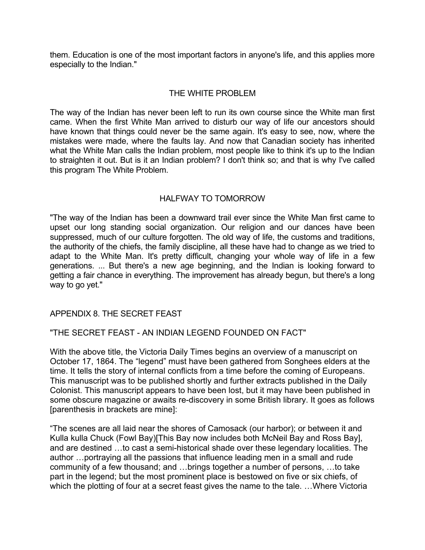them. Education is one of the most important factors in anyone's life, and this applies more especially to the Indian."

## THE WHITE PROBLEM

The way of the Indian has never been left to run its own course since the White man first came. When the first White Man arrived to disturb our way of life our ancestors should have known that things could never be the same again. It's easy to see, now, where the mistakes were made, where the faults lay. And now that Canadian society has inherited what the White Man calls the Indian problem, most people like to think it's up to the Indian to straighten it out. But is it an Indian problem? I don't think so; and that is why I've called this program The White Problem.

## HALFWAY TO TOMORROW

"The way of the Indian has been a downward trail ever since the White Man first came to upset our long standing social organization. Our religion and our dances have been suppressed, much of our culture forgotten. The old way of life, the customs and traditions, the authority of the chiefs, the family discipline, all these have had to change as we tried to adapt to the White Man. It's pretty difficult, changing your whole way of life in a few generations. ... But there's a new age beginning, and the Indian is looking forward to getting a fair chance in everything. The improvement has already begun, but there's a long way to go yet."

## APPENDIX 8. THE SECRET FEAST

## "THE SECRET FEAST - AN INDIAN LEGEND FOUNDED ON FACT"

With the above title, the Victoria Daily Times begins an overview of a manuscript on October 17, 1864. The "legend" must have been gathered from Songhees elders at the time. It tells the story of internal conflicts from a time before the coming of Europeans. This manuscript was to be published shortly and further extracts published in the Daily Colonist. This manuscript appears to have been lost, but it may have been published in some obscure magazine or awaits re-discovery in some British library. It goes as follows [parenthesis in brackets are mine]:

"The scenes are all laid near the shores of Camosack (our harbor); or between it and Kulla kulla Chuck (Fowl Bay)[This Bay now includes both McNeil Bay and Ross Bay], and are destined …to cast a semi-historical shade over these legendary localities. The author …portraying all the passions that influence leading men in a small and rude community of a few thousand; and …brings together a number of persons, …to take part in the legend; but the most prominent place is bestowed on five or six chiefs, of which the plotting of four at a secret feast gives the name to the tale. ... Where Victoria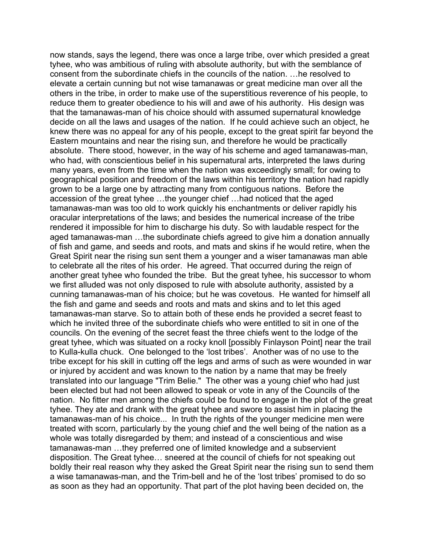now stands, says the legend, there was once a large tribe, over which presided a great tyhee, who was ambitious of ruling with absolute authority, but with the semblance of consent from the subordinate chiefs in the councils of the nation. …he resolved to elevate a certain cunning but not wise tamanawas or great medicine man over all the others in the tribe, in order to make use of the superstitious reverence of his people, to reduce them to greater obedience to his will and awe of his authority. His design was that the tamanawas-man of his choice should with assumed supernatural knowledge decide on all the laws and usages of the nation. If he could achieve such an object, he knew there was no appeal for any of his people, except to the great spirit far beyond the Eastern mountains and near the rising sun, and therefore he would be practically absolute. There stood, however, in the way of his scheme and aged tamanawas-man, who had, with conscientious belief in his supernatural arts, interpreted the laws during many years, even from the time when the nation was exceedingly small; for owing to geographical position and freedom of the laws within his territory the nation had rapidly grown to be a large one by attracting many from contiguous nations. Before the accession of the great tyhee …the younger chief …had noticed that the aged tamanawas-man was too old to work quickly his enchantments or deliver rapidly his oracular interpretations of the laws; and besides the numerical increase of the tribe rendered it impossible for him to discharge his duty. So with laudable respect for the aged tamanawas-man …the subordinate chiefs agreed to give him a donation annually of fish and game, and seeds and roots, and mats and skins if he would retire, when the Great Spirit near the rising sun sent them a younger and a wiser tamanawas man able to celebrate all the rites of his order. He agreed. That occurred during the reign of another great tyhee who founded the tribe. But the great tyhee, his successor to whom we first alluded was not only disposed to rule with absolute authority, assisted by a cunning tamanawas-man of his choice; but he was covetous. He wanted for himself all the fish and game and seeds and roots and mats and skins and to let this aged tamanawas-man starve. So to attain both of these ends he provided a secret feast to which he invited three of the subordinate chiefs who were entitled to sit in one of the councils. On the evening of the secret feast the three chiefs went to the lodge of the great tyhee, which was situated on a rocky knoll [possibly Finlayson Point] near the trail to Kulla-kulla chuck. One belonged to the 'lost tribes'. Another was of no use to the tribe except for his skill in cutting off the legs and arms of such as were wounded in war or injured by accident and was known to the nation by a name that may be freely translated into our language "Trim Belie." The other was a young chief who had just been elected but had not been allowed to speak or vote in any of the Councils of the nation. No fitter men among the chiefs could be found to engage in the plot of the great tyhee. They ate and drank with the great tyhee and swore to assist him in placing the tamanawas-man of his choice... In truth the rights of the younger medicine men were treated with scorn, particularly by the young chief and the well being of the nation as a whole was totally disregarded by them; and instead of a conscientious and wise tamanawas-man …they preferred one of limited knowledge and a subservient disposition. The Great tyhee… sneered at the council of chiefs for not speaking out boldly their real reason why they asked the Great Spirit near the rising sun to send them a wise tamanawas-man, and the Trim-bell and he of the 'lost tribes' promised to do so as soon as they had an opportunity. That part of the plot having been decided on, the